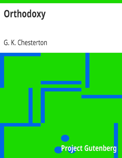# Orthodoxy

## G. K. Chesterton

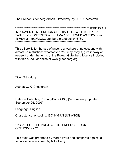The Project Gutenberg eBook, Orthodoxy, by G. K. Chesterton

**IMPROVED HTML EDITION OF THIS TITLE WITH A LINKED** TABLE OF CONTENTS WHICH MAY BE VIEWED AS EBOOK (# 

This eBook is for the use of anyone anywhere at no cost and with almost no restrictions whatsoever. You may copy it, give it away or re-use it under the terms of the Project Gutenberg License included with this eBook or online at www.gutenberg.org

**Title: Orthodoxy** 

Author: G. K. Chesterton

Release Date: May, 1994 [eBook #130] [Most recently updated: September 26, 2005]

Language: English

Character set encoding: ISO-646-US (US-ASCII)

\*\*\* START OF THE PROJECT GUTENBERG EBOOK ORTHODOXY\*\*\*

This etext was proofread by Martin Ward and compared against a separate copy scanned by Mike Perry.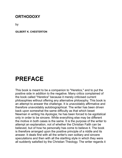### **ORTHODOXY**

by

**GILBERT K. CHESTERTON**

### **PREFACE**

This book is meant to be a companion to "Heretics," and to put the positive side in addition to the negative. Many critics complained of the book called "Heretics" because it merely criticised current philosophies without offering any alternative philosophy. This book is an attempt to answer the challenge. It is unavoidably affirmative and therefore unavoidably autobiographical. The writer has been driven back upon somewhat the same difficulty as that which beset Newman in writing his Apologia; he has been forced to be egotistical only in order to be sincere. While everything else may be different the motive in both cases is the same. It is the purpose of the writer to attempt an explanation, not of whether the Christian Faith can be believed, but of how he personally has come to believe it. The book is therefore arranged upon the positive principle of a riddle and its answer. It deals first with all the writer's own solitary and sincere speculations and then with all the startling style in which they were all suddenly satisfied by the Christian Theology. The writer regards it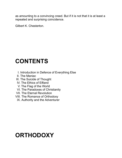as amounting to a convincing creed. But if it is not that it is at least a repeated and surprising coincidence.

Gilbert K. Chesterton.

### **CONTENTS**

- I. Introduction in Defence of Everything Else
- II. The Maniac
- III. The Suicide of Thought
- IV. The Ethics of Elfland
- V. The Flag of the World
- VI. The Paradoxes of Christianity
- **VII. The Eternal Revolution**
- **VIII. The Romance of Orthodoxy** 
	- IX. Authority and the Adventurer

### **ORTHODOXY**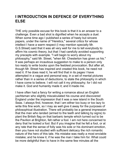### **I INTRODUCTION IN DEFENCE OF EVERYTHING ELSE**

THE only possible excuse for this book is that it is an answer to a challenge. Even a bad shot is dignified when he accepts a duel. When some time ago I published a series of hasty but sincere papers, under the name of "Heretics," several critics for whose intellect I have a warm respect (I may mention specially Mr. G.S. Street) said that it was all very well for me to tell everybody to affirm his cosmic theory, but that I had carefully avoided supporting my precepts with example. "I will begin to worry about my philosophy," said Mr. Street, "when Mr. Chesterton has given us his." It was perhaps an incautious suggestion to make to a person only too ready to write books upon the feeblest provocation. But after all, though Mr. Street has inspired and created this book, he need not read it. If he does read it, he will find that in its pages I have attempted in a vague and personal way, in a set of mental pictures rather than in a series of deductions, to state the philosophy in which I have come to believe. I will not call it my philosophy; for I did not make it. God and humanity made it; and it made me.

I have often had a fancy for writing a romance about an English yachtsman who slightly miscalculated his course and discovered England under the impression that it was a new island in the South Seas. I always find, however, that I am either too busy or too lazy to write this fine work, so I may as well give it away for the purposes of philosophical illustration. There will probably be a general impression that the man who landed (armed to the teeth and talking by signs) to plant the British flag on that barbaric temple which turned out to be the Pavilion at Brighton, felt rather a fool. I am not here concerned to deny that he looked a fool. But if you imagine that he felt a fool, or at any rate that the sense of folly was his sole or his dominant emotion, then you have not studied with sufficient delicacy the rich romantic nature of the hero of this tale. His mistake was really a most enviable mistake; and he knew it, if he was the man I take him for. What could be more delightful than to have in the same few minutes all the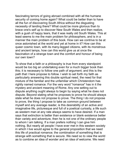fascinating terrors of going abroad combined with all the humane security of coming home again? What could be better than to have all the fun of discovering South Africa without the disgusting necessity of landing there? What could be more glorious than to brace one's self up to discover New South Wales and then realize, with a gush of happy tears, that it was really old South Wales. This at least seems to me the main problem for philosophers, and is in a manner the main problem of this book. How can we contrive to be at once astonished at the world and yet at home in it? How can this queer cosmic town, with its many-legged citizens, with its monstrous and ancient lamps, how can this world give us at once the fascination of a strange town and the comfort and honour of being our own town?

To show that a faith or a philosophy is true from every standpoint would be too big an undertaking even for a much bigger book than this; it is necessary to follow one path of argument; and this is the path that I here propose to follow. I wish to set forth my faith as particularly answering this double spiritual need, the need for that mixture of the familiar and the unfamiliar which Christendom has rightly named romance. For the very word "romance" has in it the mystery and ancient meaning of Rome. Any one setting out to dispute anything ought always to begin by saying what he does not dispute. Beyond stating what he proposes to prove he should always state what he does not propose to prove. The thing I do not propose to prove, the thing I propose to take as common ground between myself and any average reader, is this desirability of an active and imaginative life, picturesque and full of a poetical curiosity, a life such as western man at any rate always seems to have desired. If a man says that extinction is better than existence or blank existence better than variety and adventure, then he is not one of the ordinary people to whom I am talking. If a man prefers nothing I can give him nothing. But nearly all people I have ever met in this western society in which I live would agree to the general proposition that we need this life of practical romance; the combination of something that is strange with something that is secure. We need so to view the world as to combine an idea of wonder and an idea of welcome. We need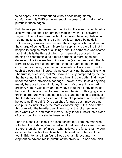to be happy in this wonderland without once being merely comfortable. It is THIS achievement of my creed that I shall chiefly pursue in these pages.

But I have a peculiar reason for mentioning the man in a yacht, who discovered England. For I am that man in a yacht. I discovered England. I do not see how this book can avoid being egotistical; and I do not quite see (to tell the truth) how it can avoid being dull. Dulness will, however, free me from the charge which I most lament; the charge of being flippant. Mere light sophistry is the thing that I happen to despise most of all things, and it is perhaps a wholesome fact that this is the thing of which I am generally accused. I know nothing so contemptible as a mere paradox; a mere ingenious defence of the indefensible. If it were true (as has been said) that Mr. Bernard Shaw lived upon paradox, then he ought to be a mere common millionaire; for a man of his mental activity could invent a sophistry every six minutes. It is as easy as lying; because it is lying. The truth is, of course, that Mr. Shaw is cruelly hampered by the fact that he cannot tell any lie unless he thinks it is the truth. I find myself under the same intolerable bondage. I never in my life said anything merely because I thought it funny; though of course, I have had ordinary human vainglory, and may have thought it funny because I had said it. It is one thing to describe an interview with a gorgon or a griffin, a creature who does not exist. It is another thing to discover that the rhinoceros does exist and then take pleasure in the fact that he looks as if he didn't. One searches for truth, but it may be that one pursues instinctively the more extraordinary truths. And I offer this book with the heartiest sentiments to all the jolly people who hate what I write, and regard it (very justly, for all I know), as a piece of poor clowning or a single tiresome joke.

For if this book is a joke it is a joke against me. I am the man who with the utmost daring discovered what had been discovered before. If there is an element of farce in what follows, the farce is at my own expense; for this book explains how I fancied I was the first to set foot in Brighton and then found I was the last. It recounts my elephantine adventures in pursuit of the obvious. No one can think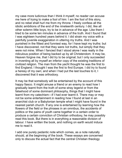my case more ludicrous than I think it myself; no reader can accuse me here of trying to make a fool of him: I am the fool of this story, and no rebel shall hurl me from my throne. I freely confess all the idiotic ambitions of the end of the nineteenth century. I did, like all other solemn little boys, try to be in advance of the age. Like them I tried to be some ten minutes in advance of the truth. And I found that I was eighteen hundred years behind it. I did strain my voice with a painfully juvenile exaggeration in uttering my truths. And I was punished in the fittest and funniest way, for I have kept my truths: but I have discovered, not that they were not truths, but simply that they were not mine. When I fancied that I stood alone I was really in the ridiculous position of being backed up by all Christendom. It may be, Heaven forgive me, that I did try to be original; but I only succeeded in inventing all by myself an inferior copy of the existing traditions of civilized religion. The man from the yacht thought he was the first to find England; I thought I was the first to find Europe. I did try to found a heresy of my own; and when I had put the last touches to it, I discovered that it was orthodoxy.

It may be that somebody will be entertained by the account of this happy fiasco. It might amuse a friend or an enemy to read how I gradually learnt from the truth of some stray legend or from the falsehood of some dominant philosophy, things that I might have learnt from my catechism—if I had ever learnt it. There may or may not be some entertainment in reading how I found at last in an anarchist club or a Babylonian temple what I might have found in the nearest parish church. If any one is entertained by learning how the flowers of the field or the phrases in an omnibus, the accidents of politics or the pains of youth came together in a certain order to produce a certain conviction of Christian orthodoxy, he may possibly read this book. But there is in everything a reasonable division of labour. I have written the book, and nothing on earth would induce me to read it.

I add one purely pedantic note which comes, as a note naturally should, at the beginning of the book. These essays are concerned only to discuss the actual fact that the central Christian theology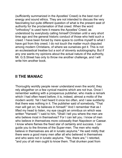(sufficiently summarized in the Apostles' Creed) is the best root of energy and sound ethics. They are not intended to discuss the very fascinating but quite different question of what is the present seat of authority for the proclamation of that creed. When the word "orthodoxy" is used here it means the Apostles' Creed, as understood by everybody calling himself Christian until a very short time ago and the general historic conduct of those who held such a creed. I have been forced by mere space to confne myself to what I have got from this creed; I do not touch the matter much disputed among modern Christians, of where we ourselves got it. This is not an ecclesiastical treatise but a sort of slovenly autobiography. But if any one wants my opinions about the actual nature of the authority, Mr. G.S. Street has only to throw me another challenge, and I will write him another book.

#### **II THE MANIAC**

Thoroughly worldly people never understand even the world; they rely altogether on a few cynical maxims which are not true. Once I remember walking with a prosperous publisher, who made a remark which I had often heard before; it is, indeed, almost a motto of the modern world. Yet I had heard it once too often, and I saw suddenly that there was nothing in it. The publisher said of somebody, "That man will get on; he believes in himself." And I remember that as I lifted my head to listen, my eye caught an omnibus on which was written "Hanwell." I said to him, "Shall I tell you where the men are who believe most in themselves? For I can tell you. I know of men who believe in themselves more colossally than Napoleon or Caesar. I know where flames the fixed star of certainty and success. I can gude you to the thrones of the Super-men. The men who really believe in themselves are all in lunatic asylums." He said mildly that there were a good many men after all who believed in themselves and who were not in lunatic asylums. "Yes, there are," I retorted, "and you of all men ought to know them. That drunken poet from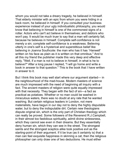whom you would not take a dreary tragedy, he believed in himself. That elderly minister with an epic from whom you were hiding in a back room, he believed in himself. If you consulted your business experience instead of your ugly individualistic philosophy, you would know that believing in himself is one of the commonest signs of a rotter. Actors who can't act believe in themselves; and debtors who won't pay. It would be much truer to say that a man will certainly fail, because he believes in himself. Complete self-confidence is not merely a sin; complete self-confidence is a weakness. Believing utterly in one's self is a hysterical and superstitious belief like believing in Joanna Southcote: the man who has it has `Hanwell' written on his face as plain as it is written on that omnibus." And to all this my friend the publisher made this very deep and effective reply, "Well, if a man is not to believe in himself, in what is he to believe?" After a long pause I replied, "I will go home and write a book in answer to that question." This is the book that I have written in answer to it.

But I think this book may well start where our argument started— in the neighbourhood of the mad-house. Modern masters of science are much impressed with the need of beginning all inquiry with a fact. The ancient masters of religion were quite equally impressed with that necessity. They began with the fact of sin—a fact as practical as potatoes. Whether or no man could be washed in miraculous waters, there was no doubt at any rate that he wanted washing. But certain religious leaders in London, not mere materialists, have begun in our day not to deny the highly disputable water, but to deny the indisputable dirt. Certain new theologians dispute original sin, which is the only part of Christian theology which can really be proved. Some followers of the Reverend R.J.Campbell, in their almost too fastidious spirituality, admit divine sinlessness, which they cannot see even in their dreams. But they essentially deny human sin, which they can see in the street. The strongest saints and the strongest sceptics alike took positive evil as the starting-point of their argument. If it be true (as it certainly is) that a man can feel exquisite happiness in skinning a cat, then the religious philosopher can only draw one of two deductions. He must either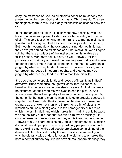deny the existence of God, as all atheists do; or he must deny the present union between God and man, as all Christians do. The new theologians seem to think it a highly rationalistic solution to deny the cat.

In this remarkable situation it is plainly not now possible (with any hope of a universal appeal) to start, as our fathers did, with the fact of sin. This very fact which was to them (and is to me) as plain as a pikestaff, is the very fact that has been specially diluted or denied. But though moderns deny the existence of sin, I do not think that they have yet denied the existence of a lunatic asylum. We all agree still that there is a collapse of the intellect as unmistakable as a falling house. Men deny hell, but not, as yet, Hanwell. For the purpose of our primary argument the one may very well stand where the other stood. I mean that as all thoughts and theories were once judged by whether they tended to make a man lose his soul, so for our present purpose all modern thoughts and theories may be judged by whether they tend to make a man lose his wits.

It is true that some speak lightly and loosely of insanity as in itself attractive. But a moment's thought will show that if disease is beautiful, it is generally some one else's disease. A blind man may be picturesque; but it requires two eyes to see the picture. And similarly even the wildest poetry of insanity can only be enjoyed by the sane. To the insane man his insanity is quite prosaic, because it is quite true. A man who thinks himself a chicken is to himself as ordinary as a chicken. A man who thinks he is a bit of glass is to himself as dull as a bit of glass. It is the homogeneity of his mind which makes him dull, and which makes him mad. It is only because we see the irony of his idea that we think him even amusing; it is only because he does not see the irony of his idea that he is put in Hanwell at all. In short, oddities only strike ordinary people. Oddities do not strike odd people. This is why ordinary people have a much more exciting time; while odd people are always complaining of the dulness of life. This is also why the new novels die so quickly, and why the old fairy tales endure for ever. The old fairy tale makes the hero a normal human boy; it is his adventures that are startling; they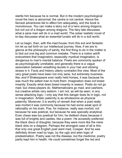startle him because he is normal. But in the modern psychological novel the hero is abnormal; the centre is not central. Hence the fiercest adventures fail to affect him adequately, and the book is monotonous. You can make a story out of a hero among dragons; but not out of a dragon among dragons. The fairy tale discusses what a sane man will do in a mad world. The sober realistic novel of to-day discusses what an essential lunatic will do in a dull world.

Let us begin, then, with the mad-house; from this evil and fantastic inn let us set forth on our intellectual journey. Now, if we are to glance at the philosophy of sanity, the first thing to do in the matter is to blot out one big and common mistake. There is a notion adrift everywhere that imagination, especially mystical imagination, is dangerous to man's mental balance. Poets are commonly spoken of as psychologically unreliable; and generally there is a vague association between wreathing laurels in your hair and sticking straws in it. Facts and history utterly contradict this view. Most of the very great poets have been not only sane, but extremely businesslike; and if Shakespeare ever really held horses, it was because he was much the safest man to hold them. Imagination does not breed insanity. Exactly what does breed insanity is reason. Poets do not go mad; but chess-players do. Mathematicians go mad, and cashiers; but creative artists very seldom. I am not, as will be seen, in any sense attacking logic: I only say that this danger does lie in logic, not in imagination. Artistic paternity is as wholesome as physical paternity. Moreover, it is worthy of remark that when a poet really was morbid it was commonly because he had some weak spot of rationality on his brain. Poe, for instance, really was morbid; not because he was poetical, but because he was specially analytical. Even chess was too poetical for him; he disliked chess because it was full of knights and castles, like a poem. He avowedly preferred the black discs of draughts, because they were more like the mere black dots on a diagram. Perhaps the strongest case of all is this: that only one great English poet went mad, Cowper. And he was definitely driven mad by logic, by the ugly and alien logic of predestination. Poetry was not the disease, but the medicine; poetry partly kept him in health. He could sometimes forget the red and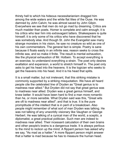thirsty hell to which his hideous necessitarianism dragged him among the wide waters and the white flat lilies of the Ouse. He was damned by John Calvin; he was almost saved by John Gilpin. Everywhere we see that men do not go mad by dreaming. Critics are much madder than poets. Homer is complete and calm enough; it is his critics who tear him into extravagant tatters. Shakespeare is quite himself; it is only some of his critics who have discovered that he was somebody else. And though St. John the Evangelist saw many strange monsters in his vision, he saw no creature so wild as one of his own commentators. The general fact is simple. Poetry is sane because it floats easily in an infinite sea; reason seeks to cross the infinite sea, and so make it finite. The result is mental exhaustion, like the physical exhaustion of Mr. Holbein. To accept everything is an exercise, to understand everything a strain. The poet only desires exaltation and expansion, a world to stretch himself in. The poet only asks to get his head into the heavens. It is the logician who seeks to get the heavens into his head. And it is his head that splits.

It is a small matter, but not irrelevant, that this striking mistake is commonly supported by a striking misquotation. We have all heard people cite the celebrated line of Dryden as "Great genius is to madness near allied." But Dryden did not say that great genius was to madness near allied. Dryden was a great genius himself, and knew better. It would have been hard to find a man more romantic than he, or more sensible. What Dryden said was this, "Great wits are oft to madness near allied"; and that is true. It is the pure promptitude of the intellect that is in peril of a breakdown. Also people might remember of what sort of man Dryden was talking. He was not talking of any unworldly visionary like Vaughan or George Herbert. He was talking of a cynical man of the world, a sceptic, a diplomatist, a great practical politician. Such men are indeed to madness near allied. Their incessant calculation of their own brains and other people's brains is a dangerous trade. It is always perilous to the mind to reckon up the mind. A flippant person has asked why we say, "As mad as a hatter." A more flippant person might answer that a hatter is mad because he has to measure the human head.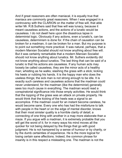And if great reasoners are often maniacal, it is equally true that maniacs are commonly great reasoners. When I was engaged in a controversy wth the CLARION on the matter of free wll, that able writer Mr. R.B. Suthers said that free will was lunacy, because it meant causeless actions, and the actions of a lunatic would be causeless. I do not dwell here upon the disastrous lapse in determinist logic. Obviously if any actions, even a lunatic's, can be causeless, determinism is done for. If the chain of causation can be broken for a madman, it can be broken for a man. But my purpose is to point out something more practical. It was natural, perhaps, that a modern Marxian Socialist should not know anything about free will. But it was certainly remarkable that a modern Marxian Socialist should not know anything about lunatics. Mr. Suthers evidently did not know anything about lunatics. The last thing that can be said of a lunatic is that his actions are causeless. If any human acts may loosely be called causeless, they are the minor acts of a healthy man; whistling as he walks; slashing the grass with a stick; kicking his heels or rubbing his hands. It is the happy man who does the useless things; the sick man is not strong enough to be idle. It is exactly such careless and causeless actions that the madman could never understand; for the madman (like the determinist) generally sees too much cause in everything. The madman would read a conspiratorial significance into those empty activities. He would think that the lopping of the grass was an attack on private property. He would think that the kicking of the heels was a signal to an accomplice. If the madman could for an instant become careless, he would become sane. Every one who has had the misfortune to talk with people in the heart or on the edge of mental disorder, knows that their most sinister quality is a horrible clarity of detail; a connecting of one thing with another in a map more elaborate than a maze. If you argue with a madman, it is extremely probable that you will get the worst of it; for in many ways his mind moves all the quicker for not being delayed by the things that go with good judgment. He is not hampered by a sense of humour or by charity, or by the dumb certainties of experience. He is the more logical for losing certain sane affections. Indeed, the common phrase for insanity is in this respect a misleading one. The madman is not the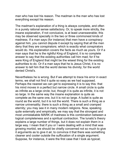man who has lost his reason. The madman is the man who has lost everything except his reason.

The madman's explanation of a thing is always complete, and often in a purely rational sense satisfactory. Or, to speak more strictly, the insane explanation, if not conclusive, is at least unanswerable; this may be observed specially in the two or three commonest kinds of madness. If a man says (for instance) that men have a conspiracy against him, you cannot dispute it except by saying that all the men deny that they are conspirators; which is exactly what conspirators would do. His explanation covers the facts as much as yours. Or if a man says that he is the rightful King of England, it is no complete answer to say that the existing authorities call him mad; for if he were King of England that might be the wisest thing for the existing authorities to do. Or if a man says that he is Jesus Christ, it is no answer to tell him that the world denies his divinity; for the world denied Christ's.

Nevertheless he is wrong. But if we attempt to trace his error in exact terms, we shall not find it quite so easy as we had supposed. Perhaps the nearest we can get to expressing it is to say this: that his mind moves in a perfect but narrow circle. A small circle is quite as infinite as a large circle; but, though it is quite as infinite, it is not so large. In the same way the insane explanation is quite as complete as the sane one, but it is not so large. A bullet is quite as round as the world, but it is not the world. There is such a thing as a narrow universality; there is such a thing as a small and cramped eternity; you may see it in many modern religions. Now, speaking quite externally and empirically, we may say that the strongest and most unmistakable MARK of madness is this combination between a logical completeness and a spiritual contraction. The lunatic's theory explains a large number of things, but it does not explain them in a large way. I mean that if you or I were dealing with a mind that was growing morbid, we should be chiefly concerned not so much to give it arguments as to give it air, to convince it that there was something cleaner and cooler outside the suffocation of a single argument. Suppose, for instance, it were the first case that I took as typical;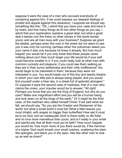suppose it were the case of a man who accused everybody of conspiring against him. If we could express our deepest feelings of protest and appeal against this obsession, I suppose we should say something like this: "Oh, I admit that you have your case and have it by heart, and that many things do fit into other things as you say. I admit that your explanation explains a great deal; but what a great deal it leaves out! Are there no other stories in the world except yours; and are all men busy wth your busness? Suppose we grant the details; perhaps when the man in the street did not seem to see you it was only his cunning; perhaps when the policeman asked you your name it was only because he knew it already. But how much happier you would be if you only knew that these people cared nothing about you! How much larger your life would be if your self could become smaller in it; if you could really look at other men with common curiosity and pleasure; if you could see them walking as they are in their sunny selfishness and their virile indifference! You would begin to be interested in them, because they were not interested in you. You would break out of this tiny and tawdry theatre in which your own little plot is always being played, and you would find yourself under a freer sky, in a street full of splendid strangers." Or suppose it were the second case of madness, that of a man who claims the crown, your impulse would be to answer, "All right! Perhaps you know that you are the King of England; but why do you care? Make one magnificent effort and you will be a human being and look down on all the kings of the earth." Or it might be the third case, of the madman who called himself Christ. If we said what we felt, we should say, "So you are the Creator and Redeemer of the world: but what a small world it must be! What a little heaven you must inhabit, with angels no bigger than butterflies! How sad it must be to be God; and an inadequate God! Is there really no life fuller and no love more marvellous than yours; and is it really in your small and painful pity that all flesh must put its faith? How much happier you would be, how much more of you there would be, if the hammer of a higher God could smash your small cosmos, scattering the stars like spangles, and leave you in the open, free like other men to look up as well as down!"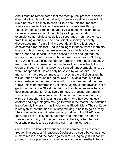And it must be remembered that the most purely practical science does take this view of mental evil; it does not seek to argue with it like a heresy but simply to snap it like a spell. Neither modern science nor ancient religion believes in complete free thought. Theology rebukes certain thoughts by calling them blasphemous. Science rebukes certain thoughts by calling them morbid. For example, some religious societies discouraged men more or less from thinking about sex. The new scientific society definitely discourages men from thinking about death; it is a fact, but it is considered a morbid fact. And in dealing with those whose morbidity has a touch of mania, modern science cares far less for pure logic than a dancing Dervish. In these cases it is not enough that the unhappy man should desire truth; he must desire health. Nothing can save him but a blind hunger for normality, like that of a beast. A man cannot think himself out of mental evil; for it is actually the organ of thought that has become diseased, ungovernable, and, as it were, independent. He can only be saved by will or faith. The moment his mere reason moves, it moves in the old circular rut; he will go round and round his logical circle, just as a man in a thirdclass carriage on the Inner Circle will go round and round the Inner Circle unless he performs the voluntary, vigorous, and mystical act of getting out at Gower Street. Decision is the whole business here; a door must be shut for ever. Every remedy is a desperate remedy. Every cure is a miraculous cure. Curing a madman is not arguing with a philosopher; it is casting out a devil. And however quietly doctors and psychologists may go to work in the matter, their attitude is profoundly intolerant— as intolerant as Bloody Mary. Their attitude is really this: that the man must stop thinking, if he is to go on living. Their counsel is one of intellectual amputation. If thy HEAD offend thee, cut it off; for it is better, not merely to enter the Kingdom of Heaven as a child, but to enter it as an imbecile, rather than with your whole intellect to be cast into hell— or into Hanwell.

Such is the madman of experience; he is commonly a reasoner, frequently a successful reasoner. Doubtless he could be vanqushed in mere reason, and the case against him put logically. But it can be put much more precisely in more general and even aesthetic terms.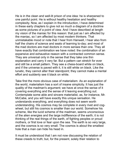He is in the clean and well-lit prison of one idea: he is sharpened to one painful point. He is without healthy hesitation and healthy complexity. Now, as I explain in the introduction, I have determined in these early chapters to give not so much a diagram of a doctrine as some pictures of a point of view. And I have described at length my vision of the maniac for this reason: that just as I am affected by the maniac, so I am affected by most modern thinkers. That unmstakable mood or note that I hear from Hanwell, I hear also from half the chairs of science and seats of learning to-day; and most of the mad doctors are mad doctors in more senses than one. They all have exactly that combination we have noted: the combination of an expansive and exhaustive reason with a contracted common sense. They are universal only in the sense that they take one thin explanation and carry it very far. But a pattern can stretch for ever and still be a small pattern. They see a chess-board white on black, and if the universe is paved with it, it is still white on black. Like the lunatic, they cannot alter their standpoint; they cannot make a mental effort and suddenly see it black on white.

Take first the more obvious case of materialism. As an explanation of the world, materialism has a sort of insane simplicity. It has just the quality of the madman's argument; we have at once the sense of it covering everything and the sense of it leaving everything out. Contemplate some able and sincere materialist, as, for instance, Mr. McCabe, and you will have exactly this unique sensation. He understands everything, and everything does not seem worth understanding. His cosmos may be complete in every rivet and cogwheel, but still his cosmos is smaller than our world. Somehow his scheme, like the lucid scheme of the madman, seems unconscious of the alien energies and the large indifference of the earth; it is not thinking of the real things of the earth, of fighting peoples or proud mothers, or first love or fear upon the sea. The earth is so very large, and the cosmos is so very small. The cosmos is about the smallest hole that a man can hide his head in.

It must be understood that I am not now discussing the relation of these creeds to truth; but, for the present, solely their relation to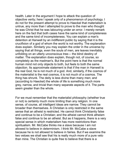health. Later in the argument I hope to attack the question of objective verity; here I speak only of a phenomenon of psychology. I do not for the present attempt to prove to Haeckel that materialism is untrue, any more than I attempted to prove to the man who thought he was Christ that he was labouring under an error. I merely remark here on the fact that both cases have the same kind of completeness and the same kind of incompleteness. You can explain a man's detention at Hanwell by an indifferent public by saying that it is the crucifixion of a god of whom the world is not worthy. The explanation does explain. Similarly you may explain the order in the universe by saying that all things, even the souls of men, are leaves inevitably unfolding on an utterly unconscious tree— the blind destiny of matter. The explanation does explain, though not, of course, so completely as the madman's. But the point here is that the normal human mind not only objects to both, but feels to both the same objection. Its approximate statement is that if the man in Hanwell is the real God, he is not much of a god. And, similarly, if the cosmos of the materialist is the real cosmos, it is not much of a cosmos. The thing has shrunk. The deity is less divine than many men; and (according to Haeckel) the whole of life is something much more grey, narrow, and trivial than many separate aspects of it. The parts seem greater than the whole.

For we must remember that the materialist philosophy (whether true or not) is certainly much more limiting than any religion. In one sense, of course, all intelligent ideas are narrow. They cannot be broader than themselves. A Christian is only restricted in the same sense that an atheist is restricted. He cannot think Christianity false and continue to be a Christian; and the atheist cannot think atheism false and continue to be an atheist. But as it happens, there is a very special sense in which materialism has more restrictions than spiritualism. Mr. McCabe thinks me a slave because I am not allowed to believe in determinism. I think Mr. McCabe a slave because he is not allowed to believe in fairies. But if we examine the two vetoes we shall see that his is really much more of a pure veto than mine. The Christian is quite free to believe that there is a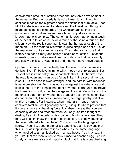considerable amount of settled order and inevitable development in the universe. But the materialist is not allowed to admit into his spotless machine the slightest speck of spiritualism or miracle. Poor Mr. McCabe is not allowed to retain even the tiniest imp, though it might be hiding in a pimpernel. The Christian admits that the universe is manifold and even miscellaneous, just as a sane man knows that he is complex. The sane man knows that he has a touch of the beast, a touch of the devil, a touch of the saint, a touch of the citizen. Nay, the really sane man knows that he has a touch of the madman. But the materialist's world is quite simple and solid, just as the madman is quite sure he is sane. The materialist is sure that history has been simply and solely a chain of causation, just as the interesting person before mentioned is quite sure that he is simply and solely a chicken. Materialists and madmen never have doubts.

Spiritual doctrines do not actually limit the mind as do materialistic denials. Even if I believe in immortality I need not think about it. But if I disbelieve in immortality I must not think about it. In the first case the road is open and I can go as far as I like; in the second the road is shut. But the case is even stronger, and the parallel with madness is yet more strange. For it was our case against the exhaustive and logical theory of the lunatic that, right or wrong, it gradually destroyed his humanity. Now it is the charge against the main deductions of the materialist that, right or wrong, they gradually destroy his humanity; I do not mean only kindness, I mean hope, courage, poetry, initiative, all that is human. For instance, when materialism leads men to complete fatalism (as it generally does), it is quite idle to pretend that it is in any sense a liberating force. It is absurd to say that you are especially advancing freedom when you only use free thought to destroy free will. The determinists come to bind, not to loose. They may well call their law the "chain" of causation. It is the worst chain that ever fettered a human being. You may use the language of liberty, if you like, about materialistic teaching, but it is obvious that this is just as inapplicable to it as a whole as the same language when applied to a man locked up in a mad-house. You may say, if you like, that the man is free to think himself a poached egg. But it is surely a more massive and important fact that if he is a poached egg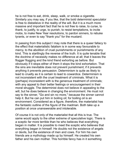he is not free to eat, drink, sleep, walk, or smoke a cigarette. Similarly you may say, if you like, that the bold determinist speculator is free to disbelieve in the reality of the will. But it is a much more massive and important fact that he is not free to raise, to curse, to thank, to justify, to urge, to punish, to resist temptations, to incite mobs, to make New Year resolutions, to pardon sinners, to rebuke tyrants, or even to say "thank you" for the mustard.

In passing from this subject I may note that there is a queer fallacy to the effect that materialistic fatalism is in some way favourable to mercy, to the abolition of cruel punishments or punishments of any kind. This is startlingly the reverse of the truth. It is quite tenable that the doctrine of necessity makes no difference at all; that it leaves the flogger flogging and the kind friend exhorting as before. But obviously if it stops either of them it stops the kind exhortation. That the sins are inevitable does not prevent punishment; if it prevents anything it prevents persuasion. Determinism is quite as likely to lead to cruelty as it is certain to lead to cowardice. Determinism is not inconsistent with the cruel treatment of criminals. What it is (perhaps) inconsistent with is the generous treatment of criminals; with any appeal to their better feelings or encouragement in their moral struggle. The determinist does not believe in appealing to the will, but he does believe in changing the environment. He must not say to the sinner, "Go and sin no more," because the sinner cannot help it. But he can put him in boiling oil; for boiling oil is an environment. Considered as a figure, therefore, the materialist has the fantastic outline of the figure of the madman. Both take up a position at once unanswerable and intolerable.

Of course it is not only of the materialist that all this is true. The same would apply to the other extreme of speculative logic. There is a sceptic far more terrible than he who believes that everything began in matter. It is possible to meet the sceptic who believes that everything began in himself. He doubts not the existence of angels or devils, but the existence of men and cows. For him his own friends are a mythology made up by himself. He created his own father and his own mother. This horrible fancy has in it something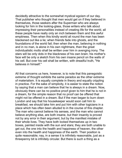decidedly attractive to the somewhat mystical egoism of our day. That publisher who thought that men would get on if they believed in themselves, those seekers after the Superman who are always looking for him in the looking-glass, those writers who talk about impressing their personalities instead of creating life for the world, all these people have really only an inch between them and this awful emptiness. Then when this kindly world all round the man has been blackened out like a lie; when friends fade into ghosts, and the foundations of the world fail; then when the man, believing in nothing and in no man, is alone in his own nightmare, then the great individualistic motto shall be written over him in avenging irony. The stars will be only dots in the blackness of his own brain; his mother's face will be only a sketch from his own insane pencil on the walls of his cell. But over his cell shall be written, with dreadful truth, "He believes in himself "

All that concerns us here, however, is to note that this panegoistic extreme of thought exhibits the same paradox as the other extreme of materialism. It is equally complete in theory and equally crippling in practice. For the sake of simplicity, it is easier to state the notion by saying that a man can believe that he is always in a dream. Now, obviously there can be no positive proof given to him that he is not in a dream, for the simple reason that no proof can be offered that might not be offered in a dream. But if the man began to burn down London and say that his housekeeper would soon call him to breakfast, we should take him and put him with other logicians in a place which has often been alluded to in the course of this chapter. The man who cannot believe his senses, and the man who cannot believe anything else, are both insane, but their insanity is proved not by any error in their argument, but by the manifest mistake of their whole lives. They have both locked themselves up in two boxes, painted inside with the sun and stars; they are both unable to get out, the one into the health and happiness of heaven, the other even into the health and happiness of the earth. Their position is quite reasonable; nay, in a sense it is infinitely reasonable, just as a threepenny bit is infinitely circular. But there is such a thing as a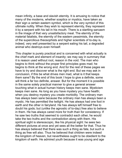mean infinity, a base and slavish eternity. It is amusing to notice that many of the moderns, whether sceptics or mystics, have taken as their sign a certain eastern symbol, which is the very symbol of this ultimate nullity. When they wish to represent eternity, they represent it by a serpent with his tail in his mouth. There is a startling sarcasm in the image of that very unsatisfactory meal. The eternity of the material fatalists, the eternity of the eastern pessimists, the eternity of the supercilious theosophists and higher scientists of to-day is, indeed, very well presented by a serpent eating his tail, a degraded animal who destroys even himself.

This chapter is purely practical and is concerned with what actually is the chief mark and element of insanity; we may say in summary that it is reason used without root, reason in the void. The man who begins to think without the proper first principles goes mad; he begins to think at the wrong end. And for the rest of these pages we have to try and discover what is the right end. But we may ask in conclusion, if this be what drives men mad, what is it that keeps them sane? By the end of this book I hope to give a definite, some will think a far too definite, answer. But for the moment it is possible in the same solely practical manner to give a general answer touching what in actual human history keeps men sane. Mysticism keeps men sane. As long as you have mystery you have health; when you destroy mystery you create morbidity. The ordinary man has always been sane because the ordinary man has always been a mystic. He has permitted the twilight. He has always had one foot in earth and the other in fairyland. He has always left himself free to doubt his gods; but (unlike the agnostic of to-day) free also to believe in them. He has always cared more for truth than for consistency. If he saw two truths that seemed to contradict each other, he would take the two truths and the contradiction along with them. His spiritual sight is stereoscopic, like his physical sight: he sees two different pictures at once and yet sees all the better for that. Thus he has always believed that there was such a thing as fate, but such a thing as free will also. Thus he believed that children were indeed the kingdom of heaven, but nevertheless ought to be obedient to the kingdom of earth. He admired youth because it was young and age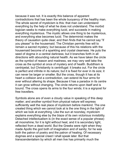because it was not. It is exactly this balance of apparent contradictions that has been the whole buoyancy of the healthy man. The whole secret of mysticism is this: that man can understand everything by the help of what he does not understand. The morbid logician seeks to make everything lucid, and succeeds in making everything mysterious. The mystic allows one thing to be mysterious, and everything else becomes lucid. The determinist makes the theory of causation quite clear, and then finds that he cannot say "if you please" to the housemaid. The Christian permits free will to remain a sacred mystery; but because of this his relations with the housemaid become of a sparkling and crystal clearness. He puts the seed of dogma in a central darkness; but it branches forth in all directions with abounding natural health. As we have taken the circle as the symbol of reason and madness, we may very well take the cross as the symbol at once of mystery and of health. Buddhism is centripetal, but Christianity is centrifugal: it breaks out. For the circle is perfect and infinite in its nature; but it is fixed for ever in its size; it can never be larger or smaller. But the cross, though it has at its heart a collision and a contradiction, can extend its four arms for ever without altering its shape. Because it has a paradox in its centre it can grow without changing. The circle returns upon itself and is bound. The cross opens its arms to the four winds; it is a signpost for free travellers.

Symbols alone are of even a cloudy value in speaking of this deep matter; and another symbol from physical nature will express sufficiently well the real place of mysticism before mankind. The one created thing which we cannot look at is the one thing in the light of which we look at everything. Like the sun at noonday, mysticism explains everything else by the blaze of its own victorious invisibility. Detached intellectualism is (in the exact sense of a popular phrase) all moonshine; for it is light without heat, and it is secondary light, reflected from a dead world. But the Greeks were right when they made Apollo the god both of imagination and of sanity; for he was both the patron of poetry and the patron of healng. Of necessary dogmas and a special creed I shall speak later. But that transcendentalism by which all men live has primarily much the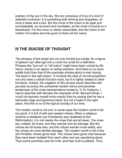position of the sun in the sky. We are conscious of it as of a kind of splendid confusion; it is something both shining and shapeless, at once a blaze and a blur. But the circle of the moon is as clear and unmistakable, as recurrent and inevitable, as the circle of Euclid on a blackboard. For the moon is utterly reasonable; and the moon is the mother of lunatics and has given to them all her name.

### **III THE SUICIDE OF THOUGHT**

The phrases of the street are not only forcible but subtle: for a figure of speech can often get into a crack too small for a definition. Phrases like "put out" or "off colour" might have been coined by Mr. Henry James in an agony of verbal precision. And there is no more subtle truth than that of the everyday phrase about a man having "his heart in the right place." It involves the idea of normal proportion; not only does a certain function exist, but it is rightly related to other functions. Indeed, the negation of this phrase would describe with peculiar accuracy the somewhat morbid mercy and perverse tenderness of the most representative moderns. If, for instance, I had to describe with fairness the character of Mr. Bernard Shaw, I could not express myself more exactly than by saying that he has a heroically large and generous heart; but not a heart in the right place. And this is so of the typical society of our time.

The modern world is not evil; in some ways the modern world is far too good. It is full of wild and wasted virtues. When a religious scheme is shattered (as Christianity was shattered at the Reformation), it is not merely the vices that are let loose. The vices are, indeed, let loose, and they wander and do damage. But the virtues are let loose also; and the virtues wander more wildly, and the virtues do more terrible damage. The modern world is full of the old Christian virtues gone mad. The virtues have gone mad because they have been isolated from each other and are wandering alone. Thus some scientists care for truth; and their truth is pitiless. Thus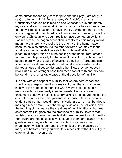some humanitarians only care for pity; and their pity (I am sorry to say) is often untruthful. For example, Mr. Blatchford attacks Christianity because he is mad on one Christian virtue: the merely mystical and almost irrational virtue of charity. He has a strange idea that he will make it easier to forgive sins by saying that there are no sins to forgive. Mr. Blatchford is not only an early Christian, he is the only early Christian who ought really to have been eaten by lions. For in his case the pagan accusation is really true: his mercy would mean mere anarchy. He really is the enemy of the human race because he is so human. As the other extreme, we may take the acrid realist, who has deliberately killed in himself all human pleasure in happy tales or in the healing of the heart. Torquemada tortured people physically for the sake of moral truth. Zola tortured people morally for the sake of physical truth. But in Torquemada's time there was at least a system that could to some extent make righteousness and peace kiss each other. Now they do not even bow. But a much stronger case than these two of truth and pity can be found in the remarkable case of the dislocation of humility.

It is only with one aspect of humility that we are here concerned. Humility was largely meant as a restraint upon the arrogance and infinity of the appetite of man. He was always outstripping his mercies with his own newly invented needs. His very power of enjoyment destroyed half his joys. By asking for pleasure, he lost the chief pleasure; for the chief pleasure is surprise. Hence it became evident that if a man would make his world large, he must be always making himself small. Even the haughty visions, the tall cities, and the toppling pinnacles are the creations of humility. Giants that tread down forests like grass are the creations of humility. Towers that vanish upwards above the loneliest star are the creations of humility. For towers are not tall unless we look up at them; and giants are not giants unless they are larger than we. All this gigantesque imagination, which is, perhaps, the mightiest of the pleasures of man, is at bottom entirely humble. It is impossible without humility to enjoy anything— even pride.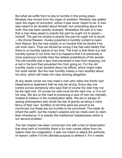But what we suffer from to-day is humility in the wrong place. Modesty has moved from the organ of ambition. Modesty has settled upon the organ of conviction; where it was never meant to be. A man was meant to be doubtful about himself, but undoubting about the truth; this has been exactly reversed. Nowadays the part of a man that a man does assert is exactly the part he ought not to assert himself. The part he doubts is exactly the part he ought not to doubt —the Divine Reason. Huxley preached a humility content to learn from Nature. But the new sceptic is so humble that he doubts if he can even learn. Thus we should be wrong if we had said hastily that there is no humility typical of our time. The truth is that there is a real humility typical of our time; but it so happens that it is practically a more poisonous humility than the wildest prostrations of the ascetic. The old humility was a spur that prevented a man from stopping; not a nail in his boot that prevented him from going on. For the old humility made a man doubtful about his efforts, which might make him work harder. But the new humility makes a man doubtful about his aims, which will make him stop working altogether.

At any street corner we may meet a man who utters the frantic and blasphemous statement that he may be wrong. Every day one comes across somebody who says that of course his view may not be the right one. Of course his view must be the right one, or it is not his view. We are on the road to producing a race of men too mentally modest to believe in the multiplication table. We are in danger of seeing philosophers who doubt the law of gravity as being a mere fancy of their own. Scoffers of old time were too proud to be convinced; but these are too humble to be convinced. The meek do inherit the earth; but the modern sceptics are too meek even to claim their inheritance. It is exactly this intellectual helplessness which is our second problem.

The last chapter has been concerned only with a fact of observation: that what peril of morbidity there is for man comes rather from his reason than his imagination. It was not meant to attack the authority of reason; rather it is the ultimate purpose to defend it. For it needs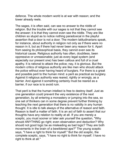defence. The whole modern world is at war with reason; and the tower already reels.

The sages, it is often said, can see no answer to the riddle of religion. But the trouble with our sages is not that they cannot see the answer; it is that they cannot even see the riddle. They are like children so stupid as to notice nothing paradoxical in the playful assertion that a door is not a door. The modern latitudinarians speak, for instance, about authority in religion not only as if there were no reason in it, but as if there had never been any reason for it. Apart from seeing its philosophical basis, they cannot even see its historical cause. Religious authority has often, doubtless, been oppressive or unreasonable; just as every legal system (and especially our present one) has been callous and full of a cruel apathy. It is rational to attack the police; nay, it is glorious. But the modern critics of religious authority are like men who should attack the police without ever having heard of burglars. For there is a great and possible peril to the human mind: a peril as practical as burglary. Against it religious authority was reared, rightly or wrongly, as a barrier. And against it something certainly must be reared as a barrier, if our race is to avoid ruin.

That peril is that the human intellect is free to destroy itself. Just as one generation could prevent the very existence of the next generation, by all entering a monastery or jumping into the sea, so one set of thinkers can in some degree prevent further thinking by teaching the next generation that there is no validity in any human thought. It is idle to talk always of the alternative of reason and faith. Reason is itself a matter of faith. It is an act of faith to assert that our thoughts have any relation to reality at all. If you are merely a sceptic, you must sooner or later ask yourself the question, "Why should ANYTHING go right; even observation and deduction? Why should not good logic be as misleading as bad logic? They are both movements in the brain of a bewildered ape?" The young sceptic says, "I have a right to think for myself." But the old sceptic, the complete sceptic, says, "I have no right to think for myself. I have no right to think at all."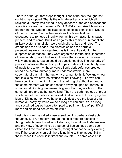There is a thought that stops thought. That is the only thought that ought to be stopped. That is the ultimate evil against which all religious authority was aimed. It only appears at the end of decadent ages like our own: and already Mr. H.G. Wells has raised its ruinous banner; he has written a delicate piece of scepticism called "Doubts" of the Instrument." In this he questions the brain itself, and endeavours to remove all reality from all his own assertions, past, present, and to come. But it was against this remote ruin that all the military systems in religion were originally ranked and ruled. The creeds and the crusades, the hierarchies and the horrible persecutions were not organized, as is ignorantly said, for the suppression of reason. They were organized for the difficult defence of reason. Man, by a blind instinct, knew that if once things were wildly questioned, reason could be questioned first. The authority of priests to absolve, the authority of popes to define the authority, even of inquisitors to terrify: these were all only dark defences erected round one central authority, more undemonstrable, more supernatural than all—the authority of a man to think. We know now that this is so; we have no excuse for not knowing it. For we can hear scepticism crashing through the old ring of authorities, and at the same moment we can see reason swaying upon her throne. In so far as religion is gone, reason is going. For they are both of the same primary and authoritative kind. They are both methods of proof which cannot themselves be proved. And in the act of destroying the idea of Divine authority we have largely destroyed the idea of that human authority by which we do a long-division sum. With a long and sustained tug we have attempted to pull the mitre off pontifical man; and his head has come off with it.

Lest this should be called loose assertion, it is perhaps desirable, though dull, to run rapidly through the chief modern fashions of thought which have this effect of stopping thought itself. Materialism and the view of everything as a personal illusion have some such effect; for if the mind is mechanical, thought cannot be very exciting, and if the cosmos is unreal, there is nothing to think about. But in these cases the effect is indirect and doubtful. In some cases it is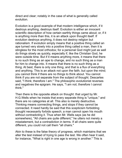direct and clear; notably in the case of what is generally called evolution.

Evolution is a good example of that modern intelligence which, if it destroys anything, destroys itself. Evolution is either an innocent scientific description of how certain earthly things came about; or, if it is anything more than this, it is an attack upon thought itself. If evolution destroys anything, it does not destroy religion but rationalism. If evolution simply means that a positive thing called an ape turned very slowly into a positive thing called a man, then it is stingless for the most orthodox; for a personal God might just as well do things slowly as quickly, especially if, like the Christian God, he were outside time. But if it means anything more, it means that there is no such thing as an ape to change, and no such thing as a man for him to change into. It means that there is no such thing as a thing. At best, there is only one thing, and that is a flux of everything and anything. This is an attack not upon the faith, but upon the mind; you cannot think if there are no things to think about. You cannot think if you are not separate from the subject of thought. Descartes said, "I think; therefore I am." The philosophic evolutionist reverses and negatives the epigram. He says, "I am not; therefore I cannot think."

Then there is the opposite attack on thought: that urged by Mr. H.G. Wells when he insists that every separate thing is "unique," and there are no categories at all. This also is merely destructive. Thinking means connecting things, and stops if they cannot be connected. It need hardly be said that this scepticism forbidding thought necessarily forbids speech; a man cannot open his mouth without contradicting it. Thus when Mr. Wells says (as he did somewhere), "All chairs are quite different," he utters not merely a misstatement, but a contradiction in terms. If all chairs were quite different, you could not call them "all chairs."

Akin to these is the false theory of progress, which maintains that we alter the test instead of trying to pass the test. We often hear it said, for instance, "What is right in one age is wrong in another." This is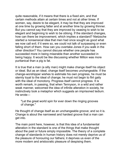quite reasonable, if it means that there is a fixed aim, and that certain methods attain at certain times and not at other times. If women, say, desire to be elegant, it may be that they are improved at one time by growing fatter and at another time by growing thinner. But you cannot say that they are improved by ceasing to wish to be elegant and beginning to wish to be oblong. If the standard changes, how can there be improvement, which implies a standard? Nietzsche started a nonsensical idea that men had once sought as good what we now call evil; if it were so, we could not talk of surpassing or even falling short of them. How can you overtake Jones if you walk in the other direction? You cannot discuss whether one people has succeeded more in being miserable than another succeeded in being happy. It would be like discussing whether Milton was more puritanical than a pig is fat.

It is true that a man (a silly man) might make change itself his object or ideal. But as an ideal, change itself becomes unchangeable. If the change-worshipper wishes to estimate his own progress, he must be sternly loyal to the ideal of change; he must not begin to flirt gaily with the ideal of monotony. Progress itself cannot progress. It is worth remark, in passing, that when Tennyson, in a wild and rather weak manner, welcomed the idea of infinite alteration in society, he instinctively took a metaphor which suggests an imprisoned tedium. He wrote—

"Let the great world spin for ever down the ringing grooves of change."

He thought of change itself as an unchangeable groove; and so it is. Change is about the narrowest and hardest groove that a man can get into.

The main point here, however, is that this idea of a fundamental alteration in the standard is one of the things that make thought about the past or future simply impossible. The theory of a complete change of standards in human history does not merely deprive us of the pleasure of honouring our fathers; it deprives us even of the more modern and aristocratic pleasure of despising them.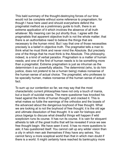This bald summary of the thought-destroying forces of our time would not be complete without some reference to pragmatism; for though I have here used and should everywhere defend the pragmatist method as a preliminary guide to truth, there is an extreme application of it which involves the absence of all truth whatever. My meaning can be put shortly thus. I agree with the pragmatists that apparent objective truth is not the whole matter; that there is an authoritative need to believe the things that are necessary to the human mind. But I say that one of those necessities precisely is a belief in objective truth. The pragmatist tells a man to think what he must think and never mind the Absolute. But precisely one of the things that he must think is the Absolute. This philosophy, indeed, is a kind of verbal paradox. Pragmatism is a matter of human needs; and one of the first of human needs is to be something more than a pragmatist. Extreme pragmatism is just as inhuman as the determinism it so powerfully attacks. The determinist (who, to do him justice, does not pretend to be a human being) makes nonsense of the human sense of actual choice. The pragmatist, who professes to be specially human, makes nonsense of the human sense of actual fact.

To sum up our contention so far, we may say that the most characteristic current philosophies have not only a touch of mania, but a touch of suicidal mania. The mere questioner has knocked his head against the limits of human thought; and cracked it. This is what makes so futile the warnings of the orthodox and the boasts of the advanced about the dangerous boyhood of free thought. What we are looking at is not the boyhood of free thought; it is the old age and ultimate dissolution of free thought. It is vain for bishops and pious bigwigs to discuss what dreadful things will happen if wild scepticism runs its course. It has run its course. It is vain for eloquent atheists to talk of the great truths that will be revealed if once we see free thought begin. We have seen it end. It has no more questions to ask; it has questioned itself. You cannot call up any wilder vision than a city in which men ask themselves if they have any selves. You cannot fancy a more sceptical world than that in which men doubt if there is a world. It might certainly have reached its bankruptcy more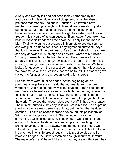quickly and cleanly if it had not been feebly hampered by the application of indefensible laws of blasphemy or by the absurd pretence that modern England is Christian. But it would have reached the bankruptcy anyhow. Militant atheists are still unjustly persecuted; but rather because they are an old minority than because they are a new one. Free thought has exhausted its own freedom. It is weary of its own success. If any eager freethinker now hails philosophic freedom as the dawn, he is only like the man in Mark Twain who came out wrapped in blankets to see the sun rise and was just in time to see it set. If any frightened curate still says that it will be awful if the darkness of free thought should spread, we can only answer him in the high and powerful words of Mr. Belloc, "Do not, I beseech you, be troubled about the ncrease of forces already in dissolution. You have mistaken the hour of the night: it is already morning." We have no more questions left to ask. We have looked for questions in the darkest corners and on the wildest peaks. We have found all the questions that can be found. It is time we gave up looking for questions and began looking for answers.

But one more word must be added. At the beginning of this preliminary negative sketch I said that our mental ruin has been wrought by wild reason, not by wild imagination. A man does not go mad because he makes a statue a mile high, but he may go mad by thinking it out in square inches. Now, one school of thinkers has seen this and jumped at it as a way of renewing the pagan health of the world. They see that reason destroys; but Will, they say, creates. The ultimate authority, they say, is in will, not in reason. The supreme point is not why a man demands a thing, but the fact that he does demand it. I have no space to trace or expound this philosophy of Will. It came, I suppose, through Nietzsche, who preached something that is called egoism. That, indeed, was simpleminded enough; for Nietzsche denied egoism simply by preaching it. To preach anything is to give it away. First, the egoist calls life a war without mercy, and then he takes the greatest possible trouble to drill his enemies in war. To preach egoism is to practise altruism. But however it began, the view is common enough in current literature. The main defence of these thinkers is that they are not thinkers; they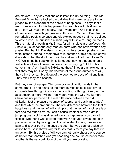are makers. They say that choice is itself the divine thing. Thus Mr. Bernard Shaw has attacked the old idea that men's acts are to be judged by the standard of the desire of happiness. He says that a man does not act for his happiness, but from his will. He does not say, "Jam will make me happy," but "I want jam." And in all this others follow him with yet greater enthusiasm. Mr. John Davidson, a remarkable poet, is so passionately excited about it that he is obliged to write prose. He publishes a short play with several long prefaces. This is natural enough in Mr. Shaw, for all his plays are prefaces: Mr. Shaw is (I suspect) the only man on earth who has never written any poetry. But that Mr. Davidson (who can write excellent poetry) should write instead laborious metaphysics in defence of this doctrine of will, does show that the doctrine of will has taken hold of men. Even Mr. H.G. Wells has half spoken in its language; saying that one should test acts not like a thinker, but like an artist, saying, "I FEEL this curve is right," or "that line SHALL go thus." They are all excited; and well they may be. For by this doctrine of the divine authority of will, they think they can break out of the doomed fortress of rationalism. They think they can escape.

But they cannot escape. This pure praise of volition ends in the same break up and blank as the mere pursuit of logic. Exactly as complete free thought involves the doubting of thought itself, so the acceptation of mere "willing" really paralyzes the will. Mr. Bernard Shaw has not perceived the real difference between the old utilitarian test of pleasure (clumsy, of course, and easily misstated) and that which he propounds. The real difference between the test of happiness and the test of will is simply that the test of happiness is a test and the other isn't. You can discuss whether a man's act in jumping over a cliff was directed towards happiness; you cannot discuss whether it was derived from will. Of course it was. You can praise an action by saying that it is calculated to bring pleasure or pain to discover truth or to save the soul. But you cannot praise an action because it shows will; for to say that is merely to say that it is an action. By this praise of will you cannot really choose one course as better than another. And yet choosing one course as better than another is the very definition of the will you are praising.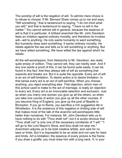The worship of will is the negation of will. To admire mere choice is to refuse to choose. If Mr. Bernard Shaw comes up to me and says, "Will something," that is tantamount to saying, "I do not mind what you will," and that is tantamount to saying, "I have no will in the matter." You cannot admire will in general, because the essence of will is that it is particular. A brilliant anarchist like Mr. John Davidson feels an irritation against ordinary morality, and therefore he invokes will—will to anything. He only wants humanity to want something. But humanity does want something. It wants ordinary morality. He rebels against the law and tells us to will something or anything. But we have willed something. We have willed the law against which he rebels.

All the will-worshippers, from Nietzsche to Mr. Davidson, are really quite empty of volition. They cannot will, they can hardly wish. And if any one wants a proof of this, it can be found quite easily. It can be found in this fact: that they always talk of will as something that expands and breaks out. But it is quite the opposite. Every act of will is an act of self-limitation. To desire action is to desire limitation. In that sense every act is an act of self-sacrifice. When you choose anything, you reject everything else. That objection, which men of this school used to make to the act of marriage, is really an objection to every act. Every act is an irrevocable selection and exclusion. Just as when you marry one woman you give up all the others, so when you take one course of action you give up all the other courses. If you become King of England, you give up the post of Beadle in Brompton. If you go to Rome, you sacrifice a rich suggestive life in Wimbledon. It is the existence of this negative or limiting side of will that makes most of the talk of the anarchic will-worshippers little better than nonsense. For instance, Mr. John Davidson tells us to have nothing to do with "Thou shalt not"; but it is surely obvious that "Thou shalt not" is only one of the necessary corollaries of "I will." "I will go to the Lord Mayor's Show, and thou shalt not stop me." Anarchism adjures us to be bold creative artists, and care for no laws or limits. But it is impossible to be an artist and not care for laws and limits. Art is limitation; the essence of every picture is the frame. If you draw a giraffe, you must draw him with a long neck. If, in your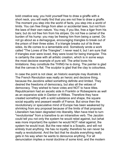bold creative way, you hold yourself free to draw a giraffe with a short neck, you will really find that you are not free to draw a giraffe. The moment you step into the world of facts, you step into a world of limits. You can free things from alien or accidental laws, but not from the laws of their own nature. You may, if you like, free a tiger from his bars; but do not free him from his stripes. Do not free a camel of the burden of his hump: you may be freeing him from being a camel. Do not go about as a demagogue, encouraging triangles to break out of the prison of their three sides. If a triangle breaks out of its three sides, its life comes to a lamentable end. Somebody wrote a work called "The Loves of the Triangles"; I never read it, but I am sure that if triangles ever were loved, they were loved for being triangular. This is certainly the case with all artistic creation, which is in some ways the most decisive example of pure will. The artist loves his limitations: they constitute the THING he is doing. The painter is glad that the canvas is flat. The sculptor is glad that the clay is colourless.

In case the point is not clear, an historic example may illustrate it. The French Revolution was really an heroic and decisive thing, because the Jacobins willed something definite and limited. They desired the freedoms of democracy, but also all the vetoes of democracy. They wished to have votes and NOT to have titles. Republicanism had an ascetic side in Franklin or Robespierre as well as an expansive side in Danton or Wilkes. Therefore they have created something with a solid substance and shape, the square social equality and peasant wealth of France. But since then the revolutionary or speculative mind of Europe has been weakened by shrinking from any proposal because of the limits of that proposal. Liberalism has been degraded into liberality. Men have tried to turn "revolutionise" from a transitive to an intransitive verb. The Jacobin could tell you not only the system he would rebel against, but (what was more important) the system he would NOT rebel against, the system he would trust. But the new rebel is a Sceptic, and will not entirely trust anything. He has no loyalty; therefore he can never be really a revolutionist. And the fact that he doubts everything really gets in his way when he wants to denounce anything. For all denunciation implies a moral doctrine of some kind; and the modern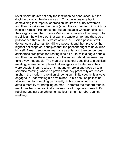revolution ist doubts not only the institution he denounces, but the doctrine by which he denounces it. Thus he writes one book complaining that imperial oppression insults the purity of women, and then he writes another book (about the sex problem) in which he insults it himself. He curses the Sultan because Christian girls lose their virginity, and then curses Mrs. Grundy because they keep it. As a politician, he will cry out that war is a waste of life, and then, as a philosopher, that all life is waste of time. A Russian pessimist will denounce a policeman for killing a peasant, and then prove by the highest philosophical principles that the peasant ought to have killed himself. A man denounces marriage as a lie, and then denounces aristocratic profligates for treating it as a lie. He calls a flag a bauble, and then blames the oppressors of Poland or Ireland because they take away that bauble. The man of this school goes first to a political meeting, where he complains that savages are treated as if they were beasts; then he takes his hat and umbrella and goes on to a scientific meeting, where he proves that they practically are beasts. In short, the modern revolutionist, being an infinite sceptic, is always engaged in undermining his own mines. In his book on politics he attacks men for trampling on morality; in his book on ethics he attacks morality for trampling on men. Therefore the modern man in revolt has become practically useless for all purposes of revolt. By rebelling against everything he has lost his right to rebel against anything.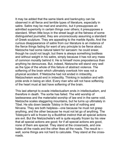It may be added that the same blank and bankruptcy can be observed in all fierce and terrible types of literature, especially in satire. Satire may be mad and anarchic, but it presupposes an admitted superiority in certain things over others; it presupposes a standard. When little boys in the street laugh at the fatness of some distinguished journalist, they are unconsciously assuming a standard of Greek sculpture. They are appealng to the marble Apollo. And the curious disappearance of satire from our literature is an instance of the fierce things fading for want of any principle to be fierce about. Nietzsche had some natural talent for sarcasm: he could sneer, though he could not laugh; but there is always something bodiless and without weight in his satire, simply because it has not any mass of common morality behind it. He is himself more preposterous than anything he denounces. But, indeed, Nietzsche will stand very well as the type of the whole of this failure of abstract violence. The softening of the brain which ultimately overtook him was not a physical accident. If Nietzsche had not ended in imbecility, Nietzscheism would end in imbecility. Thinking in isolation and with pride ends in being an idiot. Every man who will not have softening of the heart must at last have softening of the brain.

This last attempt to evade intellectualism ends in intellectualism, and therefore in death. The sortie has failed. The wild worship of lawlessness and the materialist worship of law end in the same void. Nietzsche scales staggering mountains, but he turns up ultimately in Tibet. He sits down beside Tolstoy in the land of nothing and Nirvana. They are both helpless—one because he must not grasp anything, and the other because he must not let go of anything. The Tolstoyan's will is frozen by a Buddhist instinct that all special actions are evil. But the Nietzscheite's will is quite equally frozen by his view that all special actions are good; for if all special actions are good, none of them are special. They stand at the crossroads, and one hates all the roads and the other likes all the roads. The result is well, some things are not hard to calculate. They stand at the crossroads.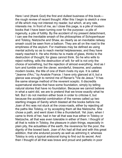Here I end (thank God) the first and dullest business of this book the rough review of recent thought. After this I begin to sketch a view of life which may not interest my reader, but which, at any rate, interests me. In front of me, as I close this page, is a pile of modern books that I have been turning over for the purpose—a pile of ingenuity, a pile of futility. By the accident of my present detachment, I can see the inevitable smash of the philosophies of Schopenhauer and Tolstoy, Nietzsche and Shaw, as clearly as an inevitable railway smash could be seen from a balloon. They are all on the road to the emptiness of the asylum. For madness may be defined as using mental activity so as to reach mental helplessness; and they have nearly reached it. He who thinks he is made of glass, thinks to the destruction of thought; for glass cannot think. So he who wills to reject nothing, wills the destruction of will; for will is not only the choice of something, but the rejection of almost everything. And as I turn and tumble over the clever, wonderful, tiresome, and useless modern books, the title of one of them rivets my eye. It is called "Jeanne d'Arc," by Anatole France. I have only glanced at it, but a glance was enough to remind me of Renan's "Vie de Jesus." It has the same strange method of the reverent sceptic. It discredits supernatural stories that have some foundation, simply by telling natural stories that have no foundation. Because we cannot believe in what a saint did, we are to pretend that we know exactly what he felt. But I do not mention either book in order to criticise it, but because the accidental combination of the names called up two startling images of Sanity which blasted all the books before me. Joan of Arc was not stuck at the cross-roads, either by rejecting all the paths like Tolstoy, or by accepting them all like Nietzsche. She chose a path, and went down it like a thunderbolt. Yet Joan, when I came to think of her, had in her all that was true either in Tolstoy or Nietzsche, all that was even tolerable in either of them. I thought of all that is noble in Tolstoy, the pleasure in plain things, especially in plain pity, the actualities of the earth, the reverence for the poor, the dignity of the bowed back. Joan of Arc had all that and with this great addition, that she endured poverty as well as admiring it; whereas Tolstoy is only a typical aristocrat trying to find out its secret. And then I thought of all that was brave and proud and pathetic in poor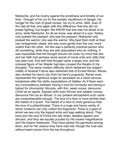Nietzsche, and his mutiny against the emptiness and timidity of our time. I thought of his cry for the ecstatic equilibrium of danger, his hunger for the rush of great horses, his cry to arms. Well, Joan of Arc had all that, and again with this difference, that she did not praise fighting, but fought. We KNOW that she was not afraid of an army, while Nietzsche, for all we know, was afraid of a cow. Tolstoy only praised the peasant; she was the peasant. Nietzsche only praised the warrior; she was the warrior. She beat them both at their own antagonistic ideals; she was more gentle than the one, more violent than the other. Yet she was a perfectly practical person who did something, while they are wild speculators who do nothing. It was impossible that the thought should not cross my mind that she and her faith had perhaps some secret of moral unity and utility that has been lost. And with that thought came a larger one, and the colossal figure of her Master had also crossed the theatre of my thoughts. The same modern difficulty which darkened the subjectmatter of Anatole France also darkened that of Ernest Renan. Renan also divided his hero's pity from his hero's pugnacity. Renan even represented the righteous anger at Jerusalem as a mere nervous breakdown after the idyllic expectations of Galilee. As if there were any inconsistency between having a love for humanity and having a hatred for inhumanity! Altruists, with thin, weak voices, denounce Christ as an egoist. Egoists (with even thinner and weaker voices) denounce Him as an altruist. In our present atmosphere such cavils are comprehensible enough. The love of a hero is more terrible than the hatred of a tyrant. The hatred of a hero is more generous than the love of a philanthropist. There is a huge and heroic sanity of which moderns can only collect the fragments. There is a giant of whom we see only the lopped arms and legs walking about. They have torn the soul of Christ into silly strips, labelled egoism and altruism, and they are equally puzzled by His insane magnificence and His insane meekness. They have parted His garments among them, and for His vesture they have cast lots; though the coat was without seam woven from the top throughout.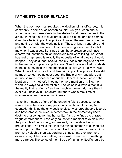## **IV THE ETHICS OF ELFLAND**

When the business man rebukes the idealism of his office-boy, it is commonly in some such speech as this: "Ah, yes, when one is young, one has these ideals in the abstract and these castles in the air; but in middle age they all break up like clouds, and one comes down to a belief in practical politics, to using the machinery one has and getting on with the world as it is." Thus, at least, venerable and philanthropic old men now in their honoured graves used to talk to me when I was a boy. But since then I have grown up and have discovered that these philanthropic old men were telling lies. What has really happened is exactly the opposite of what they said would happen. They said that I should lose my ideals and begin to believe in the methods of practical politicians. Now, I have not lost my ideals in the least; my faith in fundamentals is exactly what it always was. What I have lost is my old childlike faith in practical politics. I am still as much concerned as ever about the Battle of Armageddon; but I am not so much concerned about the General Election. As a babe I leapt up on my mother's knee at the mere mention of it. No; the vision is always solid and reliable. The vision is always a fact. It is the reality that is often a fraud. As much as I ever did, more than I ever did, I believe in Liberalism. But there was a rosy time of innocence when I believed in Liberals.

I take this instance of one of the enduring faiths because, having now to trace the roots of my personal speculation, this may be counted, I think, as the only positive bias. I was brought up a Liberal, and have always believed in democracy, in the elementary liberal doctrine of a self-governing humanity. If any one finds the phrase vague or threadbare, I can only pause for a moment to explain that the principle of democracy, as I mean it, can be stated in two propositions. The first is this: that the things common to all men are more important than the things peculiar to any men. Ordinary things are more valuable than extraordinary things; nay, they are more extraordinary. Man is something more awful than men; something more strange. The sense of the miracle of humanity itself should be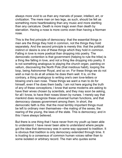always more vivid to us than any marvels of power, intellect, art, or civilization. The mere man on two legs, as such, should be felt as something more heartbreaking than any music and more startling than any caricature. Death is more tragic even than death by starvation. Having a nose is more comic even than having a Norman nose.

This is the first principle of democracy: that the essential things in men are the things they hold in common, not the things they hold separately. And the second principle is merely this: that the political instinct or desire is one of these things which they hold in common. Falling in love is more poetical than dropping into poetry. The democratic contention is that government (helping to rule the tribe) is a thing like falling in love, and not a thing like dropping into poetry. It is not something analogous to playing the church organ, painting on vellum, discovering the North Pole (that insidious habit), looping the loop, being Astronomer Royal, and so on. For these things we do not wish a man to do at all unless he does them well. It is, on the contrary, a thing analogous to writing one's own love-letters or blowing one's own nose. These things we want a man to do for himself, even if he does them badly. I am not here arguing the truth of any of these conceptions; I know that some moderns are asking to have their wives chosen by scientists, and they may soon be asking, for all I know, to have their noses blown by nurses. I merely say that mankind does recognize these universal human functions, and that democracy classes government among them. In short, the democratic faith is this: that the most terribly important things must be left to ordinary men themselves—the mating of the sexes, the rearing of the young, the laws of the state. This is democracy; and in this I have always believed.

But there is one thing that I have never from my youth up been able to understand. I have never been able to understand where people got the idea that democracy was in some way opposed to tradition. It is obvious that tradition is only democracy extended through time. It is trusting to a consensus of common human voices rather than to some isolated or arbitrary record. The man who quotes some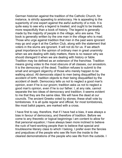German historian against the tradition of the Catholic Church, for instance, is strictly appealing to aristocracy. He is appealing to the superiority of one expert against the awful authority of a mob. It is quite easy to see why a legend is treated, and ought to be treated, more respectfully than a book of history. The legend is generally made by the majority of people in the village, who are sane. The book is generally written by the one man in the village who is mad. Those who urge against tradition that men in the past were ignorant may go and urge it at the Carlton Club, along with the statement that voters in the slums are ignorant. It will not do for us. If we attach great importance to the opinion of ordinary men in great unanimity when we are dealing with daily matters, there is no reason why we should disregard it when we are dealing with history or fable. Tradition may be defined as an extension of the franchise. Tradition means giving votes to the most obscure of all classes, our ancestors. It is the democracy of the dead. Tradition refuses to submit to the small and arrogant oligarchy of those who merely happen to be walking about. All democrats object to men being disqualified by the accident of birth; tradition objects to their being disqualified by the accident of death. Democracy tells us not to neglect a good man's opinion, even if he is our groom; tradition asks us not to neglect a good man's opinion, even if he is our father. I, at any rate, cannot separate the two ideas of democracy and tradition; it seems evident to me that they are the same idea. We will have the dead at our councils. The ancient Greeks voted by stones; these shall vote by tombstones. It is all quite regular and official, for most tombstones, like most ballot papers, are marked with a cross.

I have first to say, therefore, that if I have had a bias, it was always a bias in favour of democracy, and therefore of tradition. Before we come to any theoretic or logical beginnings I am content to allow for that personal equation; I have always been more inclined to believe the ruck of hard-working people than to believe that special and troublesome literary class to which I belong. I prefer even the fancies and prejudices of the people who see life from the inside to the clearest demonstrations of the people who see life from the outside. I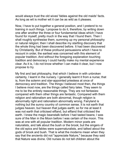would always trust the old wives' fables against the old maids' facts. As long as wit is mother wit it can be as wild as it pleases.

Now, I have to put together a general position, and I pretend to no training in such things. I propose to do it, therefore, by writing down one after another the three or four fundamental ideas which I have found for myself, pretty much in the way that I found them. Then I shall roughly synthesise them, summing up my personal philosophy or natural religion; then I shall describe my startling discovery that the whole thing had been discovered before. It had been discovered by Christianity. But of these profound persuasions which I have to recount in order, the earliest was concerned with this element of popular tradition. And without the foregoing explanation touching tradition and democracy I could hardly make my mental experience clear. As it is, I do not know whether I can make it clear, but I now propose to try.

My first and last philosophy, that which I believe in with unbroken certainty, I learnt in the nursery. I generally learnt it from a nurse; that is, from the solemn and star-appointed priestess at once of democracy and tradition. The things I believed most then, the things I believe most now, are the things called fairy tales. They seem to me to be the entirely reasonable things. They are not fantasies: compared with them other things are fantastic. Compared with them religion and rationalism are both abnormal, though religion is abnormally right and rationalism abnormally wrong. Fairyland is nothing but the sunny country of common sense. It is not earth that judges heaven, but heaven that judges earth; so for me at least it was not earth that criticised elfland, but elfland that criticised the earth. I knew the magic beanstalk before I had tasted beans; I was sure of the Man in the Moon before I was certain of the moon. This was at one with all popular tradition. Modern minor poets are naturalists, and talk about the bush or the brook; but the singers of the old epics and fables were supernaturalists, and talked about the gods of brook and bush. That is what the moderns mean when they say that the ancients did not "appreciate Nature," because they said that Nature was divine. Old nurses do not tell children about the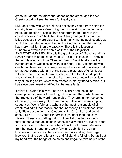grass, but about the fairies that dance on the grass; and the old Greeks could not see the trees for the dryads.

But I deal here with what ethic and philosophy come from being fed on fairy tales. If I were describing them in detail I could note many noble and healthy principles that arise from them. There is the chivalrous lesson of "Jack the Giant Killer"; that giants should be killed because they are gigantic. It is a manly mutiny against pride as such. For the rebel is older than all the kingdoms, and the Jacobin has more tradition than the Jacobite. There is the lesson of "Cinderella," which is the same as that of the Magnificat-EXALTAVIT HUMILES. There is the great lesson of "Beauty and the Beast"; that a thing must be loved BEFORE it is loveable. There is the terrible allegory of the "Sleeping Beauty," which tells how the human creature was blessed with all birthday gifts, yet cursed with death; and how death also may perhaps be softened to a sleep. But I am not concerned wth any of the separate statutes of elfland, but with the whole spirit of its law, which I learnt before I could speak, and shall retain when I cannot write. I am concerned with a certain way of looking at life, which was created in me by the fairy tales, but has since been meekly ratified by the mere facts.

It might be stated this way. There are certain sequences or developments (cases of one thing following another), which are, in the true sense of the word, reasonable. They are, in the true sense of the word, necessary. Such are mathematical and merely logical sequences. We in fairyland (who are the most reasonable of all creatures) admit that reason and that necessity. For instance, if the Ugly Sisters are older than Cinderella, it is (in an iron and awful sense) NECESSARY that Cinderella is younger than the Ugly Sisters. There is no getting out of it. Haeckel may talk as much fatalism about that fact as he pleases: it really must be. If Jack is the son of a miller, a miller is the father of Jack. Cold reason decrees it from her awful throne: and we in fairyland submit. If the three brothers all ride horses, there are six animals and eighteen legs involved: that is true rationalism, and fairyland is full of it. But as I put my head over the hedge of the elves and began to take notice of the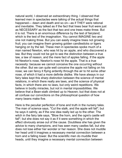natural world, I observed an extraordinary thing. I observed that learned men in spectacles were talking of the actual things that happened— dawn and death and so on—as if THEY were rational and inevitable. They talked as if the fact that trees bear fruit were just as NECESSARY as the fact that two and one trees make three. But it is not. There is an enormous difference by the test of fairyland; which is the test of the imagination. You cannot IMAGINE two and one not making three. But you can easily imagine trees not growing fruit; you can imagine them growing golden candlesticks or tigers hanging on by the tail. These men in spectacles spoke much of a man named Newton, who was hit by an apple, and who discovered a law. But they could not be got to see the distinction between a true law, a law of reason, and the mere fact of apples falling. If the apple hit Newton's nose, Newton's nose hit the apple. That is a true necessity: because we cannot conceive the one occurring without the other. But we can quite well conceive the apple not falling on his nose; we can fancy it flying ardently through the air to hit some other nose, of which it had a more definite dislike. We have always in our fairy tales kept this sharp distinction between the science of mental relations, in which there really are laws, and the science of physical facts, in which there are no laws, but only weird repetitions. We believe in bodily miracles, but not in mental impossibilities. We believe that a Bean-stalk climbed up to Heaven; but that does not at all confuse our convictions on the philosophical question of how many beans make five.

Here is the peculiar perfection of tone and truth in the nursery tales. The man of science says, "Cut the stalk, and the apple will fall"; but he says it calmly, as if the one idea really led up to the other. The witch in the fairy tale says, "Blow the horn, and the ogre's castle will fall"; but she does not say it as if it were something in which the effect obviously arose out of the cause. Doubtless she has given the advice to many champions, and has seen many castles fall, but she does not lose either her wonder or her reason. She does not muddle her head until it imagines a necessary mental connection between a horn and a falling tower. But the scientific men do muddle their heads, until they imagine a necessary mental connection between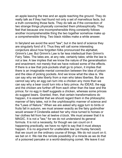an apple leaving the tree and an apple reaching the ground. They do really talk as if they had found not only a set of marvellous facts, but a truth connecting those facts. They do talk as if the connection of two strange things physically connected them philosophically. They feel that because one incomprehensible thing constantly follows another incomprehensible thing the two together somehow make up a comprehensible thing. Two black riddles make a white answer.

In fairyland we avoid the word "law"; but in the land of science they are singularly fond of it. Thus they will call some interesting conjecture about how forgotten folks pronounced the alphabet, Grimm's Law. But Grimm's Law is far less intellectual than Grimm's Fairy Tales. The tales are, at any rate, certainly tales; while the law is not a law. A law implies that we know the nature of the generalisation and enactment; not merely that we have noticed some of the effects. If there is a law that pick-pockets shall go to prison, it implies that there is an imaginable mental connection between the idea of prison and the idea of picking pockets. And we know what the idea is. We can say why we take liberty from a man who takes liberties. But we cannot say why an egg can turn into a chicken any more than we can say why a bear could turn into a fairy prince. As IDEAS, the egg and the chicken are further off from each other than the bear and the prince; for no egg in itself suggests a chicken, whereas some princes do suggest bears. Granted, then, that certain transformations do happen, it is essential that we should regard them in the philosophic manner of fairy tales, not in the unphilosophic manner of science and the "Laws of Nature." When we are asked why eggs turn to birds or fruits fall in autumn, we must answer exactly as the fairy godmother would answer if Cinderella asked her why mice turned to horses or her clothes fell from her at twelve o'clock. We must answer that it is MAGIC. It is not a "law," for we do not understand its general formula. It is not a necessity, for though we can count on it happening practically, we have no right to say that it must always happen. It is no argument for unalterable law (as Huxley fancied) that we count on the ordinary course of things. We do not count on it; we bet on it. We risk the remote possibility of a miracle as we do that of a poisoned pancake or a world-destroying comet. We leave it out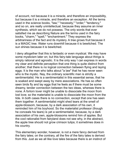of account, not because it is a miracle, and therefore an impossibility, but because it is a miracle, and therefore an exception. All the terms used in the science books, "law," "necessity," "order," "tendency," and so on, are really unintellectual, because they assume an inner synthesis, which we do not possess. The only words that ever satisfied me as describing Nature are the terms used in the fairy books, "charm," "spell," "enchantment." They express the arbitrariness of the fact and its mystery. A tree grows fruit because it is a MAGIC tree. Water runs downhill because it is bewitched. The sun shines because it is bewitched.

I deny altogether that this is fantastic or even mystical. We may have some mysticism later on; but this fairy-tale language about things is simply rational and agnostic. It is the only way I can express in words my clear and definite perception that one thing is quite distinct from another; that there is no logical connection between flying and laying eggs. It is the man who talks about "a law" that he has never seen who is the mystic. Nay, the ordinary scientific man is strictly a sentimentalist. He is a sentimentalist in this essential sense, that he is soaked and swept away by mere associations. He has so often seen birds fly and lay eggs that he feels as if there must be some dreamy, tender connection between the two ideas, whereas there is none. A forlorn lover might be unable to dissociate the moon from lost love; so the materialist is unable to dissociate the moon from the tide. In both cases there is no connection, except that one has seen them together. A sentimentalist might shed tears at the smell of apple-blossom, because, by a dark association of his own, it reminded him of his boyhood. So the materialist professor (though he conceals his tears) is yet a sentimentalist, because, by a dark association of his own, apple-blossoms remind him of apples. But the cool rationalist from fairyland does not see why, in the abstract, the apple tree should not grow crimson tulips; it sometimes does in his country.

This elementary wonder, however, is not a mere fancy derived from the fairy tales; on the contrary, all the fire of the fairy tales is derived from this. Just as we all like love tales because there is an instinct of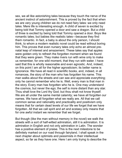sex, we all like astonishing tales because they touch the nerve of the ancient instinct of astonishment. This is proved by the fact that when we are very young children we do not need fairy tales: we only need tales. Mere life is interesting enough. A child of seven is excited by being told that Tommy opened a door and saw a dragon. But a child of three is excited by being told that Tommy opened a door. Boys like romantic tales; but babies like realistic tales—because they find them romantic. In fact, a baby is about the only person, I should think, to whom a modern realistic novel could be read without boring him. This proves that even nursery tales only echo an almost prenatal leap of interest and amazement. These tales say that apples were golden only to refresh the forgotten moment when we found that they were green. They make rivers run with wine only to make us remember, for one wild moment, that they run with water. I have said that this is wholly reasonable and even agnostic. And, indeed, on this point I am all for the higher agnosticism; its better name is Ignorance. We have all read in scientific books, and, indeed, in all romances, the story of the man who has forgotten his name. This man walks about the streets and can see and appreciate everything; only he cannot remember who he is. Well, every man is that man in the story. Every man has forgotten who he is. One may understand the cosmos, but never the ego; the self is more distant than any star. Thou shalt love the Lord thy God; but thou shalt not know thyself. We are all under the same mental calamity; we have all forgotten our names. We have all forgotten what we really are. All that we call common sense and rationality and practicality and positivism only means that for certain dead levels of our life we forget that we have forgotten. All that we call spirit and art and ecstasy only means that for one awful instant we remember that we forget.

But though (like the man without memory in the novel) we walk the streets with a sort of half-witted admiration, still it is admiration. It is admiration in English and not only admiration in Latin. The wonder has a positive element of praise. This is the next milestone to be definitely marked on our road through fairyland. I shall speak in the next chapter about optimists and pessimists in their intellectual aspect, so far as they have one. Here I am only trying to describe the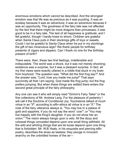enormous emotions which cannot be described. And the strongest emotion was that life was as precious as it was puzzling. It was an ecstasy because it was an adventure; it was an adventure because it was an opportunity. The goodness of the fairy tale was not affected by the fact that there might be more dragons than princesses; it was good to be in a fairy tale. The test of all happiness is gratitude; and I felt grateful, though I hardly knew to whom. Chldren are grateful when Santa Claus puts in their stockings gifts of toys or sweets. Could I not be grateful to Santa Claus when he put in my stockings the gift of two miraculous legs? We thank people for birthday presents of cigars and slippers. Can I thank no one for the birthday present of birth?

There were, then, these two first feelings, indefensible and indisputable. The world was a shock, but it was not merely shocking; existence was a surprise, but it was a pleasant surprise. In fact, all my first views were exactly uttered in a riddle that stuck in my brain from boyhood. The question was, "What did the first frog say?" And the answer was, "Lord, how you made me jump!" That says succinctly all that I am saying. God made the frog jump; but the frog prefers jumping. But when these things are settled there enters the second great principle of the fairy philosophy.

Any one can see it who will simply read "Grimm's Fairy Tales" or the fine collections of Mr. Andrew Lang. For the pleasure of pedantry I will call it the Doctrine of Conditional Joy. Touchstone talked of much virtue in an "if"; according to elfin ethics all virtue is in an "if." The note of the fairy utterance always is, "You may live in a palace of gold and sapphire, if you do not say the word `cow'"; or "You may live happily with the King's daughter, if you do not show her an onion." The vision always hangs upon a veto. All the dizzy and colossal things conceded depend upon one small thing withheld. All the wild and whirling things that are let loose depend upon one thing that is forbidden. Mr. W.B. Yeats, in his exquisite and piercing elfin poetry, describes the elves as lawless; they plunge in innocent anarchy on the unbridled horses of the air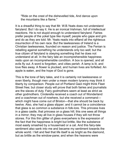"Ride on the crest of the dishevelled tide, And dance upon the mountains like a flame."

It is a dreadful thing to say that Mr. W.B. Yeats does not understand fairyland. But I do say it. He is an ironical Irishman, full of intellectual reactions. He is not stupid enough to understand fairyland. Fairies prefer people of the yokel type like myself; people who gape and grin and do as they are told. Mr. Yeats reads into elfland all the righteous insurrection of his own race. But the lawlessness of Ireland is a Christian lawlessness, founded on reason and justice. The Fenian is rebelling against something he understands only too well; but the true citizen of fairyland is obeying something that he does not understand at all. In the fairy tale an incomprehensible happiness rests upon an incomprehensible condition. A box is opened, and all evils fly out. A word is forgotten, and cities perish. A lamp is lit, and love flies away. A flower is plucked, and human lives are forfeited. An apple is eaten, and the hope of God is gone.

This is the tone of fairy tales, and it is certainly not lawlessness or even liberty, though men under a mean modern tyranny may think it liberty by comparison. People out of Portland Gaol might think Fleet Street free; but closer study will prove that both fairies and journalists are the slaves of duty. Fairy godmothers seem at least as strict as other godmothers. Cinderella received a coach out of Wonderland and a coachman out of nowhere, but she received a command which might have come out of Brixton—that she should be back by twelve. Also, she had a glass slipper; and it cannot be a coincidence that glass is so common a substance in folk-lore. This princess lives in a glass castle, that princess on a glass hill; this one sees all things in a mirror; they may all live in glass houses if they will not throw stones. For this thin glitter of glass everywhere is the expression of the fact that the happiness is bright but brittle, like the substance most easily smashed by a housemaid or a cat. And this fairy-tale sentiment also sank into me and became my sentiment towards the whole world. I felt and feel that life itself is as bright as the diamond, but as brittle as the window-pane; and when the heavens were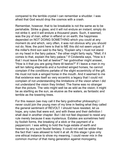compared to the terrble crystal I can remember a shudder. I was afraid that God would drop the cosmos with a crash.

Remember, however, that to be breakable is not the same as to be perishable. Strike a glass, and it will not endure an instant; simply do not strike it, and it will endure a thousand years. Such, it seemed, was the joy of man, either in elfland or on earth; the happiness depended on NOT DOING SOMETHING which you could at any moment do and which, very often, it was not obvious why you should not do. Now, the point here is that to ME this did not seem unjust. If the miller's third son said to the fairy, "Explain why I must not stand on my head in the fairy palace," the other might fairly reply, "Well, if it comes to that, explain the fairy palace." If Cinderella says, "How is it that I must leave the ball at twelve?" her godmother might answer, "How is it that you are going there till twelve?" If I leave a man in my will ten talking elephants and a hundred winged horses, he cannot complain if the conditions partake of the slight eccentricity of the gift. He must not look a winged horse in the mouth. And it seemed to me that existence was itself so very eccentric a legacy that I could not complain of not understanding the limitations of the vision when I did not understand the vision they limited. The frame was no stranger than the picture. The veto might well be as wild as the vision; it might be as startling as the sun, as elusive as the waters, as fantastic and terrible as the towering trees.

For this reason (we may call it the fairy godmother philosophy) I never could join the young men of my time in feeling what they called the general sentiment of REVOLT. I should have resisted, let us hope, any rules that were evil, and with these and their definition I shall deal in another chapter. But I did not feel disposed to resist any rule merely because it was mysterious. Estates are sometimes held by foolish forms, the breaking of a stick or the payment of a peppercorn: I was willing to hold the huge estate of earth and heaven by any such feudal fantasy. It could not well be wlder than the fact that I was allowed to hold it at all. At this stage I give only one ethical instance to show my meaning. I could never mix in the common murmur of that rising generation against monogamy,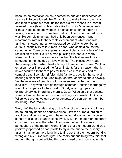because no restriction on sex seemed so odd and unexpected as sex itself. To be allowed, like Endymion, to make love to the moon and then to complain that Jupiter kept his own moons in a harem seemed to me (bred on fairy tales like Endymion's) a vulgar anticlimax. Keeping to one woman is a small price for so much as seeing one woman. To complain that I could only be married once was like complaining that I had only been born once. It was incommensurate with the terrible excitement of which one was talking. It showed, not an exaggerated sensibility to sex, but a curious insensibility to it. A man is a fool who complains that he cannot enter Eden by five gates at once. Polygamy is a lack of the realization of sex; it is like a man plucking five pears in mere absence of mind. The aesthetes touched the last insane limits of language in their eulogy on lovely things. The thistledown made them weep; a burnished beetle brought them to their knees. Yet their emotion never impressed me for an instant, for this reason, that it never occurred to them to pay for their pleasure in any sort of symbolic sacrifice. Men (I felt) might fast forty days for the sake of hearing a blackbird sing. Men might go through fire to find a cowslip. Yet these lovers of beauty could not even keep sober for the blackbird. They would not go through common Christian marriage by way of recompense to the cowslip. Surely one might pay for extraordinary joy in ordinary morals. Oscar Wilde said that sunsets were not valued because we could not pay for sunsets. But Oscar Wlde was wrong; we can pay for sunsets. We can pay for them by not being Oscar Wilde.

Well, I left the fairy tales lying on the floor of the nursery, and I have not found any books so sensible since. I left the nurse quardian of tradition and democracy, and I have not found any modern type so sanely radical or so sanely conservative. But the matter for important comment was here: that when I first went out into the mental atmosphere of the modern world, I found that the modern world was positively opposed on two points to my nurse and to the nursery tales. It has taken me a long time to find out that the modern world is wrong and my nurse was right. The really curious thing was this: that modern thought contradicted this basic creed of my boyhood on its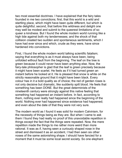two most essential doctrines. I have explained that the fairy tales founded in me two convictions; first, that this world is a wild and startling place, which might have been quite different, but which is quite delightful; second, that before this wildness and delight one may well be modest and submit to the queerest limitations of so queer a kindness. But I found the whole modern world running like a high tide against both my tendernesses; and the shock of that collision created two sudden and spontaneous sentiments, which I have had ever since and which, crude as they were, have since hardened into convictions.

First, I found the whole modern world talking scientific fatalism; saying that everything is as it must always have been, being unfolded without fault from the beginning. The leaf on the tree is green because it could never have been anything else. Now, the fairy-tale philosopher is glad that the leaf is green precisely because it might have been scarlet. He feels as if it had turned green an instant before he looked at it. He is pleased that snow is white on the strictly reasonable ground that it might have been black. Every colour has in it a bold quality as of choice; the red of garden roses is not only decisive but dramatic, like suddenly spilt blood. He feels that something has been DONE. But the great determinists of the nineteenth century were strongly against this native feeling that something had happened an instant before. In fact, according to them, nothing ever really had happened since the beginning of the world. Nothing ever had happened since existence had happened; and even about the date of that they were not very sure.

The modern world as I found it was solid for modern Calvinism, for the necessity of things being as they are. But when I came to ask them I found they had really no proof of this unavoidable repetition in things except the fact that the things were repeated. Now, the mere repetition made the things to me rather more weird than more rational. It was as if, having seen a curiously shaped nose in the street and dismissed it as an accident, I had then seen six other noses of the same astonishing shape. I should have fancied for a moment that it must be some local secret society. So one elephant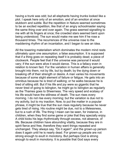having a trunk was odd; but all elephants having trunks looked like a plot. I speak here only of an emotion, and of an emotion at once stubborn and subtle. But the repetition in Nature seemed sometimes to be an excited repetition, like that of an angry schoolmaster saying the same thing over and over again. The grass seemed signalling to me with all its fingers at once; the crowded stars seemed bent upon being understood. The sun would make me see him if he rose a thousand times. The recurrences of the universe rose to the maddening rhythm of an incantation, and I began to see an idea.

All the towering materialism which dominates the modern mind rests ultimately upon one assumption; a false assumption. It is supposed that if a thing goes on repeating itself it is probably dead; a piece of clockwork. People feel that if the universe was personal it would vary; if the sun were alive it would dance. This is a fallacy even in relation to known fact. For the variation in human affairs is generally brought into them, not by life, but by death; by the dying down or breaking off of their strength or desire. A man varies his movements because of some slight element of failure or fatigue. He gets into an omnibus because he is tired of walking; or he walks because he is tired of sitting still. But if his life and joy were so gigantic that he never tired of going to Islington, he might go to Islington as regularly as the Thames goes to Sheerness. The very speed and ecstasy of his life would have the stillness of death. The sun rises every morning. I do not rise every morning; but the variation is due not to my activity, but to my inaction. Now, to put the matter in a popular phrase, it might be true that the sun rises regularly because he never gets tired of rising. His routine might be due, not to a lifelessness, but to a rush of life. The thing I mean can be seen, for instance, in children, when they find some game or joke that they specially enjoy. A child kicks his legs rhythmically through excess, not absence, of life. Because children have abounding vitality, because they are in spirit fierce and free, therefore they want things repeated and unchanged. They always say, "Do it again"; and the grown-up person does it again until he is nearly dead. For grown-up people are not strong enough to exult in monotony. But perhaps God is strong enough to exult in monotony. It is possible that God says every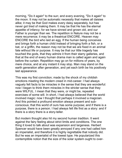morning, "Do it again" to the sun; and every evening, "Do it again" to the moon. It may not be automatic necessity that makes all daisies alike; it may be that God makes every daisy separately, but has never got tired of making them. It may be that He has the eternal appetite of infancy; for we have sinned and grown old, and our Father is younger than we. The repetition in Nature may not be a mere recurrence; it may be a theatrical ENCORE. Heaven may ENCORE the bird who laid an egg. If the human being conceives and brings forth a human child instead of bringing forth a fish, or a bat, or a griffin, the reason may not be that we are fixed in an animal fate without life or purpose. It may be that our little tragedy has touched the gods, that they admire it from their starry galleries, and that at the end of every human drama man is called again and again before the curtain. Repetition may go on for millions of years, by mere choice, and at any instant it may stop. Man may stand on the earth generation after generation, and yet each birth be his positively last appearance.

This was my first conviction; made by the shock of my childish emotions meeting the modern creed in mid-career. I had always vaguely felt facts to be miracles in the sense that they are wonderful: now I began to think them miracles in the stricter sense that they were WILFUL. I mean that they were, or might be, repeated exercises of some will. In short, I had always believed that the world involved magic: now I thought that perhaps it involved a magician. And this pointed a profound emotion always present and subconscious; that this world of ours has some purpose; and if there is a purpose, there is a person. I had always felt life first as a story: and if there is a story there is a story-teller.

But modern thought also hit my second human tradition. It went against the fairy feeling about strict limits and conditions. The one thing it loved to talk about was expansion and largeness. Herbert Spencer would have been greatly annoyed if any one had called him an imperialist, and therefore it is highly regrettable that nobody did. But he was an imperialist of the lowest type. He popularized this contemptible notion that the size of the solar system ought to over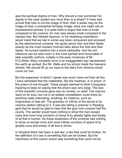awe the spiritual dogma of man. Why should a man surrender his dignity to the solar system any more than to a whale? If mere size proves that man is not the image of God, then a whale may be the image of God; a somewhat formless image; what one might call an impressionist portrait. It is quite futile to argue that man is small compared to the cosmos; for man was always small compared to the nearest tree. But Herbert Spencer, in his headlong imperialism, would insist that we had in some way been conquered and annexed by the astronomical universe. He spoke about men and their ideals exactly as the most insolent Unionist talks about the Irish and their ideals. He turned mankind into a small nationality. And his evil influence can be seen even in the most spirited and honourable of later scientific authors; notably in the early romances of Mr. H.G. Wells. Many moralists have in an exaggerated way represented the earth as wicked. But Mr. Wells and his school made the heavens wicked. We should lift up our eyes to the stars from whence would come our ruin.

But the expansion of which I speak was much more evil than all this. I have remarked that the materialist, like the madman, is in prison; in the prison of one thought. These people seemed to think it singularly inspiring to keep on saying that the prison was very large. The size of this scientific universe gave one no novelty, no relief. The cosmos went on for ever, but not in its wildest constellation could there be anything really interesting; anything, for instance, such as forgiveness or free will. The grandeur or infinity of the secret of its cosmos added nothing to it. It was like telling a prisoner in Reading gaol that he would be glad to hear that the gaol now covered half the county. The warder would have nothing to show the man except more and more long corridors of stone lit by ghastly lights and empty of all that is human. So these expanders of the universe had nothing to show us except more and more infinite corridors of space lit by ghastly suns and empty of all that is divine.

In fairyland there had been a real law; a law that could be broken, for the definition of a law is something that can be broken. But the machinery of this cosmic prison was something that could not be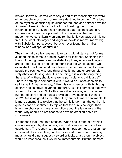broken; for we ourselves were only a part of its machinery. We were either unable to do things or we were destined to do them. The idea of the mystical condition quite disappeared; one can neither have the firmness of keeping laws nor the fun of breaking them. The largeness of this universe had nothing of that freshness and airy outbreak which we have praised in the universe of the poet. This modern universe is literally an empire; that is, it was vast, but it is not free. One went into larger and larger windowless rooms, rooms big with Babylonian perspective; but one never found the smallest window or a whisper of outer air.

Their infernal parallels seemed to expand with distance; but for me all good things come to a point, swords for instance. So finding the boast of the big cosmos so unsatisfactory to my emotions I began to arque about it a little; and I soon found that the whole attitude was even shallower than could have been expected. According to these people the cosmos was one thing since it had one unbroken rule. Only (they would say) while it is one thing, it is also the only thing there is. Why, then, should one worry particularly to call it large? There is nothing to compare it with. It would be just as sensible to call it small. A man may say, "I like this vast cosmos, with its throng of stars and its crowd of varied creatures." But if it comes to that why should not a man say, "I like this cosy little cosmos, with its decent number of stars and as neat a provision of live stock as I wish to see"? One is as good as the other; they are both mere sentiments. It is mere sentiment to rejoice that the sun is larger than the earth; it is quite as sane a sentiment to rejoice that the sun is no larger than it is. A man chooses to have an emotion about the largeness of the world; why should he not choose to have an emotion about its smallness?

It happened that I had that emotion. When one is fond of anything one addresses it by diminutives, even if it is an elephant or a lifeguardsman. The reason is, that anything, however huge, that can be conceived of as complete, can be conceived of as small. If military moustaches did not suggest a sword or tusks a tail, then the object would be vast because it would be immeasurable. But the moment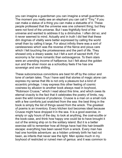you can imagine a guardsman you can imagine a small guardsman. The moment you really see an elephant you can call it "Tiny." If you can make a statue of a thing you can make a statuette of it. These people professed that the universe was one coherent thing; but they were not fond of the universe. But I was frightfully fond of the universe and wanted to address it by a diminutive. I often did so; and it never seemed to mind. Actually and in truth I did feel that these dim dogmas of vitality were better expressed by calling the world small than by calling it large. For about infinity there was a sort of carelessness which was the reverse of the fierce and pious care which I felt touching the pricelessness and the peril of life. They showed only a dreary waste; but I felt a sort of sacred thrift. For economy is far more romantic than extravagance. To them stars were an unending income of halfpence; but I felt about the golden sun and the silver moon as a schoolboy feels if he has one sovereign and one shilling.

These subconscious convictions are best hit off by the colour and tone of certain tales. Thus I have said that stories of magic alone can express my sense that life is not only a pleasure but a kind of eccentric privilege. I may express this other feeling of cosmic cosiness by allusion to another book always read in boyhood, "Robinson Crusoe," which I read about this time, and which owes its eternal vivacity to the fact that it celebrates the poetry of limits, nay, even the wild romance of prudence. Crusoe is a man on a small rock with a few comforts just snatched from the sea: the best thing in the book is simply the list of things saved from the wreck. The greatest of poems is an inventory. Every kitchen tool becomes ideal because Crusoe might have dropped it in the sea. It is a good exercise, in empty or ugly hours of the day, to look at anything, the coal-scuttle or the book-case, and think how happy one could be to have brought it out of the sinking ship on to the solitary island. But it is a better exercise still to remember how all things have had this hair-breadth escape: everything has been saved from a wreck. Every man has had one horrible adventure: as a hidden untimely birth he had not been, as infants that never see the light. Men spoke much in my boyhood of restricted or ruined men of genius: and it was common to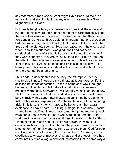say that many a man was a Great Might-Have-Been. To me it is a more solid and startling fact that any man in the street is a Great Might-Not-Have-Been.

But I really felt (the fancy may seem foolish) as if all the order and number of things were the romantic remnant of Crusoe's ship. That there are two sexes and one sun, was like the fact that there were two guns and one axe. It was poignantly urgent that none should be lost; but somehow, it was rather fun that none could be added. The trees and the planets seemed like things saved from the wreck: and when I saw the Matterhorn I was glad that it had not been overlooked in the confusion. I felt economical about the stars as if they were sapphires (they are called so in Milton's Eden): I hoarded the hills. For the universe is a single jewel, and while it is a natural cant to talk of a jewel as peerless and priceless, of this jewel it is literally true. This cosmos is indeed without peer and without price: for there cannot be another one.

Thus ends, in unavoidable inadequacy, the attempt to utter the unutterable things. These are my ultimate attitudes towards life; the soils for the seeds of doctrine. These in some dark way I thought before I could write, and felt before I could think: that we may proceed more easily afterwards, I will roughly recapitulate them now. I felt in my bones; first, that this world does not explain itself. It may be a miracle with a supernatural explanation; it may be a conjuring trick, with a natural explanation. But the explanation of the conjuring trick, if it is to satisfy me, will have to be better than the natural explanations I have heard. The thing is magic, true or false. Second, I came to feel as if magic must have a meaning, and meaning must have some one to mean it. There was something personal in the world, as in a work of art; whatever it meant it meant violently. Third, I thought this purpose beautiful in its old design, in spite of its defects, such as dragons. Fourth, that the proper form of thanks to it is some form of humility and restraint: we should thank God for beer and Burgundy by not drinking too much of them. We owed, also, an obedience to whatever made us. And last, and strangest, there had come into my mind a vague and vast impression that in some way all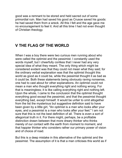good was a remnant to be stored and held sacred out of some primordial ruin. Man had saved his good as Crusoe saved his goods: he had saved them from a wreck. All this I felt and the age gave me no encouragement to feel it. And all this time I had not even thought of Christian theology.

## **V THE FLAG OF THE WORLD**

When I was a boy there were two curious men running about who were called the optimist and the pessimist. I constantly used the words myself, but I cheerfully confess that I never had any very special idea of what they meant. The only thing which might be consdered evdent was that they could not mean what they sad; for the ordinary verbal explanation was that the optimist thought this world as good as it could be, while the pessimist thought it as bad as it could be. Both these statements being obviously raving nonsense, one had to cast about for other explanations. An optimist could not mean a man who thought everything right and nothing wrong. For that is meaningless; it is like calling everything right and nothing left. Upon the whole, I came to the conclusion that the optimist thought everything good except the pessimist, and that the pessimist thought everything bad, except himself. It would be unfair to omit altogether from the list the mysterious but suggestive definition said to have been given by a little girl, "An optimist is a man who looks after your eyes, and a pessimist is a man who looks after your feet." I am not sure that this is not the best definition of all. There is even a sort of allegorical truth in it. For there might, perhaps, be a profitable distinction drawn between that more dreary thinker who thinks merely of our contact with the earth from moment to moment, and that happier thinker who considers rather our primary power of vision and of choice of road.

But this is a deep mistake in this alternative of the optimist and the pessimist. The assumption of it is that a man criticises this world as if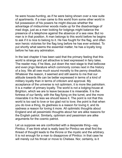he were house-hunting, as if he were being shown over a new suite of apartments. If a man came to this world from some other world in full possession of his powers he might discuss whether the advantage of midsummer woods made up for the disadvantage of mad dogs, just as a man looking for lodgings might balance the presence of a telephone against the absence of a sea view. But no man is in that position. A man belongs to this world before he begins to ask if it is nice to belong to it. He has fought for the flag, and often won heroic victories for the flag long before he has ever enlisted. To put shortly what seems the essential matter, he has a loyalty long before he has any admiration.

In the last chapter it has been said that the primary feeling that this world is strange and yet attractive is best expressed in fairy tales. The reader may, if he likes, put down the next stage to that bellicose and even jingo literature which commonly comes next in the history of a boy. We all owe much sound morality to the penny dreadfuls. Whatever the reason, it seemed and still seems to me that our attitude towards life can be better expressed in terms of a kind of military loyalty than in terms of criticism and approval. My acceptance of the universe is not optimism, it is more like patriotism. It is a matter of primary loyalty. The world is not a lodging-house at Brighton, which we are to leave because it is miserable. It is the fortress of our family, with the flag flying on the turret, and the more miserable it is the less we should leave it. The point is not that this world is too sad to love or too glad not to love; the point is that when you do love a thing, its gladness is a reason for loving it, and its sadness a reason for loving it more. All optimistic thoughts about England and all pessimistic thoughts about her are alike reasons for the English patriot. Similarly, optimism and pessimism are alike arguments for the cosmic patriot.

Let us suppose we are confronted with a desperate thing—say Pimlico. If we think what is really best for Pimlico we shall find the thread of thought leads to the throne or the mystic and the arbitrary. It is not enough for a man to disapprove of Pimlico: in that case he will merely cut his throat or move to Chelsea. Nor, certainly, is it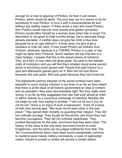enough for a man to approve of Pimlico: for then it will remain Pimlico, which would be awful. The only way out of it seems to be for somebody to love Pimlico: to love it with a transcendental tie and without any earthly reason. If there arose a man who loved Pimlico, then Pimlico would rise into ivory towers and golden pinnacles; Pimlico would attire herself as a woman does when she is loved. For decoration is not given to hide horrible things: but to decorate things already adorable. A mother does not give her child a blue bow because he is so ugly without it. A lover does not give a girl a necklace to hide her neck. If men loved Pimlico as mothers love children, arbitrarily, because it is THEIRS, Pimlico in a year or two might be fairer than Florence. Some readers will say that this is a mere fantasy. I answer that this is the actual history of mankind. This, as a fact, is how cities did grow great. Go back to the darkest roots of civilization and you will find them knotted round some sacred stone or encircling some sacred well. People first paid honour to a spot and afterwards gained glory for it. Men did not love Rome because she was great. She was great because they had loved her.

The eighteenth-century theories of the social contract have been exposed to much clumsy criticism in our time; in so far as they meant that there is at the back of all historic government an idea of content and co-operation, they were demonstrably right. But they really were wrong, in so far as they suggested that men had ever aimed at order or ethics directly by a conscious exchange of interests. Morality did not begin by one man saying to another, "I will not hit you if you do not hit me"; there is no trace of such a transaction. There IS a trace of both men having said, "We must not hit each other in the holy place." They gained their morality by guarding their religion. They did not cultivate courage. They fought for the shrine, and found they had become courageous. They did not cultivate cleanliness. They purified themselves for the altar, and found that they were clean. The history of the Jews is the only early document known to most Englishmen, and the facts can be judged sufficiently from that. The Ten Commandments which have been found substantially common to mankind were merely military commands; a code of regimental orders, issued to protect a certain ark across a certain desert.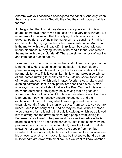Anarchy was evil because it endangered the sanctity. And only when they made a holy day for God did they find they had made a holiday for men.

If it be granted that this primary devotion to a place or thing is a source of creative energy, we can pass on to a very peculiar fact. Let us reiterate for an instant that the only right optimism is a sort of universal patriotism. What is the matter with the pessimist? I think it can be stated by saying that he is the cosmic anti-patriot. And what is the matter with the anti-patriot? I think it can be stated, without undue bitterness, by saying that he is the candid friend. And what is the matter with the candid friend? There we strike the rock of real life and immutable human nature.

I venture to say that what is bad in the candid friend is simply that he is not candid. He is keeping something back— his own gloomy pleasure in saying unpleasant things. He has a secret desire to hurt, not merely to help. This is certainly, I think, what makes a certain sort of anti-patriot irritating to healthy citizens. I do not speak (of course) of the anti-patriotism which only irritates feverish stockbrokers and gushing actresses; that is only patriotism speaking plainly. A man who says that no patriot should attack the Boer War until it is over is not worth answering intelligently; he is saying that no good son should warn his mother off a cliff until she has fallen over it. But there is an anti-patriot who honestly angers honest men, and the explanation of him is, I think, what I have suggested: he is the uncandid candid friend; the man who says, "I am sorry to say we are ruined," and is not sorry at all. And he may be said, without rhetoric, to be a traitor; for he is using that ugly knowledge which was allowed him to strengthen the army, to discourage people from joining it. Because he is allowed to be pessimistic as a military adviser he is being pessimistic as a recruiting sergeant. Just in the same way the pessimist (who is the cosmic anti-patriot) uses the freedom that life allows to her counsellors to lure away the people from her flag. Granted that he states only facts, it is still essential to know what are his emotions, what is his motive. It may be that twelve hundred men in Tottenham are down with smallpox; but we want to know whether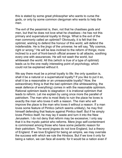this is stated by some great philosopher who wants to curse the gods, or only by some common clergyman who wants to help the men.

The evil of the pessimist is, then, not that he chastises gods and men, but that he does not love what he chastises—he has not this primary and supernatural loyalty to things. What is the evil of the man commonly called an optimist? Obviously, it is felt that the optimist, wishing to defend the honour of this world, will defend the indefensible. He is the jingo of the universe; he will say, "My cosmos, right or wrong." He will be less inclined to the reform of things; more inclined to a sort of front-bench official answer to all attacks, soothing every one with assurances. He will not wash the world, but whitewash the world. All this (which is true of a type of optimist) leads us to the one really interesting point of psychology, which could not be explained without it.

We say there must be a primal loyalty to life: the only question is, shall it be a natural or a supernatural loyalty? If you like to put it so, shall it be a reasonable or an unreasonable loyalty? Now, the extraordinary thing is that the bad optimism (the whitewashing, the weak defence of everything) comes in with the reasonable optimism. Rational optimism leads to stagnation: it is irrational optimism that leads to reform. Let me explain by using once more the parallel of patriotism. The man who is most likely to ruin the place he loves is exactly the man who loves it with a reason. The man who will improve the place is the man who loves it without a reason. If a man loves some feature of Pimlico (which seems unlikely), he may find himself defending that feature against Pimlico itself. But if he simply loves Pimlico itself, he may lay it waste and turn it into the New Jerusalem. I do not deny that reform may be excessve; I only say that it is the mystic patriot who reforms. Mere jingo self-contentment is commonest among those who have some pedantic reason for their patriotism. The worst jingoes do not love England, but a theory of England. If we love England for being an empire, we may overrate the success with which we rule the Hindoos. But if we love it only for being a nation, we can face all events: for it would be a nation even if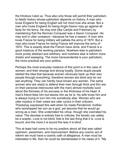the Hindoos ruled us. Thus also only those will permit their patriotism to falsify history whose patriotism depends on history. A man who loves England for being English will not mind how she arose. But a man who loves England for being Anglo-Saxon may go against all facts for his fancy. He may end (like Carlyle and Freeman) by maintaining that the Norman Conquest was a Saxon Conquest. He may end in utter unreason—because he has a reason. A man who loves France for being military will palliate the army of 1870. But a man who loves France for being France will improve the army of 1870. This is exactly what the French have done, and France is a good instance of the working paradox. Nowhere else is patriotism more purely abstract and arbitrary; and nowhere else is reform more drastic and sweeping. The more transcendental is your patriotism, the more practical are your politics.

Perhaps the most everyday instance of this point is in the case of women; and their strange and strong loyalty. Some stupid people started the idea that because women obviously back up their own people through everything, therefore women are blind and do not see anything. They can hardly have known any women. The same women who are ready to defend their men through thick and thin are (in their personal intercourse with the man) almost morbidly lucid about the thinness of his excuses or the thickness of his head. A man's friend likes him but leaves him as he is: his wife loves him and is always trying to turn him into somebody else. Women who are utter mystics in their creed are utter cynics in their criticism. Thackeray expressed this well when he made Pendennis' mother, who worshipped her son as a god, yet assume that he would go wrong as a man. She underrated his virtue, though she overrated his value. The devotee is entirely free to criticise; the fanatic can safely be a sceptic. Love is not blind; that is the last thing that it is. Love is bound; and the more it is bound the less it is blind.

This at least had come to be my position about all that was called optimism, pessimism, and improvement. Before any cosmic act of reform we must have a cosmic oath of allegiance. A man must be interested in life, then he could be disinterested in his views of it. "My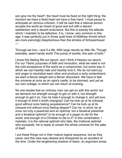son give me thy heart"; the heart must be fixed on the right thing: the moment we have a fixed heart we have a free hand. I must pause to anticipate an obvious criticism. It will be said that a rational person accepts the world as mixed of good and evil with a decent satisfaction and a decent endurance. But this is exactly the attitude which I maintain to be defective. It is, I know, very common in this age; it was perfectly put in those quiet lines of Matthew Arnold which are more piercingly blasphemous than the shrieks of Schopenhauer —

"Enough we live:—and if a life, With large results so little rife, Though bearable, seem hardly worth This pomp of worlds, this pain of birth."

I know this feeling fills our epoch, and I think it freezes our epoch. For our Titanic purposes of faith and revolution, what we need is not the cold acceptance of the world as a compromise, but some way in which we can heartily hate and heartily love it. We do not want joy and anger to neutralize each other and produce a surly contentment; we want a fiercer delight and a fiercer discontent. We have to feel the universe at once as an ogre's castle, to be stormed, and yet as our own cottage, to which we can return at evening.

No one doubts that an ordinary man can get on with this world: but we demand not strength enough to get on with it, but strength enough to get it on. Can he hate it enough to change it, and yet love it enough to think it worth changing? Can he look up at its colossal good without once feeling acquiescence? Can he look up at its colossal evil without once feeling despair? Can he, in short, be at once not only a pessimist and an optimist, but a fanatical pessimist and a fanatical optimist? Is he enough of a pagan to die for the world, and enough of a Christian to die to it? In this combination, I maintain, it is the rational optimist who fails, the irrational optimist who succeeds. He is ready to smash the whole universe for the sake of itself.

I put these things not in their mature logical sequence, but as they came: and this view was cleared and sharpened by an accident of the time. Under the lengthening shadow of Ibsen, an argument arose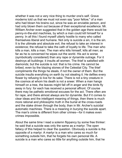whether it was not a very nice thing to murder one's self. Grave moderns told us that we must not even say "poor fellow," of a man who had blown his brains out, since he was an enviable person, and had only blown them out because of their exceptional excellence. Mr. William Archer even suggested that in the golden age there would be penny-in-the-slot machines, by which a man could kill himself for a penny. In all this I found myself utterly hostile to many who called themselves liberal and humane. Not only is suicide a sin, it is the sin. It is the ultimate and absolute evil, the refusal to take an interest in existence; the refusal to take the oath of loyalty to life. The man who kills a man, kills a man. The man who kills himself, kills all men; as far as he is concerned he wipes out the world. His act is worse (symbolically considered) than any rape or dynamite outrage. For it destroys all buildings: it insults all women. The thief is satisfied with diamonds; but the suicide is not: that is his crime. He cannot be bribed, even by the blazing stones of the Celestial City. The thief compliments the things he steals, if not the owner of them. But the suicide insults everything on earth by not stealing it. He defiles every flower by refusing to live for its sake. There is not a tiny creature in the cosmos at whom his death is not a sneer. When a man hangs himself on a tree, the leaves might fall off in anger and the birds fly away in fury: for each has received a personal affront. Of course there may be pathetic emotional excuses for the act. There often are for rape, and there almost always are for dynamite. But if it comes to clear ideas and the intelligent meaning of things, then there is much more rational and philosophic truth in the burial at the cross-roads and the stake driven through the body, than in Mr. Archer's suicidal automatic machines. There is a meaning in burying the suicide apart. The man's crime is different from other crimes—for it makes even crimes impossible.

About the same time I read a solemn flippancy by some free thinker: he said that a suicide was only the same as a martyr. The open fallacy of this helped to clear the question. Obviously a suicide is the opposite of a martyr. A martyr is a man who cares so much for something outside him, that he forgets his own personal life. A suicide is a man who cares so little for anything outside him, that he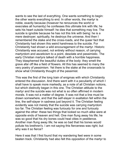wants to see the last of everything. One wants something to begin: the other wants everything to end. In other words, the martyr is noble, exactly because (however he renounces the world or execrates all humanity) he confesses this ultimate link with life; he sets his heart outside himself: he dies that something may live. The suicide is ignoble because he has not this link with being: he is a mere destroyer; spiritually, he destroys the universe. And then I remembered the stake and the cross-roads, and the queer fact that Christianity had shown this weird harshness to the suicide. For Christianity had shown a wild encouragement of the martyr. Historic Christianity was accused, not entirely without reason, of carrying martyrdom and asceticism to a point, desolate and pessimistic. The early Christian martyrs talked of death with a horrible happiness. They blasphemed the beautiful duties of the body: they smelt the grave afar off like a field of flowers. All this has seemed to many the very poetry of pessimism. Yet there is the stake at the crossroads to show what Christianity thought of the pessimist.

This was the first of the long train of enigmas with which Christianity entered the discussion. And there went with it a peculiarity of which I shall have to speak more markedly, as a note of all Christian notions, but which distinctly began in this one. The Christian attitude to the martyr and the suicide was not what is so often affirmed in modern morals. It was not a matter of degree. It was not that a line must be drawn somewhere, and that the self-slayer in exaltation fell within the line, the self-slayer in sadness just beyond it. The Christian feeling evidently was not merely that the suicide was carrying martyrdom too far. The Christian feeling was furiously for one and furiously against the other: these two things that looked so much alike were at opposite ends of heaven and hell. One man flung away his life; he was so good that his dry bones could heal cities in pestilence. Another man flung away life; he was so bad that his bones would pollute his brethren's. I am not saying this fierceness was right; but why was it so fierce?

Here it was that I first found that my wandering feet were in some beaten track. Christianity had also felt this opposition of the martyr to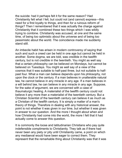the suicide: had it perhaps felt it for the same reason? Had Christianity felt what I felt, but could not (and cannot) express—this need for a first loyalty to things, and then for a ruinous reform of things? Then I remembered that it was actually the charge against Christianity that it combined these two things which I was wildly trying to combine. Christianity was accused, at one and the same time, of being too optimistic about the universe and of being too pessimistic about the world. The coincidence made me suddenly stand still.

An imbecile habit has arisen in modern controversy of saying that such and such a creed can be held in one age but cannot be held in another. Some dogma, we are told, was credible in the twelfth century, but is not credible in the twentieth. You might as well say that a certain philosophy can be believed on Mondays, but cannot be believed on Tuesdays. You might as well say of a view of the cosmos that it was suitable to half-past three, but not suitable to halfpast four. What a man can believe depends upon his philosophy, not upon the clock or the century. If a man believes in unalterable natural law, he cannot believe in any miracle in any age. If a man believes in a will behind law, he can believe in any miracle in any age. Suppose, for the sake of argument, we are concerned wth a case of thaumaturgic healing. A materialist of the twelfth century could not believe it any more than a materialist of the twentieth century. But a Christian Scientist of the twentieth century can believe it as much as a Christian of the twelfth century. It is simply a matter of a man's theory of things. Therefore in dealing with any historical answer, the point is not whether it was given in our time, but whether it was given in answer to our question. And the more I thought about when and how Christianity had come into the world, the more I felt that it had actually come to answer this question.

It is commonly the loose and latitudinarian Christians who pay quite indefensible compliments to Christianity. They talk as if there had never been any piety or pity until Christianity came, a point on which any mediaeval would have been eager to correct them. They represent that the remarkable thing about Christianity was that it was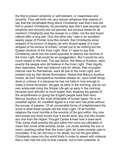the first to preach simplicity or self-restraint, or inwardness and sincerity. They will think me very narrow (whatever that means) if I say that the remarkable thing about Christianity was that it was the first to preach Christianity. Its peculiarity was that it was peculiar, and simplicity and sincerity are not peculiar, but obvious ideals for all mankind. Christianity was the answer to a riddle, not the last truism uttered after a long talk. Only the other day I saw in an excellent weekly paper of Puritan tone this remark, that Christianity when stripped of its armour of dogma (as who should speak of a man stripped of his armour of bones), turned out to be nothing but the Quaker doctrine of the Inner Light. Now, if I were to say that Christianity came into the world specially to destroy the doctrine of the Inner Light, that would be an exaggeration. But it would be very much nearer to the truth. The last Stoics, like Marcus Aurelius, were exactly the people who did believe in the Inner Light. Their dignity, their weariness, their sad external care for others, their incurable internal care for themselves, were all due to the Inner Light, and existed only by that dismal illumination. Notice that Marcus Aurelius insists, as such introspective moralists always do, upon small things done or undone; it is because he has not hate or love enough to make a moral revolution. He gets up early in the morning, just as our own aristocrats living the Simple Life get up early in the morning; because such altruism is much easier than stopping the games of the amphitheatre or giving the English people back their land. Marcus Aurelius is the most intolerable of human types. He is an unselfish egoist. An unselfish egoist is a man who has pride without the excuse of passion. Of all conceivable forms of enlightenment the worst is what these people call the Inner Light. Of all horrible religions the most horrible is the worship of the god within. Any one who knows any body knows how it would work; any one who knows any one from the Higher Thought Centre knows how it does work. That Jones shall worship the god within him turns out ultimately to mean that Jones shall worship Jones. Let Jones worship the sun or moon, anything rather than the Inner Light; let Jones worship cats or crocodiles, if he can find any in his street, but not the god within. Christianity came into the world firstly in order to assert with violence that a man had not only to look inwards, but to look outwards, to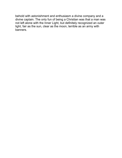behold with astonishment and enthusiasm a divine company and a divine captain. The only fun of being a Christian was that a man was not left alone with the Inner Light, but definitely recognized an outer light, fair as the sun, clear as the moon, terrible as an army with banners.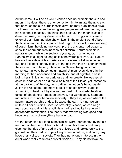All the same, it will be as well if Jones does not worship the sun and moon. If he does, there is a tendency for him to imitate them; to say, that because the sun burns insects alive, he may burn insects alive. He thinks that because the sun gives people sun-stroke, he may give his neighbour measles. He thinks that because the moon is said to drive men mad, he may drive his wife mad. This ugly side of mere external optimism had also shown itself in the ancient world. About the time when the Stoic idealism had begun to show the weaknesses of pessimism, the old nature worship of the ancients had begun to show the enormous weaknesses of optimism. Nature worship is natural enough while the society is young, or, in other words, Pantheism is all right as long as it is the worship of Pan. But Nature has another side which experience and sin are not slow in finding out, and it is no flippancy to say of the god Pan that he soon showed the cloven hoof. The only objection to Natural Religion is that somehow it always becomes unnatural. A man loves Nature in the morning for her innocence and amiability, and at nightfall, if he is loving her still, it is for her darkness and her cruelty. He washes at dawn in clear water as did the Wise Man of the Stoics, yet, somehow at the dark end of the day, he is bathing in hot bull's blood, as did Julan the Apostate. The mere pursut of health always leads to something unhealthy. Physical nature must not be made the direct object of obedience; it must be enjoyed, not worshipped. Stars and mountains must not be taken seriously. If they are, we end where the pagan nature worship ended. Because the earth is kind, we can imitate all her cruelties. Because sexuality is sane, we can all go mad about sexuality. Mere optimism had reached its insane and appropriate termination. The theory that everything was good had become an orgy of everything that was bad.

On the other side our idealist pessimists were represented by the old remnant of the Stoics. Marcus Aurelius and his friends had really given up the idea of any god in the universe and looked only to the god within. They had no hope of any virtue in nature, and hardly any hope of any virtue in society. They had not enough interest in the outer world really to wreck or revolutionise it. They did not love the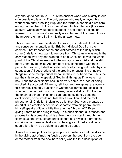city enough to set fire to it. Thus the ancient world was exactly in our own desolate dilemma. The only people who really enjoyed this world were busy breaking it up; and the virtuous people did not care enough about them to knock them down. In this dilemma (the same as ours) Christianity suddenly stepped in and offered a singular answer, which the world eventually accepted as THE answer. It was the answer then, and I think it is the answer now.

This answer was like the slash of a sword; it sundered; it did not in any sense sentimentally unite. Briefly, it divided God from the cosmos. That transcendence and distinctness of the deity which some Christians now want to remove from Christianity, was really the only reason why any one wanted to be a Christian. It was the whole point of the Christian answer to the unhappy pessimist and the still more unhappy optimist. As I am here only concerned with their particular problem, I shall indicate only briefly this great metaphysical suggestion. All descriptions of the creating or sustaining principle in things must be metaphorical, because they must be verbal. Thus the pantheist is forced to speak of God in all things as if he were in a box. Thus the evolutionist has, in his very name, the idea of being unrolled like a carpet. All terms, religious and irreligious, are open to this charge. The only question is whether all terms are useless, or whether one can, with such a phrase, cover a distinct IDEA about the origin of things. I think one can, and so evidently does the evolutionist, or he would not talk about evolution. And the root phrase for all Christian theism was this, that God was a creator, as an artist is a creator. A poet is so separate from his poem that he himself speaks of it as a little thing he has "thrown off." Even in giving it forth he has flung it away. This principle that all creation and procreation is a breaking off is at least as consistent through the cosmos as the evolutionary principle that all growth is a branching out. A woman loses a child even in having a child. All creation is separation. Birth is as solemn a parting as death.

It was the prime philosophic principle of Christianity that this divorce in the divine act of making (such as severs the poet from the poem or the mother from the new-born child) was the true description of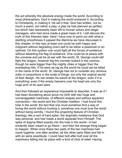the act whereby the absolute energy made the world. According to most philosophers, God in making the world enslaved it. According to Christianity, in making it, He set it free. God had written, not so much a poem, but rather a play; a play he had planned as perfect, but which had necessarily been left to human actors and stagemanagers, who had since made a great mess of it. I will discuss the truth of this theorem later. Here I have only to point out with what a startling smoothness it passed the dilemma we have discussed in this chapter. In this way at least one could be both happy and indignant without degrading one's self to be either a pessimist or an optimist. On this system one could fight all the forces of existence without deserting the flag of existence. One could be at peace with the universe and yet be at war with the world. St. George could still fight the dragon, however big the monster bulked in the cosmos, though he were bigger than the mighty cities or bigger than the everlasting hills. If he were as big as the world he could yet be killed in the name of the world. St. George had not to consider any obvious odds or proportions in the scale of things, but only the original secret of their design. He can shake his sword at the dragon, even if it is everything; even if the empty heavens over his head are only the huge arch of its open jaws.

And then followed an experience impossible to describe. It was as if I had been blundering about since my birth with two huge and unmanageable machines, of different shapes and without apparent connection—the world and the Christian tradition. I had found this hole in the world: the fact that one must somehow find a way of loving the world without trusting it; somehow one must love the world without being worldly. I found this projecting feature of Christian theology, like a sort of hard spike, the dogmatic insistence that God was personal, and had made a world separate from Himself. The spike of dogma fitted exactly into the hole in the world—it had evidently been meant to go there— and then the strange thing began to happen. When once these two parts of the two machines had come together, one after another, all the other parts fitted and fell in with an eerie exactitude. I could hear bolt after bolt over all the machinery falling into its place with a kind of click of relief. Having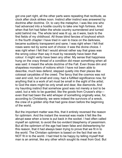got one part right, all the other parts were repeating that rectitude, as clock after clock strikes noon. Instinct after instinct was answered by doctrine after doctrine. Or, to vary the metaphor, I was like one who had advanced into a hostile country to take one high fortress. And when that fort had fallen the whole country surrendered and turned solid behind me. The whole land was lit up, as it were, back to the first fields of my childhood. All those blind fancies of boyhood which in the fourth chapter I have tried in vain to trace on the darkness, became suddenly transparent and sane. I was right when I felt that roses were red by some sort of choice: it was the divine choice. I was right when I felt that I would almost rather say that grass was the wrong colour than say it must by necessity have been that colour: it might verily have been any other. My sense that happiness hung on the crazy thread of a condition did mean something when all was said: it meant the whole doctrine of the Fall. Even those dim and shapeless monsters of notions which I have not been able to describe, much less defend, stepped quietly into their places like colossal caryatdes of the creed. The fancy that the cosmos was not vast and void, but small and cosy, had a fulfilled significance now, for anything that is a work of art must be small in the sight of the artist; to God the stars might be only small and dear, like diamonds. And my haunting instinct that somehow good was not merely a tool to be used, but a relic to be guarded, like the goods from Crusoe's shipeven that had been the wild whisper of something originally wise, for, according to Christianity, we were indeed the survivors of a wreck, the crew of a golden ship that had gone down before the beginning of the world.

But the important matter was this, that it entirely reversed the reason for optimism. And the instant the reversal was made it felt like the abrupt ease when a bone is put back in the socket. I had often called myself an optimist, to avoid the too evident blasphemy of pessimism. But all the optimism of the age had been false and disheartening for this reason, that it had always been trying to prove that we fit in to the world. The Christian optimism is based on the fact that we do NOT fit in to the world. I had tried to be happy by telling myself that man is an animal, like any other which sought its meat from God. But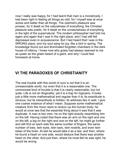now I really was happy, for I had learnt that man is a monstrosity. I had been right in feeling all things as odd, for I myself was at once worse and better than all things. The optimist's pleasure was prosaic, for it dwelt on the naturalness of everything; the Christian pleasure was poetic, for it dwelt on the unnaturalness of everything in the light of the supernatural. The modern philosopher had told me again and again that I was in the right place, and I had still felt depressed even in acquiescence. But I had heard that I was in the WRONG place, and my soul sang for joy, like a bird in spring. The knowledge found out and illuminated forgotten chambers in the dark house of infancy. I knew now why grass had always seemed to me as queer as the green beard of a giant, and why I could feel homesick at home.

## **VI THE PARADOXES OF CHRISTIANITY**

The real trouble with this world of ours is not that it is an unreasonable world, nor even that it is a reasonable one. The commonest kind of trouble is that it is nearly reasonable, but not quite. Life is not an illogicality; yet it is a trap for logicians. It looks just a little more mathematical and regular than it is; its exactitude is obvious, but its inexactitude is hidden; its wildness lies in wait. I give one coarse instance of what I mean. Suppose some mathematical creature from the moon were to reckon up the human body; he would at once see that the essential thing about it was that it was duplicate. A man is two men, he on the right exactly resembling him on the left. Having noted that there was an arm on the right and one on the left, a leg on the right and one on the left, he might go further and still find on each side the same number of fingers, the same number of toes, twin eyes, twin ears, twin nostrils, and even twin lobes of the brain. At last he would take it as a law; and then, where he found a heart on one side, would deduce that there was another heart on the other. And just then, where he most felt he was right, he would be wrong.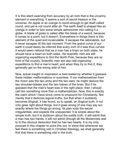It is this silent swerving from accuracy by an inch that is the uncanny element in everything. It seems a sort of secret treason in the universe. An apple or an orange is round enough to get itself called round, and yet is not round after all. The earth itself is shaped like an orange in order to lure some simple astronomer into calling it a globe. A blade of grass is called after the blade of a sword, because it comes to a point; but it doesn't. Everywhere in things there is this element of the quiet and incalculable. It escapes the rationalists, but it never escapes till the last moment. From the grand curve of our earth it could easily be inferred that every inch of it was thus curved. It would seem rational that as a man has a brain on both sides, he should have a heart on both sides. Yet scientific men are still organizing expeditions to find the North Pole, because they are so fond of flat country. Scientific men are also still organizing expeditions to find a man's heart; and when they try to find it, they generally get on the wrong side of him.

Now, actual insight or inspiration is best tested by whether it guesses these hidden malformations or surprises. If our mathematician from the moon saw the two arms and the two ears, he might deduce the two shoulder-blades and the two halves of the brain. But if he guessed that the man's heart was in the right place, then I should call him something more than a mathematician. Now, this is exactly the claim which I have since come to propound for Christianity. Not merely that it deduces logical truths, but that when it suddenly becomes illogical, it has found, so to speak, an illogical truth. It not only goes right about things, but it goes wrong (if one may say so) exactly where the things go wrong. Its plan suits the secret irregularities, and expects the unexpected. It is simple about the simple truth; but it is stubborn about the subtle truth. It will admit that a man has two hands, it will not admit (though all the Modernists wail to it) the obvious deduction that he has two hearts. It is my only purpose in this chapter to point this out; to show that whenever we feel there is something odd in Christian theology, we shall generally find that there is something odd in the truth.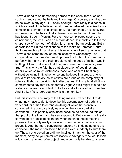I have alluded to an unmeaning phrase to the effect that such and such a creed cannot be believed in our age. Of course, anything can be believed in any age. But, oddly enough, there really is a sense in which a creed, if it is believed at all, can be believed more fixedly in a complex society than in a simple one. If a man finds Christianity true in Birmingham, he has actually clearer reasons for faith than if he had found it true in Mercia. For the more complicated seems the coincidence, the less it can be a coincidence. If snowflakes fell in the shape, say, of the heart of Midlothian, it might be an accident. But if snowflakes fell in the exact shape of the maze at Hampton Court, I think one might call it a miracle. It is exactly as of such a miracle that I have since come to feel of the philosophy of Christianity. The complication of our modern world proves the truth of the creed more perfectly than any of the plain problems of the ages of faith. It was in Notting Hill and Battersea that I began to see that Christianity was true. This is why the faith has that elaboration of doctrines and details which so much distresses those who admire Christianity without believing in it. When once one believes in a creed, one is proud of its complexity, as scientists are proud of the complexity of science. It shows how rich it is in discoveries. If it is right at all, it is a compliment to say that it's elaborately right. A stick might fit a hole or a stone a hollow by accident. But a key and a lock are both complex. And if a key fits a lock, you know it is the right key.

But this involved accuracy of the thing makes it very difficult to do what I now have to do, to describe this accumulation of truth. It is very hard for a man to defend anything of which he is entirely convinced. It is comparatively easy when he is only partially convinced. He is partially convinced because he has found this or that proof of the thing, and he can expound it. But a man is not really convinced of a philosophic theory when he finds that something proves it. He is only really convinced when he finds that everything proves it. And the more converging reasons he finds pointing to this conviction, the more bewildered he is if asked suddenly to sum them up. Thus, if one asked an ordinary intelligent man, on the spur of the moment, "Why do you prefer civilization to savagery?" he would look wildly round at object after object, and would only be able to answer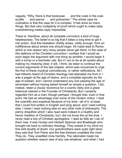vaguely, "Why, there is that bookcase . . . and the coals in the coalscuttle . . . and pianos . . . and policemen." The whole case for civilization is that the case for it is complex. It has done so many things. But that very multiplicity of proof which ought to make reply overwhelming makes reply impossible.

There is, therefore, about all complete conviction a kind of huge helplessness. The belief is so big that it takes a long time to get it into action. And this hesitation chiefly arises, oddly enough, from an indifference about where one should begin. All roads lead to Rome; which is one reason why many people never get there. In the case of this defence of the Christian conviction I confess that I would as soon begin the argument with one thing as another; I would begin it with a turnip or a taximeter cab. But if I am to be at all careful about making my meaning clear, it will, I think, be wiser to continue the current arguments of the last chapter, which was concerned to urge the first of these mystical coincidences, or rather ratifications. All I had hitherto heard of Christian theology had alienated me from it. I was a pagan at the age of twelve, and a complete agnostic by the age of sixteen; and I cannot understand any one passing the age of seventeen without having asked himself so simple a question. I did, indeed, retain a cloudy reverence for a cosmic deity and a great historical interest in the Founder of Christianity. But I certainly regarded Him as a man; though perhaps I thought that, even in that point, He had an advantage over some of His modern critics. I read the scientific and sceptical literature of my time—all of it, at least, that I could find written in English and lying about; and I read nothing else; I mean I read nothing else on any other note of philosophy. The penny dreadfuls which I also read were indeed in a healthy and heroic tradition of Christianity; but I did not know this at the time. I never read a line of Christian apologetics. I read as little as I can of them now. It was Huxley and Herbert Spencer and Bradlaugh who brought me back to orthodox theology. They sowed in my mind my first wild doubts of doubt. Our grandmothers were quite right when they said that Tom Paine and the free-thinkers unsettled the mind. They do. They unsettled mine horribly. The rationalist made me question whether reason was of any use whatever; and when I had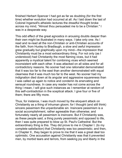finished Herbert Spencer I had got as far as doubting (for the first time) whether evolution had occurred at all. As I laid down the last of Colonel Ingersoll's atheistic lectures the dreadful thought broke across my mind, "Almost thou persuadest me to be a Christian." I was in a desperate way.

This odd effect of the great agnostics in arousing doubts deeper than their own might be illustrated in many ways. I take only one. As I read and re-read all the non-Christian or anti-Christian accounts of the fath, from Huxley to Bradlaugh, a slow and awful mpresson grew gradually but graphically upon my mind—the impression that Christianity must be a most extraordinary thing. For not only (as I understood) had Christianity the most flaming vices, but it had apparently a mystical talent for combining vices which seemed inconsistent with each other. It was attacked on all sides and for all contradictory reasons. No sooner had one rationalist demonstrated that it was too far to the east than another demonstrated with equal clearness that it was much too far to the west. No sooner had my indignation died down at its angular and aggressive squareness than I was called up again to notice and condemn its enervating and sensual roundness. In case any reader has not come across the thing I mean, I will give such instances as I remember at random of this self-contradiction in the sceptical attack. I give four or five of them; there are fifty more.

Thus, for instance, I was much moved by the eloquent attack on Christianity as a thing of inhuman gloom; for I thought (and still think) sincere pessimism the unpardonable sin. Insincere pessimism is a social accomplishment, rather agreeable than otherwise; and fortunately nearly all pessimism is insincere. But if Christianity was, as these people said, a thing purely pessimistic and opposed to life, then I was qute prepared to blow up St. Paul's Cathedral. But the extraordinary thing is this. They did prove to me in Chapter I. (to my complete satisfaction) that Christianity was too pessimistic; and then, in Chapter II., they began to prove to me that it was a great deal too optimistic. One accusation against Christianity was that it prevented men, by morbid tears and terrors, from seeking joy and liberty in the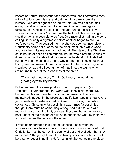bosom of Nature. But another accusation was that it comforted men with a fictitious providence, and put them in a pink-and-white nursery. One great agnostic asked why Nature was not beautiful enough, and why it was hard to be free. Another great agnostic objected that Christian optimism, "the garment of make-believe woven by pious hands," hid from us the fact that Nature was ugly, and that it was impossible to be free. One rationalist had hardly done calling Christianity a nightmare before another began to call it a fool's paradise. This puzzled me; the charges seemed inconsistent. Christianity could not at once be the black mask on a white world, and also the white mask on a black world. The state of the Christian could not be at once so comfortable that he was a coward to clng to it, and so uncomfortable that he was a fool to stand it. If it falsified human vision it must falsify it one way or another; it could not wear both green and rose-coloured spectacles. I rolled on my tongue wth a terrible joy, as did all young men of that time, the taunts which Swinburne hurled at the dreariness of the creed—

"Thou hast conquered, O pale Gallaean, the world has grown gray with Thy breath."

But when I read the same poet's accounts of paganism (as in "Atalanta"), I gathered that the world was, if possible, more gray before the Galilean breathed on it than afterwards. The poet maintained, indeed, in the abstract, that life itself was pitch dark. And yet, somehow, Christianity had darkened it. The very man who denounced Christianity for pessimism was himself a pessimist. I thought there must be something wrong. And it did for one wild moment cross my mind that, perhaps, those might not be the very best judges of the relation of religion to happiness who, by their own account, had neither one nor the other.

It must be understood that I did not conclude hastily that the accusations were false or the accusers fools. I simply deduced that Christianity must be something even weirder and wickeder than they made out. A thing might have these two opposite vices; but it must be a rather queer thing if it did. A man might be too fat in one place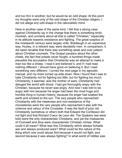and too thin in another; but he would be an odd shape. At this point my thoughts were only of the odd shape of the Christian religion; I did not allege any odd shape in the rationalistic mind.

Here is another case of the same kind. I felt that a strong case against Christianity lay in the charge that there is something timid, monkish, and unmanly about all that is called "Christian," especially in its attitude towards resistance and fighting. The great sceptics of the nineteenth century were largely virile. Bradlaugh in an expansive way, Huxley, in a reticent way, were decidedly men. In comparison, it did seem tenable that there was something weak and over patient about Christian counsels. The Gospel paradox about the other cheek, the fact that priests never fought, a hundred things made plausible the accusation that Christianity was an attempt to make a man too like a sheep. I read it and believed it, and if I had read nothing different, I should have gone on believing it. But I read something very different. I turned the next page in my agnostic manual, and my brain turned up-side down. Now I found that I was to hate Christianity not for fighting too little, but for fighting too much. Christianity, it seemed, was the mother of wars. Christianity had deluged the world wth blood. I had got thoroughly angry wth the Christian, because he never was angry. And now I was told to be angry with him because his anger had been the most huge and horrible thing in human history; because his anger had soaked the earth and smoked to the sun. The very people who reproached Christianity with the meekness and non-resistance of the monasteries were the very people who reproached it also with the violence and valour of the Crusades. It was the fault of poor old Christianity (somehow or other) both that Edward the Confessor did not fight and that Richard Coeur de Leon did. The Quakers (we were told) were the only characteristic Christians; and yet the massacres of Cromwell and Alva were characteristic Christian crimes. What could it all mean? What was this Christianity which always forbade war and always produced wars? What could be the nature of the thing which one could abuse first because it would not fight, and second because it was always fighting? In what world of riddles was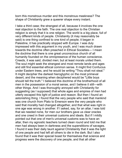born this monstrous murder and this monstrous meekness? The shape of Christianity grew a queerer shape every instant.

I take a third case; the strangest of all, because it involves the one real objection to the faith. The one real objection to the Christian religion is simply that it is one religion. The world is a big place, full of very different kinds of people. Christianity (it may reasonably be said) is one thing confined to one kind of people; it began in Palestine, it has practically stopped with Europe. I was duly impressed with this argument in my youth, and I was much drawn towards the doctrine often preached in Ethical Societies— I mean the doctrine that there is one great unconscious church of all humanity founded on the omnipresence of the human conscience. Creeds, it was said, divided men; but at least morals united them. The soul might seek the strangest and most remote lands and ages and still find essential ethical common sense. It might find Confucius under Eastern trees, and he would be writing "Thou shalt not steal." It might decipher the darkest hieroglyphic on the most primeval desert, and the meaning when deciphered would be "Little boys" should tell the truth." I believed this doctrine of the brotherhood of all men in the possession of a moral sense, and I believe it still—with other things. And I was thoroughly annoyed with Christianity for suggesting (as I supposed) that whole ages and empires of men had utterly escaped this light of justice and reason. But then I found an astonishing thing. I found that the very people who said that mankind was one church from Plato to Emerson were the very people who said that morality had changed altogether, and that what was right in one age was wrong in another. If I asked, say, for an altar, I was told that we needed none, for men our brothers gave us clear oracles and one creed in their universal customs and ideals. But if I mildly pointed out that one of men's universal customs was to have an altar, then my agnostic teachers turned clean round and told me that men had always been in darkness and the superstitions of savages. I found it was their daily taunt against Christianity that it was the light of one people and had left all others to die in the dark. But I also found that it was their special boast for themselves that science and progress were the discovery of one people, and that all other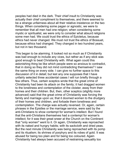peoples had died in the dark. Their chief insult to Christianity was actually their chief compliment to themselves, and there seemed to be a strange unfairness about all their relative insistence on the two things. When considering some pagan or agnostic, we were to remember that all men had one religion; when considering some mystic or spiritualist, we were only to consider what absurd religions some men had. We could trust the ethics of Epictetus, because ethics had never changed. We must not trust the ethics of Bossuet, because ethics had changed. They changed in two hundred years, but not in two thousand.

This began to be alarming. It looked not so much as if Christianity was bad enough to include any vices, but rather as if any stick was good enough to beat Christianity with. What again could this astonishing thing be like which people were so anxious to contradict, that in doing so they did not mind contradicting themselves? I saw the same thing on every side. I can give no further space to this discussion of it in detail; but lest any one supposes that I have unfairly selected three accidental cases I will run briefly through a few others. Thus, certain sceptics wrote that the great crime of Christianity had been its attack on the family; it had dragged women to the loneliness and contemplation of the cloister, away from their homes and their children. But, then, other sceptics (slightly more advanced) said that the great crime of Christianity was forcing the family and marriage upon us; that it doomed women to the drudgery of their homes and children, and forbade them loneliness and contemplation. The charge was actually reversed. Or, again, certain phrases in the Epistles or the marriage service, were said by the anti-Christians to show contempt for woman's intellect. But I found that the anti-Christians themselves had a contempt for woman's intellect; for it was their great sneer at the Church on the Continent that "only women" went to it. Or again, Christianity was reproached with its naked and hungry habits; with its sackcloth and dried peas. But the next minute Christianity was being reproached with its pomp and its ritualism; its shrines of porphyry and its robes of gold. It was abused for being too plain and for being too coloured. Again Christianity had always been accused of restraining sexuality too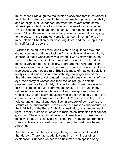much, when Bradlaugh the Malthusian discovered that it restrained it too little. It is often accused in the same breath of prim respectability and of religious extravagance. Between the covers of the same atheistic pamphlet I have found the faith rebuked for its disunion, "One thinks one thing, and one another," and rebuked also for its union, "It is difference of opinion that prevents the world from going to the dogs." In the same conversation a free-thinker, a friend of mine, blamed Christianity for despising Jews, and then despised it himself for being Jewish.

I wished to be quite fair then, and I wish to be quite fair now; and I did not conclude that the attack on Christianity was all wrong. I only concluded that if Christianity was wrong, it was very wrong indeed. Such hostile horrors might be combined in one thing, but that thing must be very strange and solitary. There are men who are misers, and also spendthrifts; but they are rare. There are men sensual and also ascetic; but they are rare. But if this mass of mad contradictions really existed, quakerish and bloodthirsty, too gorgeous and too thread-bare, austere, yet pandering preposterously to the lust of the eye, the enemy of women and their foolish refuge, a solemn pessimist and a silly optimist, if this evil existed, then there was in this evil something quite supreme and unique. For I found in my rationalist teachers no explanation of such exceptional corruption. Christianity (theoretically speaking) was in their eyes only one of the ordinary myths and errors of mortals. THEY gave me no key to this twisted and unnatural badness. Such a paradox of evil rose to the stature of the supernatural. It was, indeed, almost as supernatural as the infallibility of the Pope. An historic institution, which never went right, is really quite as much of a miracle as an institution that cannot go wrong. The only explanation which immediately occurred to my mind was that Christianity did not come from heaven, but from hell. Really, if Jesus of Nazareth was not Christ, He must have been Antichrist.

And then in a quiet hour a strange thought struck me like a still thunderbolt. There had suddenly come into my mind another explanation. Suppose we heard an unknown man spoken of by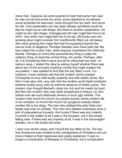many men. Suppose we were puzzled to hear that some men said he was too tall and some too short; some objected to his fatness, some lamented his leanness; some thought him too dark, and some too fair. One explanation (as has been already admitted) would be that he might be an odd shape. But there is another explanation. He might be the right shape. Outrageously tall men might feel him to be short. Very short men might feel him to be tall. Old bucks who are growing stout might consider him insufficiently filled out; old beaux who were growing thin might feel that he expanded beyond the narrow lines of elegance. Perhaps Swedes (who have pale hair like tow) called him a dark man, while negroes considered him distinctly blonde. Perhaps (in short) this extraordinary thing is really the ordinary thing; at least the normal thing, the centre. Perhaps, after all, it is Christianity that is sane and all its critics that are mad—in various ways. I tested this idea by asking myself whether there was about any of the accusers anything morbid that might explain the accusation. I was startled to find that this key fitted a lock. For instance, it was certainly odd that the modern world charged Christianity at once with bodily austerity and with artistic pomp. But then it was also odd, very odd, that the modern world itself combined extreme bodily luxury with an extreme absence of artistic pomp. The modern man thought Becket's robes too rich and his meals too poor. But then the modern man was really exceptional in history; no man before ever ate such elaborate dinners in such ugly clothes. The modern man found the church too simple exactly where modern life s too complex; he found the church too gorgeous exactly where modern life is too dingy. The man who disliked the plain fasts and feasts was mad on entrees. The man who disliked vestments wore a pair of preposterous trousers. And surely if there was any insanity involved in the matter at all it was in the trousers, not in the simply falling robe. If there was any insanity at all, it was in the extravagant entrees, not in the bread and wine.

I went over all the cases, and I found the key fitted so far. The fact that Swinburne was irritated at the unhappiness of Christians and yet more irritated at their happiness was easily explained. It was no longer a complication of diseases in Christianity, but a complication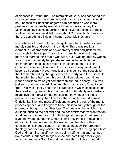of diseases in Swinburne. The restraints of Christians saddened him simply because he was more hedonist than a healthy man should be. The faith of Christians angered him because he was more pessimist than a healthy man should be. In the same way the Malthusians by instinct attacked Christianity; not because there is anything especially anti-Malthusian about Christianity, but because there is something a little anti-human about Malthusianism.

Nevertheless it could not, I felt, be quite true that Christianity was merely sensible and stood in the middle. There was really an element in it of emphasis and even frenzy which had justified the secularists in their superficial criticism. It might be wise, I began more and more to think that it was wise, but it was not merely worldly wise; it was not merely temperate and respectable. Its fierce crusaders and meek saints might balance each other; still, the crusaders were very fierce and the saints were very meek, meek beyond all decency. Now, it was just at this point of the speculation that I remembered my thoughts about the martyr and the suicide. In that matter there had been this combination between two almost insane positions which yet somehow amounted to sanity. This was just such another contradiction; and this I had already found to be true. This was exactly one of the paradoxes in which sceptics found the creed wrong; and in this I had found it right. Madly as Christians might love the martyr or hate the suicide, they never felt these passions more madly than I had felt them long before I dreamed of Christianity. Then the most difficult and interesting part of the mental process opened, and I began to trace this idea darkly through all the enormous thoughts of our theology. The idea was that which I had outlined touching the optimist and the pessimist; that we want not an amalgam or compromise, but both things at the top of their energy; love and wrath both burning. Here I shall only trace it in relation to ethics. But I need not remind the reader that the idea of this combination is indeed central in orthodox theology. For orthodox theology has specially insisted that Christ was not a being apart from God and man, like an elf, nor yet a being half human and half not, like a centaur, but both things at once and both things thoroughly, very man and very God. Now let me trace this notion as I found it.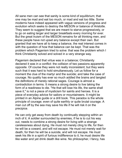All sane men can see that sanity is some kind of equilibrium; that one may be mad and eat too much, or mad and eat too little. Some moderns have indeed appeared with vague versions of progress and evolution which seeks to destroy the MESON or balance of Aristotle. They seem to suggest that we are meant to starve progressvely, or to go on eating larger and larger breakfasts every morning for ever. But the great truism of the MESON remains for all thinking men, and these people have not upset any balance except their own. But granted that we have all to keep a balance, the real interest comes in with the question of how that balance can be kept. That was the problem which Paganism tried to solve: that was the problem which I think Christianity solved and solved in a very strange way.

Paganism declared that virtue was in a balance; Christianity declared it was in a conflict: the collision of two passions apparently opposite. Of course they were not really inconsistent; but they were such that it was hard to hold simultaneously. Let us follow for a moment the clue of the martyr and the suicide; and take the case of courage. No quality has ever so much addled the brains and tangled the definitions of merely rational sages. Courage is almost a contradiction in terms. It means a strong desire to live taking the form of a readiness to die. "He that will lose his life, the same shall save it," is not a piece of mysticism for saints and heroes. It is a piece of everyday advice for sailors or mountaineers. It might be printed in an Alpine guide or a drill book. This paradox is the whole principle of courage; even of quite earthly or quite brutal courage. A man cut off by the sea may save his life if he will risk it on the precipice.

He can only get away from death by continually stepping within an inch of it. A soldier surrounded by enemies, if he is to cut his way out, needs to combine a strong desire for living with a strange carelessness about dying. He must not merely cling to life, for then he will be a coward, and will not escape. He must not merely wait for death, for then he will be a suicide, and will not escape. He must seek his life in a spirit of furious indifference to it; he must desire life like water and yet drink death like wine. No philosopher, I fancy, has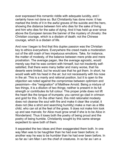ever expressed this romantic riddle with adequate lucidity, and I certainly have not done so. But Christianity has done more: it has marked the limits of it in the awful graves of the suicide and the hero, showing the distance between him who dies for the sake of living and him who dies for the sake of dying. And it has held up ever since above the European lances the banner of the mystery of chivalry: the Christian courage, which is a disdain of death; not the Chinese courage, which is a disdain of life.

And now I began to find that this duplex passion was the Christian key to ethics everywhere. Everywhere the creed made a moderation out of the still crash of two impetuous emotions. Take, for instance, the matter of modesty, of the balance between mere pride and mere prostration. The average pagan, like the average agnostic, would merely say that he was content with himself, but not insolently selfsatisfied, that there were many better and many worse, that his deserts were limited, but he would see that he got them. In short, he would walk with his head in the air; but not necessarily with his nose in the air. This is a manly and rational position, but it is open to the objection we noted against the compromise between optimism and pessimism—the "resignation" of Matthew Arnold. Being a mixture of two things, it is a dilution of two things; neither is present in its full strength or contributes its full colour. This proper pride does not lift the heart like the tongue of trumpets; you cannot go clad in crimson and gold for this. On the other hand, this mild rationalist modesty does not cleanse the soul with fire and make it clear like crystal; it does not (like a strict and searching humility) make a man as a little child, who can sit at the feet of the grass. It does not make him look up and see marvels; for Alice must grow small if she is to be Alice in Wonderland. Thus it loses both the poetry of being proud and the poetry of being humble. Christianity sought by this same strange expedient to save both of them.

It separated the two ideas and then exaggerated them both. In one way Man was to be haughtier than he had ever been before; in another way he was to be humbler than he had ever been before. In so far as I am Man I am the chief of creatures. In so far as I am a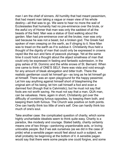man I am the chief of sinners. All humility that had meant pessimism, that had meant man taking a vague or mean view of his whole destiny—all that was to go. We were to hear no more the wail of Ecclesiastes that humanity had no pre-eminence over the brute, or the awful cry of Homer that man was only the saddest of all the beasts of the field. Man was a statue of God walking about the garden. Man had pre-eminence over all the brutes; man was only sad because he was not a beast, but a broken god. The Greek had spoken of men creeping on the earth, as if clinging to it. Now Man was to tread on the earth as if to subdue it. Christianity thus held a thought of the dignity of man that could only be expressed in crowns rayed like the sun and fans of peacock plumage. Yet at the same time it could hold a thought about the abject smallness of man that could only be expressed in fasting and fantastic submission, in the gray ashes of St. Dominic and the white snows of St. Bernard. When one came to think of ONE'S SELF, there was vista and void enough for any amount of bleak abnegation and bitter truth. There the realistic gentleman could let himself go—as long as he let himself go at himself. There was an open playground for the happy pessimist. Let him say anything against himself short of blaspheming the original aim of his being; let him call himself a fool and even a damned fool (though that is Calvinistic); but he must not say that fools are not worth saving. He must not say that a man, QUA man, can be valueless. Here, again in short, Christianity got over the difficulty of combining furious opposites, by keeping them both, and keeping them both furious. The Church was positive on both points. One can hardly think too little of one's self. One can hardly think too much of one's soul.

Take another case: the complicated question of charity, which some highly uncharitable idealists seem to think quite easy. Charity is a paradox, like modesty and courage. Stated baldly, charity certainly means one of two things—pardoning unpardonable acts, or loving unlovable people. But if we ask ourselves (as we did in the case of prde) what a sensble pagan would feel about such a subject, we shall probably be beginning at the bottom of it. A sensible pagan would say that there were some people one could forgive, and some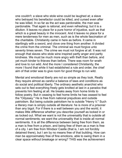one couldn't: a slave who stole wine could be laughed at; a slave who betrayed his benefactor could be killed, and cursed even after he was killed. In so far as the act was pardonable, the man was pardonable. That again is rational, and even refreshing; but it is a dilution. It leaves no place for a pure horror of injustice, such as that which is a great beauty in the innocent. And it leaves no place for a mere tenderness for men as men, such as is the whole fascination of the charitable. Christianity came in here as before. It came in startlingly with a sword, and clove one thing from another. It divided the crime from the criminal. The criminal we must forgive unto seventy times seven. The crime we must not forgive at all. It was not enough that slaves who stole wine inspired partly anger and partly kindness. We must be much more angry with theft than before, and yet much kinder to thieves than before. There was room for wrath and love to run wild. And the more I considered Christianity, the more I found that while it had established a rule and order, the chief aim of that order was to give room for good things to run wild.

Mental and emotional liberty are not so simple as they look. Really they require almost as careful a balance of laws and conditions as do social and political liberty. The ordinary aesthetic anarchist who sets out to feel everything freely gets knotted at last in a paradox that prevents him feeling at all. He breaks away from home limits to follow poetry. But in ceasing to feel home limits he has ceased to feel the "Odyssey." He is free from national prejudices and outside patriotism. But being outside patriotism he is outside "Henry V." Such a literary man is simply outside all literature: he is more of a prisoner than any bigot. For if there is a wall between you and the world, it makes little difference whether you describe yourself as locked in or as locked out. What we want is not the universality that is outside all normal sentiments; we want the universality that is inside all normal sentiments. It is all the difference between being free from them, as a man is free from a prison, and being free of them as a man is free of a city. I am free from Windsor Castle (that is, I am not forcibly detained there), but I am by no means free of that building. How can man be approximately free of fine emotions, able to swing them in a clear space without breakage or wrong? THIS was the achievement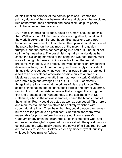of this Christian paradox of the parallel passions. Granted the primary dogma of the war between divine and diabolic, the revolt and ruin of the world, their optimism and pessimism, as pure poetry, could be loosened like cataracts.

St. Francis, in praising all good, could be a more shouting optimist than Walt Whitman. St. Jerome, in denouncing all evil, could paint the world blacker than Schopenhauer. Both passions were free because both were kept in their place. The optimist could pour out all the praise he liked on the gay music of the march, the golden trumpets, and the purple banners going into battle. But he must not call the fight needless. The pessimist might draw as darkly as he chose the sickening marches or the sanguine wounds. But he must not call the fight hopeless. So it was with all the other moral problems, with pride, with protest, and with compassion. By defining its main doctrine, the Church not only kept seemingly inconsistent things side by side, but, what was more, allowed them to break out in a sort of artistic violence otherwise possible only to anarchists. Meekness grew more dramatic than madness. Historic Christianity rose into a high and strange COUP DE THEATRE of moralitythings that are to virtue what the crimes of Nero are to vice. The spirits of indignation and of charity took terrible and attractive forms, ranging from that monkish fierceness that scourged like a dog the first and greatest of the Plantagenets, to the sublime pity of St. Catherine, who, in the official shambles, kissed the bloody head of the criminal. Poetry could be acted as well as composed. This heroic and monumental manner in ethics has entirely vanished with supernatural religion. They, being humble, could parade themselves: but we are too proud to be prominent. Our ethical teachers write reasonably for prison reform; but we are not likely to see Mr. Cadbury, or any eminent philanthropist, go into Reading Gaol and embrace the strangled corpse before it is cast into the quicklime. Our ethical teachers write mildly against the power of millionaires; but we are not likely to see Mr. Rockefeller, or any modern tyrant, publicly whipped in Westminster Abbey.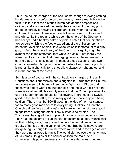Thus, the double charges of the secularists, though throwing nothing but darkness and confusion on themselves, throw a real light on the faith. It is true that the historic Church has at once emphasised celibacy and emphasised the family; has at once (if one may put it so) been fiercely for having children and fiercely for not having children. It has kept them side by side like two strong colours, red and white, like the red and white upon the shield of St. George. It has always had a healthy hatred of pink. It hates that combination of two colours which is the feeble expedient of the philosophers. It hates that evolution of black into white which is tantamount to a dirty gray. In fact, the whole theory of the Church on virginity might be symbolized in the statement that white is a colour: not merely the absence of a colour. All that I am urging here can be expressed by saying that Christianity sought in most of these cases to keep two colours coexistent but pure. It is not a mixture like russet or purple; it is rather like a shot silk, for a shot silk is always at right angles, and is in the pattern of the cross.

So it is also, of course, with the contradictory charges of the anti-Christians about submission and slaughter. It IS true that the Church told some men to fight and others not to fight; and it IS true that those who fought were like thunderbolts and those who did not fight were like statues. All this simply means that the Church preferred to use its Supermen and to use its Tolstoyans. There must be SOME good in the life of battle, for so many good men have enjoyed being soldiers. There must be SOME good in the idea of non-resistance, for so many good men seem to enjoy being Quakers. All that the Church did (so far as that goes) was to prevent either of these good things from ousting the other. They existed side by side. The Tolstoyans, having all the scruples of monks, simply became monks. The Quakers became a club instead of becoming a sect. Monks said all that Tolstoy says; they poured out lucid lamentations about the cruelty of battles and the vanity of revenge. But the Tolstoyans are not quite right enough to run the whole world; and in the ages of faith they were not allowed to run it. The world did not lose the last charge of Sir James Douglas or the banner of Joan the Maid. And sometimes this pure gentleness and this pure fierceness met and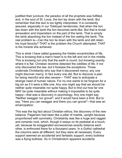justified their juncture; the paradox of all the prophets was fulfilled, and, in the soul of St. Louis, the lion lay down with the lamb. But remember that this text is too lightly interpreted. It is constantly assured, especially in our Tolstoyan tendencies, that when the lion lies down with the lamb the lion becomes lamb-like. But that is brutal annexation and imperialism on the part of the lamb. That is simply the lamb absorbing the lion instead of the lion eating the lamb. The real problem is—Can the lion lie down with the lamb and still retain his royal ferocity? THAT is the problem the Church attempted; THAT is the miracle she achieved.

This is what I have called guessing the hidden eccentricities of life. This is knowing that a man's heart is to the left and not in the middle. This is knowing not only that the earth is round, but knowing exactly where it is flat. Christian doctrine detected the oddities of life. It not only discovered the law, but it foresaw the exceptions. Those underrate Christianity who say that it discovered mercy; any one might discover mercy. In fact every one did. But to discover a plan for being merciful and also severe— THAT was to anticipate a strange need of human nature. For no one wants to be forgiven for a big sin as if it were a little one. Any one might say that we should be neither quite miserable nor quite happy. But to find out how far one MAY be quite miserable without making it impossible to be quite happy—that was a discovery in psychology. Any one might say, "Neither swagger nor grovel"; and it would have been a limit. But to say, "Here you can swagger and there you can grovel"—that was an emancipation.

This was the big fact about Christian ethics; the discovery of the new balance. Paganism had been like a pillar of marble, upright because proportioned with symmetry. Christianity was like a huge and ragged and romantic rock, which, though it sways on its pedestal at a touch, yet, because its exaggerated excrescences exactly balance each other, is enthroned there for a thousand years. In a Gothic cathedral the columns were all dfferent, but they were all necessary. Every support seemed an accidental and fantastic support; every buttress was a flying buttress. So in Christendom apparent accidents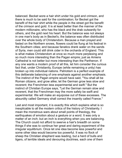balanced. Becket wore a hair shirt under his gold and crimson, and there is much to be said for the combination; for Becket got the benefit of the hair shirt while the people in the street got the benefit of the crimson and gold. It is at least better than the manner of the modern millionaire, who has the black and the drab outwardly for others, and the gold next his heart. But the balance was not always in one man's body as in Becket's; the balance was often distributed over the whole body of Christendom. Because a man prayed and fasted on the Northern snows, flowers could be flung at his festival in the Southern cities; and because fanatics drank water on the sands of Syria, men could still drink cider in the orchards of England. This is what makes Christendom at once so much more perplexing and so much more interesting than the Pagan empire; just as Amiens Cathedral is not better but more interesting than the Parthenon. If any one wants a modern proof of all this, let him consider the curious fact that, under Christianity, Europe (while remaining a unity) has broken up into individual nations. Patriotism is a perfect example of this deliberate balancing of one emphasis against another emphasis. The instinct of the Pagan empire would have said, "You shall all be Roman citizens, and grow alike; let the German grow less slow and reverent; the Frenchmen less experimental and swift." But the instinct of Christian Europe says, "Let the German remain slow and reverent, that the Frenchman may the more safely be swift and experimental. We will make an equipoise out of these excesses. The absurdity called Germany shall correct the insanity called France."

Last and most important, it is exactly this which explains what is so inexplicable to all the modern critics of the history of Christianity. I mean the monstrous wars about small points of theology, the earthquakes of emotion about a gesture or a word. It was only a matter of an inch; but an inch is everything when you are balancing. The Church could not afford to swerve a hair's breadth on some things if she was to continue her great and daring experiment of the irregular equilibrium. Once let one idea become less powerful and some other idea would become too powerful. It was no flock of sheep the Christian shepherd was leading, but a herd of bulls and tigers, of terrible ideals and devouring doctrines, each one of them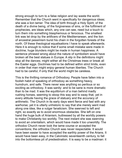strong enough to turn to a false religion and lay waste the world. Remember that the Church went in specifically for dangerous ideas; she was a lion tamer. The idea of birth through a Holy Spirit, of the death of a divine being, of the forgiveness of sins, or the fulfilment of prophecies, are ideas which, any one can see, need but a touch to turn them into something blasphemous or ferocious. The smallest link was let drop by the artificers of the Mediterranean, and the lion of ancestral pessimism burst his chain in the forgotten forests of the north. Of these theological equalisations I have to speak afterwards. Here it is enough to notice that if some small mistake were made in doctrine, huge blunders might be made in human happiness. A sentence phrased wrong about the nature of symbolism would have broken all the best statues in Europe. A slip in the definitions might stop all the dances; might wither all the Christmas trees or break all the Easter eggs. Doctrines had to be defined within strict limits, even in order that man might enjoy general human liberties. The Church had to be careful, if only that the world might be careless.

This is the thrilling romance of Orthodoxy. People have fallen into a foolish habit of speaking of orthodoxy as something heavy, humdrum, and safe. There never was anything so perilous or so exciting as orthodoxy. It was sanity: and to be sane is more dramatic than to be mad. It was the equilibrium of a man behind madly rushing horses, seeming to stoop this way and to sway that, yet in every attitude having the grace of statuary and the accuracy of arithmetic. The Church in its early days went fierce and fast with any warhorse; yet it is utterly unhistoric to say that she merely went mad along one idea, like a vulgar fanaticism. She swerved to left and right, so exactly as to avoid enormous obstacles. She left on one hand the huge bulk of Arianism, buttressed by all the worldly powers to make Christianity too worldly. The next instant she was swerving to avoid an orientalism, which would have made it too unworldly. The orthodox Church never took the tame course or accepted the conventions; the orthodox Church was never respectable. It would have been easier to have accepted the earthly power of the Arians. It would have been easy, in the Calvinistic seventeenth century, to fall into the bottomless pit of predestination. It is easy to be a madman: it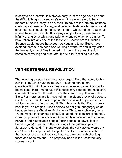is easy to be a heretic. It is always easy to let the age have its head; the difficult thing is to keep one's own. It is always easy to be a modernist; as it is easy to be a snob. To have fallen into any of those open traps of error and exaggeration which fashion after fashion and sect after sect set along the historic path of Christendom—that would indeed have been simple. It is always simple to fall; there are an infinity of angles at which one falls, only one at which one stands. To have fallen into any one of the fads from Gnosticism to Christian Science would indeed have been obvious and tame. But to have avoided them all has been one whirling adventure; and in my vision the heavenly chariot flies thundering through the ages, the dull heresies sprawling and prostrate, the wild truth reeling but erect.

## **VII THE ETERNAL REVOLUTION**

The following propositions have been urged: First, that some faith in our life is required even to improve it; second, that some dissatisfaction with things as they are is necessary even in order to be satisfied; third, that to have this necessary content and necessary discontent it is not sufficient to have the obvious equilibrium of the Stoic. For mere resignation has neither the gigantic levity of pleasure nor the superb intolerance of pain. There is a vital objection to the advice merely to grin and bear it. The objection is that if you merely bear it, you do not grin. Greek heroes do not grin: but gargoyles do because they are Christian. And when a Christian is pleased, he is (in the most exact sense) frightfully pleased; his pleasure is frightful. Christ prophesied the whole of Gothic architecture in that hour when nervous and respectable people (such people as now object to barrel organs) objected to the shouting of the gutter-snipes of Jerusalem. He sad, "If these were slent, the very stones would cry out." Under the impulse of His spirit arose like a clamorous chorus the facades of the mediaeval cathedrals, thronged with shouting faces and open mouths. The prophecy has fulfilled itself: the very stones cry out.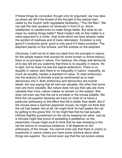If these things be conceded, though only for argument, we may take up where we left it the thread of the thought of the natural man, called by the Scotch (with regrettable familiarity), "The Old Man." We can ask the next question so obviously in front of us. Some satisfaction is needed even to make things better. But what do we mean by making things better? Most modern talk on this matter is a mere argument in a circle—that circle which we have already made the symbol of madness and of mere rationalism. Evolution is only good if it produces good; good is only good if it helps evolution. The elephant stands on the tortoise, and the tortoise on the elephant.

Obviously, it will not do to take our ideal from the principle in nature; for the simple reason that (except for some human or divine theory), there is no principle in nature. For instance, the cheap anti-democrat of to-day will tell you solemnly that there is no equality in nature. He is right, but he does not see the logical addendum. There is no equality in nature; also there is no inequality in nature. Inequality, as much as equality, implies a standard of value. To read aristocracy into the anarchy of animals is just as sentimental as to read democracy into it. Both aristocracy and democracy are human ideals: the one saying that all men are valuable, the other that some men are more valuable. But nature does not say that cats are more valuable than mice; nature makes no remark on the subject. She does not even say that the cat is enviable or the mouse pitiable. We think the cat superior because we have (or most of us have) a particular philosophy to the effect that life is better than death. But if the mouse were a German pessimist mouse, he might not think that the cat had beaten him at all. He might think he had beaten the cat by getting to the grave first. Or he might feel that he had actually inflicted frightful punishment on the cat by keeping him alive. Just as a microbe might feel proud of spreading a pestilence, so the pessimistic mouse might exult to think that he was renewing in the cat the torture of conscious existence. It all depends on the philosophy of the mouse. You cannot even say that there is victory or superiority in nature unless you have some doctrine about what things are superior. You cannot even say that the cat scores unless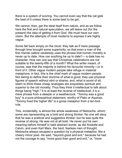there is a system of scoring. You cannot even say that the cat gets the best of it unless there is some best to be got.

We cannot, then, get the ideal itself from nature, and as we follow here the first and natural speculation, we will leave out (for the present) the idea of getting it from God. We must have our own vision. But the attempts of most moderns to express it are highly vague.

Some fall back simply on the clock: they talk as if mere passage through time brought some superiority; so that even a man of the first mental calibre carelessly uses the phrase that human morality is never up to date. How can anything be up to date?— a date has no character. How can one say that Christmas celebrations are not suitable to the twenty-fifth of a month? What the writer meant, of course, was that the majority is behind his favourite minority—or in front of it. Other vague modern people take refuge in material metaphors; in fact, this is the chief mark of vague modern people. Not daring to define their doctrine of what is good, they use physical figures of speech without stint or shame, and, what is worst of all, seem to think these cheap analogies are exquisitely spiritual and superior to the old morality. Thus they think it intellectual to talk about things being "high." It is at least the reverse of intellectual; it is a mere phrase from a steeple or a weathercock. "Tommy was a good boy" is a pure philosophical statement, worthy of Plato or Aquinas. "Tommy lived the higher life" is a gross metaphor from a ten-foot rule.

This, incidentally, is almost the whole weakness of Nietzsche, whom some are representing as a bold and strong thinker. No one will deny that he was a poetical and suggestive thinker; but he was quite the reverse of strong. He was not at all bold. He never put his own meaning before himself in bald abstract words: as did Aristotle and Calvin, and even Karl Marx, the hard, fearless men of thought. Nietzsche always escaped a question by a physical metaphor, like a cheery minor poet. He said, "beyond good and evil," because he had not the courage to say, "more good than good and evil," or, "more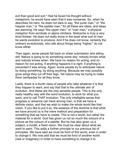evil than good and evil." Had he faced his thought without metaphors, he would have seen that it was nonsense. So, when he describes his hero, he does not dare to say, "the purer man," or "the happier man," or "the sadder man," for all these are ideas; and ideas are alarming. He says "the upper man," or "over man," a physical metaphor from acrobats or alpine climbers. Nietzsche is truly a very timid thinker. He does not really know in the least what sort of man he wants evolution to produce. And if he does not know, certainly the ordinary evolutionists, who talk about things being "higher," do not know either.

Then again, some people fall back on sheer submission and sitting still. Nature is going to do something some day; nobody knows what, and nobody knows when. We have no reason for acting, and no reason for not acting. If anything happens it is right: if anything is prevented it was wrong. Again, some people try to anticipate nature by doing something, by doing anything. Because we may possibly grow wings they cut off their legs. Yet nature may be trying to make them centipedes for all they know.

Lastly, there is a fourth class of people who take whatever it is that they happen to want, and say that that is the ultimate aim of evolution. And these are the only sensible people. This is the only really healthy way with the word evolution, to work for what you want, and to call THAT evolution. The only intelligible sense that progress or advance can have among men, is that we have a definite vision, and that we wish to make the whole world like that vision. If you like to put it so, the essence of the doctrine is that what we have around us is the mere method and preparation for something that we have to create. This is not a world, but rather the material for a world. God has given us not so much the colours of a picture as the colours of a palette. But he has also given us a subject, a model, a fixed vision. We must be clear about what we want to paint. This adds a further principle to our previous list of principles. We have said we must be fond of this world, even in order to change it. We now add that we must be fond of another world (real or imaginary) in order to have something to change it to.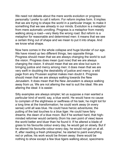We need not debate about the mere words evolution or progress: personally I prefer to call it reform. For reform implies form. It implies that we are trying to shape the world in a particular image; to make it something that we see already in our minds. Evolution is a metaphor from mere automatic unrolling. Progress is a metaphor from merely walking along a road—very likely the wrong road. But reform is a metaphor for reasonable and determined men: it means that we see a certain thing out of shape and we mean to put it into shape. And we know what shape.

Now here comes in the whole collapse and huge blunder of our age. We have mixed up two different things, two opposite things. Progress should mean that we are always changing the world to suit the vision. Progress does mean (just now) that we are always changing the vision. It should mean that we are slow but sure in bringing justice and mercy among men: it does mean that we are very swift in doubting the desirability of justice and mercy: a wild page from any Prussian sophist makes men doubt it. Progress should mean that we are always walking towards the New Jerusalem. It does mean that the New Jerusalem is always walking away from us. We are not altering the real to suit the ideal. We are altering the ideal: it is easier.

Silly examples are always simpler; let us suppose a man wanted a particular kind of world; say, a blue world. He would have no cause to complain of the slightness or swiftness of his task; he might toil for a long time at the transformation; he could work away (in every sense) until all was blue. He could have heroic adventures; the putting of the last touches to a blue tiger. He could have fairy dreams; the dawn of a blue moon. But if he worked hard, that highminded reformer would certainly (from his own point of view) leave the world better and bluer than he found it. If he altered a blade of grass to his favourite colour every day, he would get on slowly. But if he altered his favourite colour every day, he would not get on at all. If, after reading a fresh philosopher, he started to paint everything red or yellow, his work would be thrown away: there would be nothing to show except a few blue tigers walking about, specimens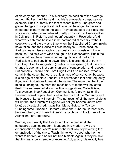of his early bad manner. This is exactly the position of the average modern thinker. It will be said that this is avowedly a preposterous example. But it is literally the fact of recent history. The great and grave changes in our political civilization all belonged to the early nineteenth century, not to the later. They belonged to the black and white epoch when men believed fixedly in Toryism, in Protestantism, in Calvinism, in Reform, and not unfrequently in Revolution. And whatever each man believed in he hammered at steadily, without scepticism: and there was a time when the Established Church might have fallen, and the House of Lords nearly fell. It was because Radicals were wise enough to be constant and consistent; it was because Radicals were wise enough to be Conservative. But in the existing atmosphere there is not enough time and tradition in Radicalism to pull anything down. There is a great deal of truth in Lord Hugh Cecil's suggestion (made in a fine speech) that the era of change is over, and that ours is an era of conservation and repose. But probably it would pain Lord Hugh Cecil if he realized (what is certainly the case) that ours is only an age of conservation because it is an age of complete unbelief. Let beliefs fade fast and frequently, if you wish institutions to remain the same. The more the life of the mind is unhinged, the more the machinery of matter will be left to itself. The net result of all our political suggestions, Collectivism, Tolstoyanism, Neo-Feudalism, Communism, Anarchy, Scientific Bureaucracy—the plain fruit of all of them is that the Monarchy and the House of Lords will remain. The net result of all the new religions will be that the Church of England will not (for heaven knows how long) be disestablished. It was Karl Marx, Nietzsche, Tolstoy, Cunninghame Grahame, Bernard Shaw and Auberon Herbert, who between them, with bowed gigantic backs, bore up the throne of the Archbishop of Canterbury.

We may say broadly that free thought is the best of all the safeguards against freedom. Managed in a modern style the emancipation of the slave's mind is the best way of preventing the emancipation of the slave. Teach him to worry about whether he wants to be free, and he will not free himself. Again, it may be said that this instance is remote or extreme. But, again, it is exactly true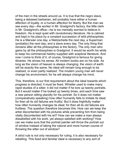of the men in the streets around us. It is true that the negro slave, being a debased barbarian, will probably have either a human affection of loyalty, or a human affection for liberty. But the man we see every day—the worker in Mr. Gradgrind's factory, the little clerk in Mr. Gradgrind's office—he is too mentally worried to believe in freedom. He is kept quiet with revolutionary literature. He is calmed and kept in his place by a constant succession of wild philosophies. He is a Marxian one day, a Nietzscheite the next day, a Superman (probably) the next day; and a slave every day. The only thing that remains after all the philosophies is the factory. The only man who gains by all the philosophies is Gradgrind. It would be worth his while to keep his commercial helotry supplied with sceptical literature. And now I come to think of it, of course, Gradgrind is famous for giving libraries. He shows his sense. All modern books are on his side. As long as the vision of heaven is always changing, the vision of earth will be exactly the same. No ideal will remain long enough to be realized, or even partly realized. The modern young man will never change his environment; for he will always change his mind.

This, therefore, is our first requirement about the ideal towards which progress is directed; it must be fixed. Whistler used to make many rapid studies of a sitter; it did not matter if he tore up twenty portraits. But it would matter if he looked up twenty times, and each time saw a new person sitting placidly for his portrait. So it does not matter (comparatively speaking) how often humanity fails to imitate its ideal; for then all its old failures are fruitful. But it does frightfully matter how often humanity changes its ideal; for then all its old failures are fruitless. The question therefore becomes this: How can we keep the artist discontented with his pictures while preventing him from being vitally discontented with his art? How can we make a man always dissatisfied with his work, yet always satisfied with working? How can we make sure that the portrait painter will throw the portrait out of window instead of taking the natural and more human course of throwing the sitter out of window?

A strict rule is not only necessary for ruling; it is also necessary for rebelling. This fixed and familiar ideal is necessary to any sort of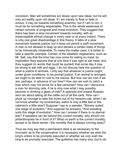revolution. Man will sometimes act slowly upon new ideas; but he will only act swiftly upon old ideas. If I am merely to float or fade or evolve, it may be towards something anarchic; but if I am to riot, it must be for something respectable. This is the whole weakness of certain schools of progress and moral evolution. They suggest that there has been a slow movement towards morality, with an imperceptible ethical change in every year or at every instant. There is only one great disadvantage in this theory. It talks of a slow movement towards justice; but it does not permit a swift movement. A man is not allowed to leap up and declare a certain state of things to be intrinsically intolerable. To make the matter clear, it is better to take a specific example. Certain of the idealistic vegetarians, such as Mr. Salt, say that the time has now come for eating no meat; by implication they assume that at one time it was right to eat meat, and they suggest (in words that could be quoted) that some day it may be wrong to eat milk and eggs. I do not discuss here the question of what is justice to animals. I only say that whatever is justice ought, under given conditions, to be prompt justice. If an animal is wronged, we ought to be able to rush to his rescue. But how can we rush if we are, perhaps, in advance of our time? How can we rush to catch a train which may not arrive for a few centuries? How can I denounce a man for skinning cats, if he is only now what I may possibly become in drinking a glass of milk? A splendid and insane Russian sect ran about taking all the cattle out of all the carts. How can I pluck up courage to take the horse out of my hansom-cab, when I do not know whether my evolutionary watch is only a little fast or the cabman's a little slow? Suppose I say to a sweater, "Slavery suited one stage of evolution." And suppose he answers, "And sweating suits this stage of evolution." How can I answer if there is no eternal test? If sweaters can be behind the current morality, why should not philanthropists be in front of it? What on earth is the current morality, except in its literal sense—the morality that is always running away?

Thus we may say that a permanent ideal is as necessary to the innovator as to the conservative; it is necessary whether we wish the king's orders to be promptly executed or whether we only wish the king to be promptly executed. The guillotine has many sins, but to do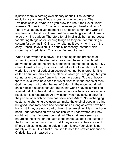it justice there is nothing evolutionary about it. The favourite evolutionary argument finds its best answer in the axe. The Evolutionist says, "Where do you draw the line?" the Revolutionist answers, "I draw it HERE: exactly between your head and body." There must at any given moment be an abstract right and wrong if any blow is to be struck; there must be something eternal if there is to be anything sudden. Therefore for all intelligible human purposes, for altering things or for keeping things as they are, for founding a system for ever, as in China, or for altering it every month as in the early French Revolution, it is equally necessary that the vision should be a fixed vision. This is our first requirement.

When I had written this down, I felt once again the presence of something else in the discussion: as a man hears a church bell above the sound of the street. Something seemed to be saying, "My ideal at least is fixed; for it was fixed before the foundations of the world. My vision of perfection assuredly cannot be altered; for it is called Eden. You may alter the place to which you are going; but you cannot alter the place from which you have come. To the orthodox there must always be a case for revolution; for in the hearts of men God has been put under the feet of Satan. In the upper world hell once rebelled against heaven. But in this world heaven is rebelling against hell. For the orthodox there can always be a revolution; for a revolution is a restoration. At any instant you may strike a blow for the perfection which no man has seen since Adam. No unchanging custom, no changing evolution can make the original good any thing but good. Man may have had concubines as long as cows have had horns: still they are not a part of him if they are sinful. Men may have been under oppression ever since fish were under water; still they ought not to be, if oppression is sinful. The chain may seem as natural to the slave, or the paint to the harlot, as does the plume to the bird or the burrow to the fox; still they are not, if they are sinful. I lift my prehistoric legend to defy all your history. Your vision is not merely a fixture: it is a fact." I paused to note the new coincidence of Christianity: but I passed on.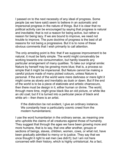I passed on to the next necessity of any ideal of progress. Some people (as we have said) seem to believe in an automatic and impersonal progress in the nature of things. But it is clear that no political activity can be encouraged by saying that progress is natural and inevitable; that is not a reason for being active, but rather a reason for being lazy. If we are bound to improve, we need not trouble to improve. The pure doctrine of progress is the best of all reasons for not being a progressive. But it is to none of these obvious comments that I wish primarily to call attention.

The only arresting point is this: that if we suppose improvement to be natural, it must be fairly simple. The world might conceivably be working towards one consummation, but hardly towards any particular arrangement of many qualities. To take our original simile: Nature by herself may be growing more blue; that is, a process so simple that it might be impersonal. But Nature cannot be making a careful picture made of many picked colours, unless Nature is personal. If the end of the world were mere darkness or mere light it might come as slowly and inevitably as dusk or dawn. But if the end of the world is to be a piece of elaborate and artistic chiaroscuro, then there must be design in it, either human or divine. The world, through mere time, might grow black like an old picture, or white like an old coat; but if it is turned into a particular piece of black and white art— then there is an artist.

If the distinction be not evident, I give an ordinary instance. We constantly hear a particularly cosmic creed from the modern humanitarians:

I use the word humanitarian in the ordinary sense, as meaning one who upholds the claims of all creatures against those of humanity. They suggest that through the ages we have been growing more and more humane, that is to say, that one after another, groups or sections of beings, slaves, children, women, cows, or what not, have been gradually admitted to mercy or to justice. They say that we once thought it right to eat men (we didn't); but I am not here concerned with their history, which is highly unhistorical. As a fact,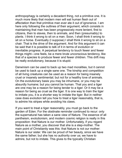anthropophagy is certainly a decadent thing, not a primitive one. It is much more likely that modern men will eat human flesh out of affectation than that primitive man ever ate it out of ignorance. I am here only following the outlines of their argument, which consists in maintaining that man has been progressively more lenient, first to citizens, then to slaves, then to animals, and then (presumably) to plants. I think it wrong to sit on a man. Soon, I shall think it wrong to sit on a horse. Eventually (I suppose) I shall think it wrong to sit on a chair. That is the drive of the argument. And for this argument it can be said that it is possible to talk of it in terms of evolution or inevitable progress. A perpetual tendency to touch fewer and fewer things might—one feels, be a mere brute unconscious tendency, like that of a species to produce fewer and fewer children. This drift may be really evolutionary, because it is stupid.

Darwinism can be used to back up two mad moralities, but it cannot be used to back up a single sane one. The kinship and competition of all living creatures can be used as a reason for being insanely cruel or insanely sentimental; but not for a healthy love of animals. On the evolutionary basis you may be inhumane, or you may be absurdly humane; but you cannot be human. That you and a tiger are one may be a reason for being tender to a tiger. Or it may be a reason for being as cruel as the tiger. It is one way to train the tiger to imitate you, it is a shorter way to imitate the tiger. But in neither case does evolution tell you how to treat a tiger reasonably, that is, to admire his stripes while avoiding his claws.

If you want to treat a tiger reasonably, you must go back to the garden of Eden. For the obstinate reminder continued to recur: only the supernatural has taken a sane view of Nature. The essence of all pantheism, evolutionism, and modern cosmic religion is really in this proposition: that Nature is our mother. Unfortunately, if you regard Nature as a mother, you discover that she is a step-mother. The main point of Christianity was this: that Nature is not our mother: Nature is our sister. We can be proud of her beauty, since we have the same father; but she has no authority over us; we have to admire, but not to imitate. This gives to the typically Christian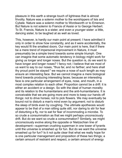pleasure in this earth a strange touch of lightness that is almost frivolity. Nature was a solemn mother to the worshippers of Isis and Cybele. Nature was a solemn mother to Wordsworth or to Emerson. But Nature is not solemn to Francis of Assisi or to George Herbert. To St. Francis, Nature is a sister, and even a younger sister: a little, dancing sister, to be laughed at as well as loved.

This, however, is hardly our main point at present; I have admitted it only in order to show how constantly, and as it were accidentally, the key would fit the smallest doors. Our main point is here, that if there be a mere trend of impersonal improvement in Nature, it must presumably be a simple trend towards some simple triumph. One can imagine that some automatic tendency in biology might work for giving us longer and longer noses. But the question is, do we want to have longer and longer noses? I fancy not; I believe that we most of us want to say to our noses, "thus far, and no farther; and here shall thy proud point be stayed:" we require a nose of such length as may ensure an interesting face. But we cannot imagine a mere biological trend towards producing interesting faces; because an interesting face is one particular arrangement of eyes, nose, and mouth, in a most complex relation to each other. Proportion cannot be a drift: it is either an accident or a design. So with the ideal of human morality and its relation to the humanitarians and the anti-humanitarians. It is conceivable that we are going more and more to keep our hands off things: not to drive horses; not to pick flowers. We may eventually be bound not to disturb a man's mind even by argument; not to disturb the sleep of birds even by coughing. The ultimate apotheosis would appear to be that of a man sitting quite still, nor daring to stir for fear of disturbing a fly, nor to eat for fear of incommoding a microbe. To so crude a consummation as that we might perhaps unconsciously drift. But do we want so crude a consummation? Similarly, we might unconsciously evolve along the opposite or Nietzschian line of development—superman crushing superman in one tower of tyrants until the universe is smashed up for fun. But do we want the universe smashed up for fun? Is it not quite clear that what we really hope for is one particular management and proposition of these two things; a certain amount of restraint and respect, a certain amount of energy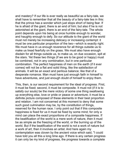and mastery? If our life is ever really as beautiful as a fairy-tale, we shall have to remember that all the beauty of a fairy-tale lies in this: that the prince has a wonder which just stops short of being fear. If he is afraid of the giant, there is an end of him; but also if he is not astonished at the giant, there is an end of the fairy-tale. The whole point depends upon his being at once humble enough to wonder, and haughty enough to defy. So our attitude to the giant of the world must not merely be increasing delicacy or increasing contempt: it must be one particular proportion of the two—which is exactly right. We must have in us enough reverence for all things outside us to make us tread fearfully on the grass. We must also have enough disdain for all things outside us, to make us, on due occasion, spit at the stars. Yet these two things (if we are to be good or happy) must be combined, not in any combination, but in one particular combination. The perfect happiness of men on the earth (if it ever comes) will not be a flat and solid thing, like the satisfaction of animals. It will be an exact and perilous balance; like that of a desperate romance. Man must have just enough faith in himself to have adventures, and just enough doubt of himself to enjoy them.

This, then, is our second requirement for the ideal of progress. First, it must be fixed; second, it must be composite. It must not (if it is to satisfy our souls) be the mere victory of some one thing swallowing up everything else, love or pride or peace or adventure; it must be a definite picture composed of these elements in their best proportion and relation. I am not concerned at this moment to deny that some such good culmination may be, by the constitution of things, reserved for the human race. I only point out that if this composite happiness is fixed for us it must be fixed by some mind; for only a mind can place the exact proportions of a composite happiness. If the beatification of the world is a mere work of nature, then it must be as simple as the freezing of the world, or the burning up of the world. But if the beatification of the world is not a work of nature but a work of art, then it involves an artist. And here again my contemplation was cloven by the ancient voice which said, "I could have told you all this a long time ago. If there is any certain progress it can only be my kind of progress, the progress towards a complete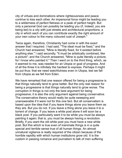city of virtues and dominations where righteousness and peace contrive to kiss each other. An impersonal force might be leading you to a wilderness of perfect flatness or a peak of perfect height. But only a personal God can possibly be leading you (if, indeed, you are being led) to a city with just streets and architectural proportions, a city in which each of you can contribute exactly the right amount of your own colour to the many coloured coat of Joseph."

Twice again, therefore, Christianity had come in with the exact answer that I required. I had said, "The ideal must be fixed," and the Church had answered, "Mine is literally fixed, for it existed before anything else." I said secondly, "It must be artistically combined, like a picture"; and the Church answered, "Mine is quite literally a picture, for I know who painted it." Then I went on to the third thing, which, as it seemed to me, was needed for an Utopia or goal of progress. And of all the three it is infinitely the hardest to express. Perhaps it might be put thus: that we need watchfulness even in Utopia, lest we fall from Utopia as we fell from Eden.

We have remarked that one reason offered for being a progressive is that things naturally tend to grow better. But the only real reason for being a progressive is that things naturally tend to grow worse. The corruption in things is not only the best argument for being progressive; it is also the only argument against being conservative. The conservative theory would really be quite sweeping and unanswerable if it were not for this one fact. But all conservatism is based upon the idea that if you leave things alone you leave them as they are. But you do not. If you leave a thing alone you leave it to a torrent of change. If you leave a white post alone it will soon be a black post. If you particularly want it to be white you must be always painting it again; that is, you must be always having a revolution. Briefly, if you want the old white post you must have a new white post. But this which is true even of inanimate things is in a quite special and terrible sense true of all human things. An almost unnatural vigilance is really required of the citizen because of the horrible rapidity with which human institutions grow old. It is the custom in passing romance and journalism to talk of men suffering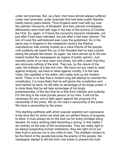under old tyrannies. But, as a fact, men have almost always suffered under new tyrannies; under tyrannies that had been public liberties hardly twenty years before. Thus England went mad with joy over the patriotic monarchy of Elizabeth; and then (almost immediately afterwards) went mad with rage in the trap of the tyranny of Charles the First. So, again, in France the monarchy became intolerable, not just after it had been tolerated, but just after it had been adored. The son of Louis the well-beloved was Louis the guillotined. So in the same way in England in the nineteenth century the Radical manufacturer was entirely trusted as a mere tribune of the people, until suddenly we heard the cry of the Socialist that he was a tyrant eating the people like bread. So again, we have almost up to the last instant trusted the newspapers as organs of public opinion. Just recently some of us have seen (not slowly, but with a start) that they are obviously nothing of the kind. They are, by the nature of the case, the hobbies of a few rich men. We have not any need to rebel against antiquity; we have to rebel against novelty. It is the new rulers, the capitalist or the editor, who really hold up the modern world. There is no fear that a modern king will attempt to override the constitution; it is more likely that he will ignore the constitution and work behind its back; he will take no advantage of his kingly power; it is more likely that he will take advantage of his kingly powerlessness, of the fact that he is free from criticism and publicity. For the king is the most private person of our time. It will not be necessary for any one to fight again against the proposal of a censorship of the press. We do not need a censorship of the press. We have a censorship by the press.

This startling swiftness with which popular systems turn oppressive is the third fact for which we shall ask our perfect theory of progress to allow. It must always be on the look out for every privilege being abused, for every working right becoming a wrong. In this matter I am entirely on the side of the revolutionists. They are really right to be always suspecting human institutions; they are right not to put their trust in princes nor in any child of man. The chieftain chosen to be the friend of the people becomes the enemy of the people; the newspaper started to tell the truth now exists to prevent the truth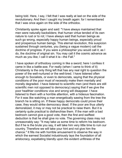being told. Here, I say, I felt that I was really at last on the side of the revolutionary. And then I caught my breath again: for I remembered that I was once again on the side of the orthodox.

Christianity spoke again and said: "I have always maintained that men were naturally backsliders; that human virtue tended of its own nature to rust or to rot; I have always said that human beings as such go wrong, especially happy human beings, especially proud and prosperous human beings. This eternal revolution, this suspicion sustained through centuries, you (being a vague modern) call the doctrine of progress. If you were a philosopher you would call it, as I do, the doctrine of original sin. You may call it the cosmic advance as much as you like; I call it what it is—the Fall."

I have spoken of orthodoxy coming in like a sword; here I confess it came in like a battle-axe. For really (when I came to think of it) Christianity is the only thing left that has any real right to question the power of the well-nurtured or the well-bred. I have listened often enough to Socialists, or even to democrats, saying that the physical conditions of the poor must of necessity make them mentally and morally degraded. I have listened to scientific men (and there are still scientific men not opposed to democracy) saying that if we give the poor healthier conditions vice and wrong will disappear. I have listened to them with a horrible attention, with a hideous fascination. For it was like watching a man energetically sawing from the tree the branch he is sitting on. If these happy democrats could prove their case, they would strike democracy dead. If the poor are thus utterly demoralized, it may or may not be practical to raise them. But it is certainly quite practical to disfranchise them. If the man with a bad bedroom cannot give a good vote, then the first and swiftest deduction is that he shall give no vote. The governing class may not unreasonably say: "It may take us some time to reform his bedroom. But if he is the brute you say, it will take him very little time to ruin our country. Therefore we will take your hint and not give him the chance." It fills me with horrible amusement to observe the way in which the earnest Socialist industriously lays the foundation of all aristocracy, expatiating blandly upon the evident unfitness of the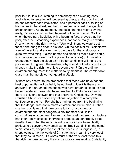poor to rule. It is like listening to somebody at an evening party apologising for entering without evening dress, and explaining that he had recently been intoxicated, had a personal habit of taking off his clothes in the street, and had, moreover, only just changed from prison uniform. At any moment, one feels, the host might say that really, if it was as bad as that, he need not come in at all. So it is when the ordinary Socialist, with a beaming face, proves that the poor, after their smashing experiences, cannot be really trustworthy. At any moment the rich may say, "Very well, then, we won't trust them," and bang the door in his face. On the basis of Mr. Blatchford's view of heredity and environment, the case for the aristocracy is quite overwhelming. If clean homes and clean air make clean souls, why not give the power (for the present at any rate) to those who undoubtedly have the clean air? If better conditions will make the poor more fit to govern themselves, why should not better conditions already make the rich more fit to govern them? On the ordinary environment argument the matter is fairly manifest. The comfortable class must be merely our vanguard in Utopia.

Is there any answer to the proposition that those who have had the best opportunities will probably be our best quides? Is there any answer to the argument that those who have breathed clean air had better decide for those who have breathed foul? As far as I know, there is only one answer, and that answer is Christianity. Only the Christian Church can offer any rational objection to a complete confidence in the rich. For she has maintained from the beginning that the danger was not in man's environment, but in man. Further, she has maintained that if we come to talk of a dangerous environment, the most dangerous environment of all is the commodious environment. I know that the most modern manufacture has been really occupied in trying to produce an abnormally large needle. I know that the most recent biologists have been chiefly anxious to discover a very small camel. But if we diminish the camel to his smallest, or open the eye of the needle to its largest—if, in short, we assume the words of Christ to have meant the very least that they could mean, His words must at the very least mean this that rich men are not very likely to be morally trustworthy. Christianity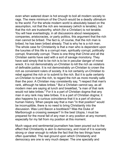even when watered down is hot enough to boil all modern society to rags. The mere minimum of the Church would be a deadly ultimatum to the world. For the whole modern world is absolutely based on the assumption, not that the rich are necessary (which is tenable), but that the rich are trustworthy, which (for a Christian) is not tenable. You will hear everlastingly, in all discussions about newspapers, companies, aristocracies, or party politics, this argument that the rich man cannot be bribed. The fact is, of course, that the rich man is bribed; he has been bribed already. That is why he is a rich man. The whole case for Christianity is that a man who is dependent upon the luxuries of this life is a corrupt man, spiritually corrupt, politically corrupt, financially corrupt. There is one thing that Christ and all the Christian saints have said with a sort of savage monotony. They have said simply that to be rich is to be in peculiar danger of moral wreck. It is not demonstrably un-Christian to kill the rich as violators of definable justice. It is not demonstrably un-Christian to crown the rich as convenient rulers of society. It is not certainly un-Christian to rebel against the rich or to submit to the rich. But it is quite certainly un-Christian to trust the rich, to regard the rich as more morally safe than the poor. A Christian may consistently say, "I respect that man's rank, although he takes bribes." But a Christian cannot say, as all modern men are saying at lunch and breakfast, "a man of that rank would not take bribes." For it is a part of Christian dogma that any man in any rank may take bribes. It is a part of Christian dogma; it also happens by a curious coincidence that it is a part of obvious human history. When people say that a man "in that position" would be incorruptible, there is no need to bring Christianity into the discussion. Was Lord Bacon a bootblack? Was the Duke of Marlborough a crossing sweeper? In the best Utopia, I must be prepared for the moral fall of any man in any position at any moment; especially for my fall from my position at this moment.

Much vague and sentimental journalism has been poured out to the effect that Christianity is akin to democracy, and most of it is scarcely strong or clear enough to refute the fact that the two things have often quarrelled. The real ground upon which Christianity and democracy are one is very much deeper. The one specially and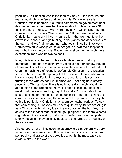peculiarly un-Christian idea is the idea of Carlyle— the idea that the man should rule who feels that he can rule. Whatever else is Christian, this is heathen. If our faith comments on government at all, its comment must be this—that the man should rule who does NOT think that he can rule. Carlyle's hero may say, "I will be king"; but the Christian saint must say "Nolo episcopari." If the great paradox of Christianity means anything, it means this— that we must take the crown in our hands, and go hunting in dry places and dark corners of the earth until we find the one man who feels himself unfit to wear it. Carlyle was quite wrong; we have not got to crown the exceptional man who knows he can rule. Rather we must crown the much more exceptional man who knows he can't.

Now, this is one of the two or three vital defences of working democracy. The mere machinery of voting is not democracy, though at present it is not easy to effect any simpler democratic method. But even the machinery of voting is profoundly Christian in this practical sense—that it is an attempt to get at the opinion of those who would be too modest to offer it. It is a mystical adventure; it is specially trusting those who do not trust themselves. That enigma is strictly peculiar to Christendom. There is nothing really humble about the abnegation of the Buddhist; the mild Hindoo is mild, but he is not meek. But there is something psychologically Christian about the idea of seeking for the opinion of the obscure rather than taking the obvious course of accepting the opinion of the prominent. To say that voting is particularly Christian may seem somewhat curious. To say that canvassing is Christian may seem quite crazy. But canvassing is very Christian in its primary idea. It is encouraging the humble; it is saying to the modest man, "Friend, go up higher." Or if there is some slight defect in canvassing, that is in its perfect and rounded piety, it is only because it may possibly neglect to encourage the modesty of the canvasser.

Aristocracy is not an institution: aristocracy is a sin; generally a very venial one. It is merely the drift or slide of men into a sort of natural pomposity and praise of the powerful, which is the most easy and obvious affair in the world.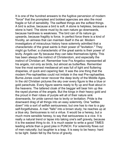It is one of the hundred answers to the fugitive perversion of modern "force" that the promptest and boldest agencies are also the most fragile or full of sensibility. The swiftest things are the softest things. A bird is active, because a bird is soft. A stone is helpless, because a stone is hard. The stone must by its own nature go downwards, because hardness is weakness. The bird can of its nature go upwards, because fragility is force. In perfect force there is a kind of frivolity, an airiness that can maintain itself in the air. Modern investigators of miraculous history have solemnly admitted that a characteristic of the great saints is their power of "levitation." They might go further; a characteristic of the great saints is their power of levity. Angels can fly because they can take themselves lightly. This has been always the instinct of Christendom, and especially the instinct of Christian art. Remember how Fra Angelico represented all his angels, not only as birds, but almost as butterflies. Remember how the most earnest mediaeval art was full of light and fluttering draperies, of quick and capering feet. It was the one thing that the modern Pre-raphaelites could not imitate in the real Pre-raphaelites. Burne-Jones could never recover the deep levity of the Middle Ages. In the old Christian pictures the sky over every figure is like a blue or gold parachute. Every figure seems ready to fly up and float about in the heavens. The tattered cloak of the beggar will bear him up like the rayed plumes of the angels. But the kings in their heavy gold and the proud in their robes of purple will all of their nature sink downwards, for pride cannot rise to levity or levitation. Pride is the downward drag of all things into an easy solemnity. One "settles" down" into a sort of selfish seriousness; but one has to rise to a gay self-forgetfulness. A man "falls" into a brown study; he reaches up at a blue sky. Seriousness is not a virtue. It would be a heresy, but a much more sensible heresy, to say that seriousness is a vice. It is really a natural trend or lapse into taking one's self gravely, because it is the easiest thing to do. It is much easier to write a good TIMES leading article than a good joke in PUNCH. For solemnity flows out of men naturally; but laughter is a leap. It is easy to be heavy: hard to be light. Satan fell by the force of gravity.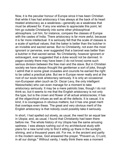Now, it is the peculiar honour of Europe since it has been Christian that while it has had aristocracy it has always at the back of its heart treated aristocracy as a weakness—generally as a weakness that must be allowed for. If any one wishes to appreciate this point, let him go outside Christianity into some other philosophical atmosphere. Let him, for instance, compare the classes of Europe with the castes of India. There aristocracy is far more awful, because it is far more intellectual. It is seriously felt that the scale of classes is a scale of spiritual values; that the baker is better than the butcher in an invisible and sacred sense. But no Christianity, not even the most gnorant or perverse, ever suggested that a baronet was better than a butcher in that sacred sense. No Christianity, however ignorant or extravagant, ever suggested that a duke would not be damned. In pagan society there may have been (I do not know) some such serious division between the free man and the slave. But in Christian society we have always thought the gentleman a sort of joke, though I admit that in some great crusades and councils he earned the right to be called a practical joke. But we in Europe never really and at the root of our souls took aristocracy seriously. It is only an occasional non-European alien (such as Dr. Oscar Levy, the only intelligent Nietzscheite) who can even manage for a moment to take aristocracy seriously. It may be a mere patriotic bias, though I do not think so, but it seems to me that the English aristocracy is not only the type, but is the crown and flower of all actual aristocracies; it has all the oligarchical virtues as well as all the defects. It is casual, it is kind, it is courageous in obvious matters; but it has one great merit that overlaps even these. The great and very obvious merit of the English aristocracy is that nobody could possibly take it seriously.

In short, I had spelled out slowly, as usual, the need for an equal law in Utopia; and, as usual, I found that Christianity had been there before me. The whole history of my Utopia has the same amusing sadness. I was always rushing out of my architectural study with plans for a new turret only to find it sitting up there in the sunlight, shining, and a thousand years old. For me, in the ancient and partly in the modern sense, God answered the prayer, "Prevent us, O Lord, in all our doings." Without vanity, I really think there was a moment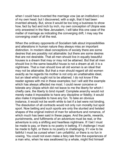when I could have invented the marriage vow (as an institution) out of my own head; but I discovered, with a sigh, that it had been invented already. But, since it would be too long a business to show how, fact by fact and inch by inch, my own conception of Utopia was only answered in the New Jerusalem, I will take this one case of the matter of marriage as indicating the converging drift, I may say the converging crash of all the rest.

When the ordinary opponents of Socialism talk about impossibilities and alterations in human nature they always miss an important distinction. In modern ideal conceptions of society there are some desires that are possibly not attainable: but there are some desires that are not desirable. That all men should live in equally beautiful houses is a dream that may or may not be attained. But that all men should live in the same beautiful house is not a dream at all; it is a nightmare. That a man should love all old women is an ideal that may not be attainable. But that a man should regard all old women exactly as he regards his mother is not only an unattainable ideal, but an ideal which ought not to be attained. I do not know if the reader agrees with me in these examples; but I will add the example which has always affected me most. I could never conceive or tolerate any Utopia which did not leave to me the liberty for which I chiefly care, the liberty to bind myself. Complete anarchy would not merely make it impossible to have any discipline or fidelity; it would also make it impossible to have any fun. To take an obvious instance, it would not be worth while to bet if a bet were not binding. The dissolution of all contracts would not only ruin morality but spoil sport. Now betting and such sports are only the stunted and twisted shapes of the original instinct of man for adventure and romance, of which much has been said in these pages. And the perils, rewards, punshments, and fulflments of an adventure must be real, or the adventure is only a shifting and heartless nightmare. If I bet I must be made to pay, or there is no poetry in betting. If I challenge I must be made to fight, or there is no poetry in challenging. If I vow to be faithful I must be cursed when I am unfaithful, or there is no fun in vowing. You could not even make a fairy tale from the experiences of a man who, when he was swallowed by a whale, might find himself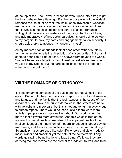at the top of the Eiffel Tower, or when he was turned into a frog might begin to behave like a flamingo. For the purpose even of the wildest romance results must be real; results must be irrevocable. Christian marriage is the great example of a real and irrevocable result; and that is why it is the chief subject and centre of all our romantic writing. And this is my last instance of the things that I should ask, and ask imperatively, of any social paradise; I should ask to be kept to my bargain, to have my oaths and engagements taken seriously; I should ask Utopia to avenge my honour on myself.

All my modern Utopian friends look at each other rather doubtfully, for their ultimate hope is the dissolution of all special ties. But again I seem to hear, like a kind of echo, an answer from beyond the world. "You will have real obligations, and therefore real adventures when you get to my Utopia. But the hardest obligation and the steepest adventure is to get there."

## **VIII THE ROMANCE OF ORTHODOXY**

It is customary to complain of the bustle and strenuousness of our epoch. But in truth the chief mark of our epoch is a profound laziness and fatique; and the fact is that the real laziness is the cause of the apparent bustle. Take one quite external case; the streets are noisy with taxicabs and motorcars; but this is not due to human activity but to human repose. There would be less bustle if there were more activity, if people were simply walking about. Our world would be more silent if it were more strenuous. And this which is true of the apparent physical bustle is true also of the apparent bustle of the intellect. Most of the machinery of modern language is labour-saving machinery; and it saves mental labour very much more than it ought. Scientific phrases are used like scientific wheels and piston-rods to make swifter and smoother yet the path of the comfortable. Long words go rattling by us like long railway trains. We know they are carrying thousands who are too tired or too indolent to walk and think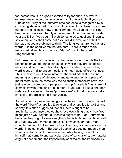for themselves. It is a good exercise to try for once in a way to express any opinion one holds in words of one syllable. If you say "The social utility of the indeterminate sentence is recognized by all criminologists as a part of our sociological evolution towards a more humane and scientific view of punishment," you can go on talking like that for hours with hardly a movement of the gray matter inside your skull. But if you begin "I wish Jones to go to gaol and Brown to say when Jones shall come out," you will discover, with a thrill of horror, that you are obliged to think. The long words are not the hard words, it is the short words that are hard. There is much more metaphysical subtlety in the word "damn" than in the word "degeneration."

But these long comfortable words that save modern people the tol of reasoning have one particular aspect in which they are especially ruinous and confusing. This difficulty occurs when the same long word is used in different connections to mean quite different things. Thus, to take a well-known instance, the word "idealist" has one meaning as a piece of philosophy and quite another as a piece of moral rhetoric. In the same way the scientific materialists have had just reason to complain of people mixing up "materialist" as a term of cosmology with "materialist" as a moral taunt. So, to take a cheaper instance, the man who hates "progressives" in London always calls himself a "progressive" in South Africa.

A confusion quite as unmeaning as this has arisen in connection with the word "liberal" as applied to religion and as applied to politics and society. It is often suggested that all Liberals ought to be freethinkers, because they ought to love everything that is free. You might just as well say that all idealists ought to be High Churchmen, because they ought to love everything that is high. You might as well say that Low Churchmen ought to like Low Mass, or that Broad Churchmen ought to like broad jokes. The thing is a mere accident of words. In actual modern Europe a freethinker does not mean a man who thinks for himself. It means a man who, having thought for himself, has come to one particular class of conclusions, the material origin of phenomena, the impossibility of miracles, the improbability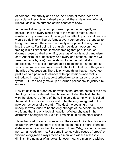of personal immortality and so on. And none of these ideas are particularly liberal. Nay, indeed almost all these ideas are definitely illiberal, as it is the purpose of this chapter to show.

In the few following pages I propose to point out as rapidly as possible that on every single one of the matters most strongly insisted on by liberalisers of theology their effect upon social practice would be definitely illiberal. Almost every contemporary proposal to bring freedom into the church is simply a proposal to bring tyranny into the world. For freeing the church now does not even mean freeing it in all directions. It means freeing that peculiar set of dogmas loosely called scientific, dogmas of monism, of pantheism, or of Arianism, or of necessity. And every one of these (and we will take them one by one) can be shown to be the natural ally of oppression. In fact, it is a remarkable circumstance (indeed not so very remarkable when one comes to think of it) that most things are the allies of oppression. There is only one thing that can never go past a certain point in its alliance with oppression—and that is orthodoxy. I may, it is true, twist orthodoxy so as partly to justify a tyrant. But I can easily make up a German philosophy to justify him entirely.

Now let us take in order the innovations that are the notes of the new theology or the modernist church. We concluded the last chapter with the discovery of one of them. The very doctrine which is called the most old-fashioned was found to be the only safeguard of the new democracies of the earth. The doctrine seemingly most unpopular was found to be the only strength of the people. In short, we found that the only logical negation of oligarchy was in the affirmation of original sin. So it is, I maintain, in all the other cases.

I take the most obvious instance first, the case of miracles. For some extraordinary reason, there is a fixed notion that it is more liberal to disbelieve in miracles than to believe in them. Why, I cannot imagine, nor can anybody tell me. For some inconceivable cause a "broad" or "liberal" clergyman always means a man who wishes at least to diminish the number of miracles; it never means a man who wishes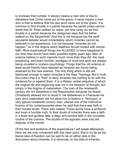to increase that number. It always means a man who is free to disbelieve that Christ came out of His grave; it never means a man who is free to believe that his own aunt came out of her grave. It is common to find trouble in a parish because the parish priest cannot admit that St. Peter walked on water; yet how rarely do we find trouble in a parish because the clergyman says that his father walked on the Serpentine? And this is not because (as the swift secularist debater would immediately retort) miracles cannot be believed in our experience. It is not because "miracles do not happen," as in the dogma which Matthew Arnold recited with simple faith. More supernatural things are ALLEGED to have happened in our time than would have been possible eighty years ago. Men of science believe in such marvels much more than they did: the most perplexing, and even horrible, prodigies of mind and spirit are always being unveiled in modern psychology. Things that the old science at least would frankly have rejected as miracles are hourly being asserted by the new science. The only thing which is still oldfashioned enough to reject miracles is the New Theology. But in truth this notion that it is "free" to deny miracles has nothing to do with the evidence for or against them. It is a lifeless verbal prejudice of which the original life and beginning was not in the freedom of thought, but simply in the dogma of materialism. The man of the nineteenth century did not disbelieve in the Resurrection because his liberal Christianity allowed him to doubt it. He disbelieved in it because his very strict materialism did not allow him to believe it. Tennyson, a very typical nineteenth century man, uttered one of the instinctive truisms of his contemporaries when he said that there was faith in their honest doubt. There was indeed. Those words have a profound and even a horrible truth. In their doubt of miracles there was a faith in a fixed and godless fate; a deep and sincere faith in the incurable routine of the cosmos. The doubts of the agnostic were only the dogmas of the monist.

Of the fact and evidence of the supernatural I will speak afterwards. Here we are only concerned with this clear point; that in so far as the liberal idea of freedom can be said to be on either side in the discussion about miracles, it is obviously on the side of miracles.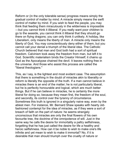Reform or (in the only tolerable sense) progress means simply the gradual control of matter by mind. A miracle simply means the swift control of matter by mind. If you wish to feed the people, you may think that feeding them miraculously in the wilderness is impossible -but you cannot think it illiberal. If you really want poor children to go to the seaside, you cannot think it illiberal that they should go there on flying dragons; you can only think it unlikely. A holiday, like Liberalism, only means the liberty of man. A miracle only means the liberty of God. You may conscientiously deny either of them, but you cannot call your denial a triumph of the liberal idea. The Catholic Church believed that man and God both had a sort of spiritual freedom. Calvinism took away the freedom from man, but left it to God. Scientific materialism binds the Creator Himself; it chains up God as the Apocalypse chained the devil. It leaves nothing free in the universe. And those who assist this process are called the "liberal theologians."

This, as I say, is the lightest and most evident case. The assumption that there is something in the doubt of miracles akin to liberality or reform is literally the opposite of the truth. If a man cannot believe in miracles there is an end of the matter; he is not particularly liberal, but he is perfectly honourable and logical, which are much better things. But if he can believe in miracles, he is certainly the more liberal for doing so; because they mean first, the freedom of the soul, and secondly, its control over the tyranny of circumstance. Sometimes this truth is ignored in a singularly naive way, even by the ablest men. For instance, Mr. Bernard Shaw speaks with hearty oldfashioned contempt for the idea of miracles, as if they were a sort of breach of fath on the part of nature: he seems strangely unconscious that miracles are only the final flowers of his own favourite tree, the doctrine of the omnipotence of will. Just in the same way he calls the desire for immortality a paltry selfishness, forgetting that he has just called the desire for life a healthy and heroic selfishness. How can it be noble to wish to make one's life infinite and yet mean to wish to make it immortal? No, if it is desirable that man should triumph over the cruelty of nature or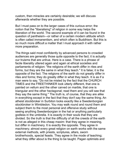custom, then miracles are certainly desirable; we will discuss afterwards whether they are possble.

But I must pass on to the larger cases of this curious error; the notion that the "liberalising" of religion in some way helps the liberation of the world. The second example of it can be found in the question of pantheism—or rather of a certain modern attitude which is often called immanentism, and which often is Buddhism. But this is so much more difficult a matter that I must approach it with rather more preparation.

The things said most confidently by advanced persons to crowded audiences are generally those quite opposite to the fact; it is actually our truisms that are untrue. Here is a case. There is a phrase of facile liberality uttered again and again at ethical societies and parliaments of religion: "the religions of the earth differ in rites and forms, but they are the same in what they teach." It is false; it is the opposite of the fact. The religions of the earth do not greatly differ in rites and forms; they do greatly differ in what they teach. It is as if a man were to say, "Do not be misled by the fact that the CHURCH TIMES and the FREETHINKER look utterly different, that one is painted on vellum and the other carved on marble, that one is triangular and the other hectagonal; read them and you will see that they say the same thing." The truth is, of course, that they are alike in everything except in the fact that they don't say the same thing. An atheist stockbroker in Surbiton looks exactly like a Swedenborgian stockbroker in Wimbledon. You may walk round and round them and subject them to the most personal and offensive study without seeing anything Swedenborgian in the hat or anything particularly godless in the umbrella. It is exactly in their souls that they are divided. So the truth is that the difficulty of all the creeds of the earth is not as alleged in this cheap maxim: that they agree in meaning, but differ in machinery. It is exactly the opposite. They agree in machinery; almost every great religion on earth works with the same external methods, with priests, scriptures, altars, sworn brotherhoods, special feasts. They agree in the mode of teaching; what they differ about is the thing to be taught. Pagan optimists and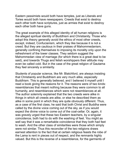Eastern pessimists would both have temples, just as Liberals and Tories would both have newspapers. Creeds that exist to destroy each other both have scriptures, just as armies that exist to destroy each other both have guns.

The great example of this alleged identity of all human religions is the alleged spiritual identity of Buddhism and Christianity. Those who adopt this theory generally avoid the ethics of most other creeds, except, indeed, Confucianism, which they like because it is not a creed. But they are cautious in their praises of Mahommedanism, generally confining themselves to imposing its morality only upon the refreshment of the lower classes. They seldom suggest the Mahommedan view of marriage (for which there is a great deal to be said), and towards Thugs and fetish worshippers their attitude may even be called cold. But in the case of the great religion of Gautama they feel sincerely a similarity.

Students of popular science, like Mr. Blatchford, are always insisting that Christianity and Buddhism are very much alike, especially Buddhism. This is generally believed, and I believed it myself until I read a book giving the reasons for it. The reasons were of two kinds: resemblances that meant nothing because they were common to all humanity, and resemblances which were not resemblances at all. The author solemnly explained that the two creeds were alike in things in which all creeds are alike, or else he described them as alike in some point in which they are quite obviously different. Thus, as a case of the first class, he said that both Christ and Buddha were called by the divine voice coming out of the sky, as if you would expect the divine voice to come out of the coal-cellar. Or, again, it was gravely urged that these two Eastern teachers, by a singular coincidence, both had to do with the washing of feet. You might as well say that it was a remarkable coincidence that they both had feet to wash. And the other class of similarities were those which simply were not similar. Thus this reconciler of the two religions draws earnest attention to the fact that at certain religious feasts the robe of the Lama is rent in pieces out of respect, and the remnants highly valued. But this is the reverse of a resemblance, for the garments of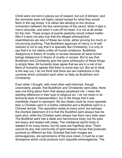Christ were not rent in pieces out of respect, but out of derision; and the remnants were not highly valued except for what they would fetch in the rag shops. It is rather like alluding to the obvious connection between the two ceremonies of the sword: when it taps a man's shoulder, and when it cuts off his head. It is not at all similar for the man. These scraps of puerile pedantry would indeed matter little if it were not also true that the alleged philosophical resemblances are also of these two kinds, either proving too much or not proving anything. That Buddhism approves of mercy or of selfrestraint is not to say that it is specially like Christianity; it is only to say that it is not utterly unlike all human existence. Buddhists disapprove in theory of cruelty or excess because all sane human beings disapprove in theory of cruelty or excess. But to say that Buddhism and Christianity give the same philosophy of these things is simply false. All humanity does agree that we are in a net of sin. Most of humanity agrees that there is some way out. But as to what is the way out, I do not think that there are two institutions in the universe which contradict each other so flatly as Buddhism and Christianity.

Even when I thought, with most other well-informed, though unscholarly, people, that Buddhism and Christianity were alike, there was one thing about them that always perplexed me; I mean the startling difference in their type of religious art. I do not mean in its technical style of representation, but in the things that it was manifestly meant to represent. No two ideals could be more opposite than a Christian saint in a Gothic cathedral and a Buddhist saint in a Chinese temple. The opposition exists at every point; but perhaps the shortest statement of it is that the Buddhist saint always has his eyes shut, while the Christian saint always has them very wide open. The Buddhist saint has a sleek and harmonious body, but his eyes are heavy and sealed with sleep. The mediaeval saint's body is wasted to its crazy bones, but his eyes are frightfully alive. There cannot be any real community of spirit between forces that produced symbols so different as that. Granted that both images are extravagances, are perversions of the pure creed, it must be a real divergence which could produce such opposite extravagances. The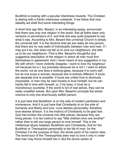Buddhist is looking with a peculiar intentness inwards. The Christian is staring with a frantic intentness outwards. If we follow that clue steadily we shall find some interesting things.

A short time ago Mrs. Besant, in an interesting essay, announced that there was only one religion in the world, that all faiths were only versions or perversions of it, and that she was quite prepared to say what it was. According to Mrs. Besant this universal Church is simply the universal self. It is the doctrine that we are really all one person; that there are no real walls of individuality between man and man. If I may put it so, she does not tell us to love our neighbours; she tells us to be our neighbours. That is Mrs. Besant's thoughtful and suggestive description of the religion in which all men must find themselves in agreement. And I never heard of any suggestion in my life with which I more violently disagree. I want to love my neighbour not because he is I, but precisely because he is not I. I want to adore the world, not as one likes a looking-glass, because it is one's self, but as one loves a woman, because she is entirely different. If souls are separate love is possible. If souls are united love is obviously impossible. A man may be said loosely to love himself, but he can hardly fall in love with himself, or, if he does, it must be a monotonous courtship. If the world is full of real selves, they can be really unselfish selves. But upon Mrs. Besant's principle the whole cosmos is only one enormously selfish person.

It is just here that Buddhism is on the side of modern pantheism and immanence. And it is just here that Christianity is on the side of humanity and liberty and love. Love desires personality; therefore love desires division. It is the instinct of Christianity to be glad that God has broken the universe into little pieces, because they are living pieces. It is her instinct to say "little children love one another" rather than to tell one large person to love himself. This is the intellectual abyss between Buddhism and Christianity; that for the Buddhist or Theosophist personality is the fall of man, for the Christian it is the purpose of God, the whole point of his cosmic idea. The world-soul of the Theosophists asks man to love it only in order that man may throw himself into it. But the divine centre of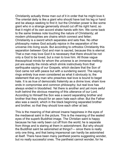Christianity actually threw man out of it in order that he might love it. The oriental deity is like a giant who should have lost his leg or hand and be always seeking to find it; but the Christian power is like some giant who in a strange generosity should cut off his right hand, so that it might of its own accord shake hands with him. We come back to the same tireless note touching the nature of Christianity; all modern philosophies are chains which connect and fetter; Christianity is a sword which separates and sets free. No other philosophy makes God actually rejoice in the separation of the universe into living souls. But according to orthodox Christianity this separation between God and man is sacred, because this is eternal. That a man may love God it is necessary that there should be not only a God to be loved, but a man to love him. All those vague theosophical minds for whom the universe is an immense meltingpot are exactly the minds which shrink instinctively from that earthquake saying of our Gospels, which declare that the Son of God came not with peace but with a sundering sword. The saying rings entirely true even considered as what it obviously is; the statement that any man who preaches real love is bound to beget hate. It is as true of democratic fraternity as a divine love; sham love ends in compromise and common philosophy; but real love has always ended in bloodshed. Yet there is another and yet more awful truth behind the obvious meaning of this utterance of our Lord. According to Himself the Son was a sword separating brother and brother that they should for an aeon hate each other. But the Father also was a sword, which in the black beginning separated brother and brother, so that they should love each other at last.

This is the meaning of that almost insane happiness in the eyes of the mediaeval saint in the picture. This is the meaning of the sealed eyes of the superb Buddhist image. The Christian saint is happy because he has verily been cut off from the world; he is separate from things and is staring at them in astonishment. But why should the Buddhist saint be astonished at things?— since there is really only one thing, and that being impersonal can hardly be astonished at itself. There have been many pantheist poems suggesting wonder, but no really successful ones. The pantheist cannot wonder, for he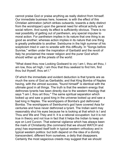cannot praise God or praise anything as really distinct from himself. Our immediate business here, however, is with the effect of this Christian admiration (which strikes outwards, towards a deity distinct from the worshipper) upon the general need for ethical activity and social reform. And surely its effect is sufficiently obvious. There is no real possibility of getting out of pantheism, any special impulse to moral action. For pantheism implies in its nature that one thing is as good as another; whereas action implies in its nature that one thing is greatly preferable to another. Swinburne in the high summer of his scepticism tried in vain to wrestle with this difficulty. In "Songs before Sunrise," written under the inspiration of Garibaldi and the revolt of Italy he proclaimed the newer religion and the purer God which should wither up all the priests of the world:

"What doest thou now Looking Godward to cry I am I, thou art thou, I am low, thou art high, I am thou that thou seekest to find him, find thou but thyself, thou art I."

Of which the immediate and evident deduction is that tyrants are as much the sons of God as Garibaldis; and that King Bomba of Naples having, with the utmost success, "found himself" is identical with the ultimate good in all things. The truth is that the western energy that dethrones tyrants has been directly due to the western theology that says "I am I, thou art thou." The same spiritual separation which looked up and saw a good king in the universe looked up and saw a bad king in Naples. The worshippers of Bomba's god dethroned Bomba. The worshippers of Swinburne's god have covered Asia for centuries and have never dethroned a tyrant. The Indian saint may reasonably shut his eyes because he is looking at that which is I and Thou and We and They and It. It is a rational occupation: but it is not true in theory and not true in fact that it helps the Indian to keep an eye on Lord Curzon. That external vigilance which has always been the mark of Christianity (the command that we should WATCH and pray) has expressed itself both in typical western orthodoxy and in typical western politics: but both depend on the idea of a divinity transcendent, different from ourselves, a deity that disappears. Certainly the most sagacious creeds may suggest that we should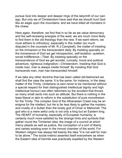pursue God into deeper and deeper rings of the labyrinth of our own ego. But only we of Christendom have said that we should hunt God like an eagle upon the mountains: and we have killed all monsters in the chase.

Here again, therefore, we find that in so far as we value democracy and the self-renewing energies of the west, we are much more likely to find them in the old theology than the new. If we want reform, we must adhere to orthodoxy: especially in this matter (so much disputed in the counsels of Mr. R.J.Campbell), the matter of insisting on the immanent or the transcendent deity. By insisting specially on the immanence of God we get introspection, self-isolation, quietism, social indifference—Tibet. By insisting specially on the transcendence of God we get wonder, curiosity, moral and political adventure, righteous indignation—Christendom. Insisting that God is inside man, man is always inside himself. By insisting that God transcends man, man has transcended himself.

If we take any other doctrine that has been called old-fashioned we shall find the case the same. It is the same, for instance, in the deep matter of the Trinity. Unitarians (a sect never to be mentioned without a special respect for their distinguished intellectual dignity and high intellectual honour) are often reformers by the accident that throws so many small sects into such an attitude. But there is nothing in the least liberal or akin to reform in the substitution of pure monotheism for the Trinity. The complex God of the Athanasian Creed may be an enigma for the intellect; but He is far less likely to gather the mystery and cruelty of a Sultan than the lonely god of Omar or Mahomet. The god who is a mere awful unity is not only a king but an Eastern king. The HEART of humanity, especially of European humanity, is certainly much more satisfied by the strange hints and symbols that gather round the Trinitarian idea, the image of a council at which mercy pleads as well as justice, the conception of a sort of liberty and variety existing even in the inmost chamber of the world. For Western religion has always felt keenly the idea "it is not well for man to be alone." The social instinct asserted itself everywhere as when the Eastern idea of hermits was practically expelled by the Western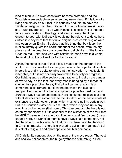idea of monks. So even asceticism became brotherly; and the Trappists were sociable even when they were silent. If this love of a living complexity be our test, it is certainly healthier to have the Trinitarian religion than the Unitarian. For to us Trinitarians (if I may say it with reverence)—to us God Himself is a society. It is indeed a fathomless mystery of theology, and even if I were theologian enough to deal with it directly, it would not be relevant to do so here. Suffice it to say here that this triple enigma is as comforting as wine and open as an English fireside; that this thing that bewilders the intellect utterly quiets the heart: but out of the desert, from the dry places and the dreadful suns, come the cruel chldren of the lonely God; the real Unitarians who with scimitar in hand have laid waste the world. For it is not well for God to be alone.

Again, the same is true of that difficult matter of the danger of the soul, which has unsettled so many just minds. To hope for all souls is imperative; and it is quite tenable that their salvation is inevitable. It is tenable, but it is not specially favourable to activity or progress. Our fighting and creative society ought rather to insist on the danger of everybody, on the fact that every man is hanging by a thread or clinging to a precipice. To say that all will be well anyhow is a comprehensible remark: but it cannot be called the blast of a trumpet. Europe ought rather to emphasize possible perdition; and Europe always has emphasized it. Here its highest religion is at one with all its cheapest romances. To the Buddhist or the eastern fatalist existence is a science or a plan, which must end up in a certain way. But to a Christian existence is a STORY, which may end up in any way. In a thrilling novel (that purely Christian product) the hero is not eaten by cannibals; but it is essential to the existence of the thrill that he MIGHT be eaten by cannibals. The hero must (so to speak) be an eatable hero. So Christian morals have always said to the man, not that he would lose his soul, but that he must take care that he didn't. In Christian morals, in short, it is wicked to call a man "damned": but it is strictly religious and philosophic to call him damnable.

All Christianity concentrates on the man at the cross-roads. The vast and shallow philosophies, the huge syntheses of humbug, all talk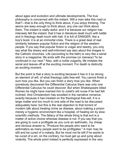about ages and evolution and ultimate developments. The true philosophy is concerned with the instant. Will a man take this road or that?—that is the only thing to think about, if you enjoy thinking. The aeons are easy enough to think about, any one can think about them. The instant is really awful: and it is because our religion has intensely felt the instant, that it has in literature dealt much with battle and in theology dealt much with hell. It is full of DANGER, like a boy's book: it is at an immortal crisis. There is a great deal of real similarity between popular fiction and the religion of the western people. If you say that popular fiction is vulgar and tawdry, you only say what the dreary and well-informed say also about the images in the Catholic churches. Life (according to the faith) is very like a serial story in a magazine: life ends with the promise (or menace) "to be continued in our next." Also, with a noble vulgarity, life imitates the serial and leaves off at the exciting moment. For death is distinctly an exciting moment.

But the point is that a story is exciting because it has in it so strong an element of will, of what theology calls free-will. You cannot finish a sum how you like. But you can finish a story how you like. When somebody discovered the Differential Calculus there was only one Differential Calculus he could discover. But when Shakespeare killed Romeo he might have married him to Juliet's old nurse if he had felt inclined. And Christendom has excelled in the narrative romance exactly because it has insisted on the theological free-will. It is a large matter and too much to one side of the road to be discussed adequately here; but this is the real objection to that torrent of modern talk about treating crime as disease, about making a prison merely a hygienic environment like a hospital, of healing sin by slow scientific methods. The fallacy of the whole thing is that evil is a matter of active choice whereas disease is not. If you say that you are going to cure a profligate as you cure an asthmatic, my cheap and obvious answer is, "Produce the people who want to be asthmatics as many people want to be profligates." A man may lie still and be cured of a malady. But he must not lie still if he wants to be cured of a sin; on the contrary, he must get up and jump about violently. The whole point indeed is perfectly expressed in the very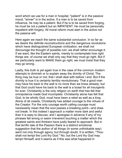word which we use for a man in hospital; "patient" is in the passive mood; "sinner" is in the active. If a man is to be saved from influenza, he may be a patient. But if he is to be saved from forging, he must be not a patient but an IMPATIENT. He must be personally impatient with forgery. All moral reform must start in the active not the passive will.

Here again we reach the same substantial conclusion. In so far as we desire the definite reconstructions and the dangerous revolutions which have distinguished European civilization, we shall not discourage the thought of possible ruin; we shall rather encourage it. If we want, like the Eastern saints, merely to contemplate how right things are, of course we shall only say that they must go right. But if we particularly want to MAKE them go right, we must insist that they may go wrong.

Lastly, this truth is yet again true in the case of the common modern attempts to diminish or to explain away the divinity of Christ. The thing may be true or not; that I shall deal with before I end. But if the divinity is true it is certainly terribly revolutionary. That a good man may have his back to the wall is no more than we knew already; but that God could have his back to the wall is a boast for all insurgents for ever. Christianity is the only religion on earth that has felt that omnipotence made God incomplete. Christianity alone has felt that God, to be wholly God, must have been a rebel as well as a king. Alone of all creeds, Christianity has added courage to the virtues of the Creator. For the only courage worth calling courage must necessarily mean that the soul passes a breaking point—and does not break. In this indeed I approach a matter more dark and awful than it is easy to discuss; and I apologise in advance if any of my phrases fall wrong or seem irreverent touching a matter which the greatest saints and thinkers have justly feared to approach. But in that terrific tale of the Passion there is a distinct emotional suggestion that the author of all things (in some unthinkable way) went not only through agony, but through doubt. It is written, "Thou shalt not tempt the Lord thy God." No; but the Lord thy God may tempt Himself; and it seems as if this was what happened in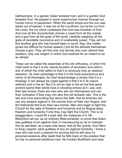Gethsemane. In a garden Satan tempted man: and in a garden God tempted God. He passed in some superhuman manner through our human horror of pessimism. When the world shook and the sun was wiped out of heaven, it was not at the crucifixion, but at the cry from the cross: the cry which confessed that God was forsaken of God. And now let the revolutionists choose a creed from all the creeds and a god from all the gods of the world, carefully weighing all the gods of inevitable recurrence and of unalterable power. They will not find another god who has himself been in revolt. Nay, (the matter grows too difficult for human speech,) but let the atheists themselves choose a god. They will find only one divinity who ever uttered their isolation; only one religion in which God seemed for an instant to be an atheist

These can be called the essentials of the old orthodoxy, of which the chief merit is that it is the natural fountain of revolution and reform; and of which the chief defect is that it is obviously only an abstract assertion. Its main advantage is that it is the most adventurous and manly of all theologies. Its chief disadvantage is simply that it is a theology. It can always be urged against it that it is in its nature arbitrary and in the air. But it is not so high in the air but that great archers spend their whole lives in shooting arrows at it—yes, and their last arrows; there are men who will ruin themselves and ruin their civilization if they may ruin also this old fantastic tale. This is the last and most astounding fact about this faith; that its enemies will use any weapon against it, the swords that cut their own fingers, and the firebrands that burn their own homes. Men who begin to fight the Church for the sake of freedom and humanity end by flinging away freedom and humanity if only they may fight the Church. This is no exaggeration; I could fill a book with the instances of it. Mr. Blatchford set out, as an ordinary Bible-smasher, to prove that Adam was guiltless of sin against God; in manoeuvring so as to maintain this he admitted, as a mere side issue, that all the tyrants, from Nero to King Leopold, were guiltless of any sin against humanity. I know a man who has such a passion for proving that he will have no personal existence after death that he falls back on the position that he has no personal existence now. He invokes Buddhism and says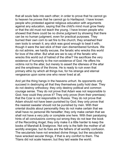that all souls fade into each other; in order to prove that he cannot go to heaven he proves that he cannot go to Hartlepool. I have known people who protested against religious education with arguments against any education, saying that the child's mind must grow freely or that the old must not teach the young. I have known people who showed that there could be no divine judgment by showing that there can be no human judgment, even for practical purposes. They burned their own corn to set fire to the church; they smashed their own tools to smash it; any stick was good enough to beat it with, though it were the last stick of their own dismembered furniture. We do not admire, we hardly excuse, the fanatic who wrecks this world for love of the other. But what are we to say of the fanatic who wrecks this world out of hatred of the other? He sacrifices the very existence of humanity to the non-existence of God. He offers his victims not to the altar, but merely to assert the idleness of the altar and the emptiness of the throne. He is ready to ruin even that primary ethic by which all things live, for his strange and eternal vengeance upon some one who never lived at all.

And yet the thing hangs in the heavens unhurt. Its opponents only succeed in destroying all that they themselves justly hold dear. They do not destroy orthodoxy; they only destroy political and common courage sense. They do not prove that Adam was not responsble to God; how could they prove it? They only prove (from their premises) that the Czar is not responsible to Russia. They do not prove that Adam should not have been punshed by God; they only prove that the nearest sweater should not be punished by men. With their oriental doubts about personality they do not make certain that we shall have no personal life hereafter; they only make certain that we shall not have a very jolly or complete one here. With their paralysing hints of all conclusions coming out wrong they do not tear the book of the Recording Angel; they only make it a little harder to keep the books of Marshall & Snelgrove. Not only is the faith the mother of all worldly energies, but its foes are the fathers of all worldly confusion. The secularists have not wrecked divine things; but the secularists have wrecked secular things, if that is any comfort to them. The Titans did not scale heaven; but they laid waste the world.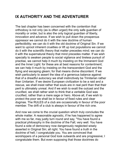## **IX AUTHORITY AND THE ADVENTURER**

The last chapter has been concerned with the contention that orthodoxy is not only (as is often urged) the only safe guardian of morality or order, but is also the only logical guardian of liberty, innovation and advance. If we wish to pull down the prosperous oppressor we cannot do it with the new doctrine of human perfectibility; we can do it with the old doctrine of Original Sin. If we want to uproot inherent cruelties or lift up lost populations we cannot do it with the scientific theory that matter precedes mind; we can do it with the supernatural theory that mind precedes matter. If we wish specially to awaken people to social vigilance and tireless pursuit of practise, we cannot help it much by insisting on the Immanent God and the Inner Light: for these are at best reasons for contentment; we can help it much by insisting on the transcendent God and the flying and escaping gleam; for that means divine discontent. If we wish particularly to assert the idea of a generous balance against that of a dreadful autocracy we shall instinctively be Trinitarian rather than Unitarian. If we desire European civilization to be a raid and a rescue, we shall insist rather that souls are in real peril than that their peril is ultimately unreal. And if we wish to exalt the outcast and the crucified, we shall rather wish to think that a veritable God was crucified, rather than a mere sage or hero. Above all, if we wish to protect the poor we shall be in favour of fixed rules and clear dogmas. The RULES of a club are occasionally in favour of the poor member. The drift of a club is always in favour of the rich one.

And now we come to the crucial question which truly concludes the whole matter. A reasonable agnostic, if he has happened to agree with me so far, may justly turn round and say, "You have found a practical philosophy in the doctrine of the Fall; very well. You have found a side of democracy now dangerously neglected wisely asserted in Original Sin; all right. You have found a truth in the doctrine of hell; I congratulate you. You are convinced that worshippers of a personal God look outwards and are progressive; I congratulate them. But even supposing that those doctrines do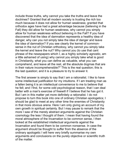nclude those truths, why cannot you take the truths and leave the doctrines? Granted that all modern society is trusting the rich too much because it does not allow for human weakness; granted that orthodox ages have had a great advantage because (believing in the Fall) they did allow for human weakness, why cannot you simply allow for human weakness without believing in the Fall? If you have discovered that the idea of damnation represents a healthy idea of danger, why can you not simply take the idea of danger and leave the idea of damnation? If you see clearly the kernel of commonsense in the nut of Christian orthodoxy, why cannot you simply take the kernel and leave the nut? Why cannot you (to use that cant phrase of the newspapers which I, as a highly scholarly agnostic, am a little ashamed of using) why cannot you simply take what is good in Christianity, what you can define as valuable, what you can comprehend, and leave all the rest, all the absolute dogmas that are in their nature incomprehensible?" This is the real question; this is the last question; and it is a pleasure to try to answer it.

The first answer is simply to say that I am a rationalist. I like to have some intellectual justification for my intuitions. If I am treating man as a fallen being it is an intellectual convenience to me to believe that he fell; and I find, for some odd psychological reason, that I can deal better with a man's exercise of freewill if I believe that he has got it. But I am in this matter yet more definitely a rationalist. I do not propose to turn this book into one of ordinary Christian apologetics; I should be glad to meet at any other time the enemies of Christianity in that more obvious arena. Here I am only giving an account of my own growth in spiritual certainty. But I may pause to remark that the more I saw of the merely abstract arguments against the Christian cosmology the less I thought of them. I mean that having found the moral atmosphere of the Incarnation to be common sense, I then looked at the established intellectual arguments against the Incarnation and found them to be common nonsense. In case the argument should be thought to suffer from the absence of the ordinary apologetic I will here very briefly summarise my own arguments and conclusions on the purely objective or scientific truth of the matter.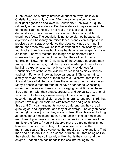If I am asked, as a purely intellectual question, why I believe in Christianity, I can only answer, "For the same reason that an intelligent agnostic disbelieves in Christianity." I believe in it quite rationally upon the evidence. But the evidence in my case, as in that of the intelligent agnostic, is not really in this or that alleged demonstration; it is in an enormous accumulation of small but unanimous facts. The secularist is not to be blamed because his objections to Christianity are miscellaneous and even scrappy; it is precisely such scrappy evidence that does convince the mind. I mean that a man may well be less convinced of a philosophy from four books, than from one book, one battle, one landscape, and one old friend. The very fact that the things are of different kinds increases the importance of the fact that they all point to one conclusion. Now, the non-Christianity of the average educated man to-day is almost always, to do him justice, made up of these loose but living experiences. I can only say that my evidences for Christianity are of the same vivid but varied kind as his evidences against it. For when I look at these various anti-Christian truths, I simply discover that none of them are true. I discover that the true tide and force of all the facts flows the other way. Let us take cases. Many a sensible modern man must have abandoned Christianity under the pressure of three such converging convictions as these: first, that men, with their shape, structure, and sexuality, are, after all, very much like beasts, a mere variety of the animal kingdom; second, that primeval religion arose in ignorance and fear; third, that priests have blighted societies with bitterness and gloom. Those three anti-Christian arguments are very different; but they are all quite logical and legitimate; and they all converge. The only objection to them (I discover) is that they are all untrue. If you leave off looking at books about beasts and men, if you begin to look at beasts and men then (if you have any humour or imagination, any sense of the frantic or the farcical) you will observe that the startling thing is not how like man is to the brutes, but how unlike he is. It is the monstrous scale of his divergence that requires an explanation. That man and brute are like is, in a sense, a truism; but that being so like they should then be so insanely unlike, that is the shock and the enigma. That an ape has hands is far less interesting to the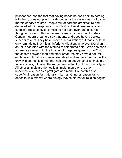philosopher than the fact that having hands he does next to nothing with them; does not play knuckle-bones or the violin; does not carve marble or carve mutton. People talk of barbaric architecture and debased art. But elephants do not build colossal temples of ivory even in a roccoco style; camels do not paint even bad pictures, though equipped with the material of many camel's-hair brushes. Certain modern dreamers say that ants and bees have a society superior to ours. They have, indeed, a civilization; but that very truth only reminds us that it is an inferior civilization. Who ever found an ant-hll decorated wth the statues of celebrated ants? Who has seen a bee-hive carved with the images of gorgeous queens of old? No; the chasm between man and other creatures may have a natural explanation, but it is a chasm. We talk of wild animals; but man is the only wild animal. It is man that has broken out. All other animals are tame animals; following the rugged respectability of the tribe or type. All other animals are domestic animals; man alone is ever undomestic, either as a profligate or a monk. So that this first superficial reason for materialism is, if anything, a reason for its opposite; it is exactly where biology leaves off that all religion begins.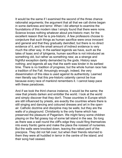It would be the same if I examined the second of the three chance rationalist arguments; the argument that all that we call divine began in some darkness and terror. When I did attempt to examine the foundations of this modern idea I simply found that there were none. Science knows nothing whatever about pre-historic man; for the excellent reason that he is pre-historic. A few professors choose to conjecture that such things as human sacrifice were once innocent and general and that they gradually dwindled; but there is no direct evidence of it, and the small amount of indirect evidence is very much the other way. In the earliest legends we have, such as the tales of Isaac and of Iphigenia, human sacrifice is not introduced as something old, but rather as something new; as a strange and frightful exception darkly demanded by the gods. History says nothing; and legends all say that the earth was kinder in its earliest time. There is no tradition of progress; but the whole human race has a tradition of the Fall. Amusingly enough, indeed, the very dissemination of this idea is used against its authenticity. Learned men literally say that this pre-historic calamity cannot be true because every race of mankind remembers it. I cannot keep pace with these paradoxes.

And if we took the third chance instance, it would be the same; the view that priests darken and embitter the world. I look at the world and simply discover that they don't. Those countries in Europe which are still influenced by priests, are exactly the countries where there is still singing and dancing and coloured dresses and art in the openair. Catholic doctrine and discipline may be walls; but they are the walls of a playground. Christianity is the only frame which has preserved the pleasure of Paganism. We might fancy some children playing on the flat grassy top of some tall island in the sea. So long as there was a wall round the cliff's edge they could fling themselves into every frantic game and make the place the noisiest of nurseries. But the walls were knocked down, leaving the naked peril of the precipice. They did not fall over; but when their friends returned to them they were all huddled in terror in the centre of the island; and their song had ceased.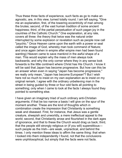Thus these three facts of experience, such facts as go to make an agnostic, are, in this view, turned totally round. I am left saying, "Give me an explanation, first, of the towering eccentricity of man among the brutes; second, of the vast human tradition of some ancient happiness; third, of the partial perpetuation of such pagan joy in the countries of the Catholic Church." One explanation, at any rate, covers all three: the theory that twice was the natural order interrupted by some explosion or revelation such as people now call "psychic." Once Heaven came upon the earth with a power or seal called the image of God, whereby man took command of Nature; and once again (when in empire after empire men had been found wanting) Heaven came to save mankind in the awful shape of a man. This would explain why the mass of men always look backwards; and why the only corner where they in any sense look forwards is the little continent where Christ has His Church. I know it will be said that Japan has become progressive. But how can this be an answer when even in saying "Japan has become progressive," we really only mean, "Japan has become European"? But I wish here not so much to insist on my own explanation as to insist on my original remark. I agree with the ordinary unbelieving man in the street in being guided by three or four odd facts all pointing to something; only when I came to look at the facts I always found they pointed to something else.

I have given an imaginary triad of such ordinary anti-Christian arguments; if that be too narrow a basis I will give on the spur of the moment another. These are the kind of thoughts which in combination create the impression that Christianity is something weak and diseased. First, for instance, that Jesus was a gentle creature, sheepish and unworldly, a mere ineffectual appeal to the world; second, that Christianity arose and flourished in the dark ages of ignorance, and that to these the Church would drag us back; third, that the people still strongly religious or (if you will) superstitious such people as the Irish—are weak, unpractical, and behind the times. I only mention these ideas to affirm the same thing: that when I looked into them independently I found, not that the conclusions were unphilosophical, but simply that the facts were not facts.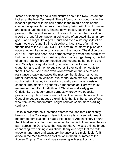Instead of looking at books and pictures about the New Testament I looked at the New Testament. There I found an account, not in the least of a person with his hair parted in the middle or his hands clasped in appeal, but of an extraordinary being with lips of thunder and acts of lurid decision, flinging down tables, casting out devils, passing with the wild secrecy of the wind from mountain isolation to a sort of dreadful demagogy; a being who often acted like an angry god— and always like a god. Christ had even a literary style of his own, not to be found, I think, elsewhere; it consists of an almost furious use of the A FORTIORI. His "how much more" is piled one upon another like castle upon castle in the clouds. The diction used ABOUT Christ has been, and perhaps wisely, sweet and submissive. But the diction used by Christ is quite curiously gigantesque; it is full of camels leaping through needles and mountains hurled into the sea. Morally it is equally terrific; he called himself a sword of slaughter, and told men to buy swords if they sold their coats for them. That he used other even wilder words on the side of nonresistance greatly increases the mystery; but it also, if anything, rather increases the violence. We cannot even explain it by calling such a being insane; for insanity is usually along one consistent channel. The maniac is generally a monomaniac. Here we must remember the difficult definition of Christianity already given; Christianity is a superhuman paradox whereby two opposite passions may blaze beside each other. The one explanation of the Gospel language that does explain it, is that it is the survey of one who from some supernatural height beholds some more startling synthesis.

I take in order the next instance offered: the idea that Christianity belongs to the Dark Ages. Here I did not satisfy myself with reading modern generalisations; I read a little history. And in history I found that Christianity, so far from belonging to the Dark Ages, was the one path across the Dark Ages that was not dark. It was a shining bridge connecting two shining civilizations. If any one says that the faith arose in ignorance and savagery the answer is simple: it didn't. It arose in the Mediterranean civilization in the full summer of the Roman Empire. The world was swarming with sceptics, and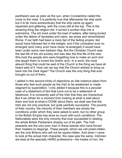pantheism was as plain as the sun, when Constantine nailed the cross to the mast. It is perfectly true that afterwards the ship sank; but it is far more extraordinary that the ship came up again: repainted and glittering, with the cross still at the top. This is the amazing thing the religion did: it turned a sunken ship into a submarine. The ark lived under the load of waters; after being buried under the debris of dynasties and clans, we arose and remembered Rome. If our faith had been a mere fad of the fading empire, fad would have followed fad in the twilight, and if the civilization ever reemerged (and many such have never re-emerged) it would have been under some new barbaric flag. But the Christian Church was the last life of the old society and was also the first life of the new. She took the people who were forgetting how to make an arch and she taught them to invent the Gothic arch. In a word, the most absurd thing that could be said of the Church is the thing we have all heard said of it. How can we say that the Church wishes to bring us back into the Dark Ages? The Church was the only thing that ever brought us out of them.

I added in this second trinity of objections an idle instance taken from those who feel such people as the Irsh to be weakened or made stagnant by superstition. I only added it because this is a peculiar case of a statement of fact that turns out to be a statement of falsehood. It is constantly said of the Irish that they are impractical. But if we refrain for a moment from looking at what is said about them and look at what is DONE about them, we shall see that the Irish are not only practical, but quite painfully successful. The poverty of their country, the minority of their members are simply the conditions under which they were asked to work; but no other group in the British Empire has done so much with such conditions. The Nationalists were the only minority that ever succeeded in twisting the whole British Parliament sharply out of its path. The Irish peasants are the only poor men in these islands who have forced their masters to disgorge. These people, whom we call priest-ridden, are the only Britons who will not be squire-ridden. And when I came to look at the actual Irish character, the case was the same. Irishmen are best at the specially HARD professions—the trades of iron, the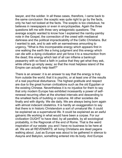lawyer, and the soldier. In all these cases, therefore, I came back to the same conclusion: the sceptic was quite right to go by the facts, only he had not looked at the facts. The sceptic is too credulous; he believes in newspapers or even in encyclopedias. Again the three questions left me with three very antagonistic questions. The average sceptic wanted to know how I explained the namby-pamby note in the Gospel, the connection of the creed with mediaeval darkness and the political impracticability of the Celtic Christians. But I wanted to ask, and to ask with an earnestness amounting to urgency, "What is this incomparable energy which appears first in one walking the earth like a living judgment and this energy which can die with a dying civilization and yet force it to a resurrection from the dead; this energy which last of all can inflame a bankrupt peasantry with so fixed a faith in justice that they get what they ask, while others go empty away; so that the most helpless island of the Empire can actually help itself?"

There is an answer: it is an answer to say that the energy is truly from outside the world; that it is psychic, or at least one of the results of a real psychical disturbance. The highest gratitude and respect are due to the great human civilizations such as the old Egyptian or the existing Chinese. Nevertheless it is no injustice for them to say that only modern Europe has exhibited incessantly a power of selfrenewal recurring often at the shortest intervals and descending to the smallest facts of building or costume. All other societies die finally and with dignity. We die daily. We are always being born again with almost indecent obstetrics. It is hardly an exaggeration to say that there is in historic Christendom a sort of unnatural life: it could be explained as a supernatural life. It could be explained as an awful galvanic life working in what would have been a corpse. For our civilization OUGHT to have died, by all parallels, by all sociological probability, in the Ragnorak of the end of Rome. That is the weird inspiration of our estate: you and I have no business to be here at all. We are all REVENANTS; all living Christians are dead pagans walking about. Just as Europe was about to be gathered in silence to Assyria and Babylon, something entered into its body. And Europe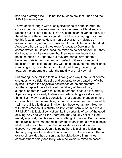has had a strange life—it is not too much to say that it has had the JUMPS— ever since.

I have dealt at length with such typical triads of doubt in order to convey the main contention—that my own case for Christianity is rational; but it is not simple. It is an accumulation of varied facts, like the attitude of the ordinary agnostic. But the ordinary agnostic has got his facts all wrong. He is a non-believer for a multitude of reasons; but they are untrue reasons. He doubts because the Middle Ages were barbaric, but they weren't; because Darwinism is demonstrated, but it isn't; because miracles do not happen, but they do; because monks were lazy, but they were very industrious; because nuns are unhappy, but they are particularly cheerful; because Christian art was sad and pale, but it was picked out in peculiarly bright colours and gay with gold; because modern science is moving away from the supernatural, but it isn't, it is moving towards the supernatural with the rapidity of a railway train.

But among these million facts all flowing one way there is, of course, one question sufficiently solid and separate to be treated briefly, but by itself; I mean the objective occurrence of the supernatural. In another chapter I have indicated the fallacy of the ordinary supposition that the world must be impersonal because it is orderly. A person is just as likely to desire an orderly thing as a disorderly thing. But my own positive conviction that personal creation is more conceivable than material fate, is, I admit, in a sense, undiscussable. I will not call it a faith or an intuition, for those words are mixed up with mere emotion, it is strictly an intellectual conviction; but it is a PRIMARY intellectual conviction like the certainty of self of the good of living. Any one who likes, therefore, may call my belief in God merely mystical; the phrase is not worth fighting about. But my belief that miracles have happened in human history is not a mystical belief at all; I believe in them upon human evidences as I do in the discovery of America. Upon this point there is a simple logical fact that only requires to be stated and cleared up. Somehow or other an extraordinary idea has arisen that the disbelievers in miracles consider them coldly and fairly, while believers in miracles accept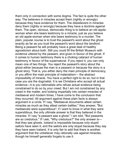them only in connection with some dogma. The fact is quite the other way. The believers in miracles accept them (rightly or wrongly) because they have evidence for them. The disbelievers in miracles deny them (rightly or wrongly) because they have a doctrine against them. The open, obvious, democratic thing is to believe an old applewoman when she bears testimony to a miracle, just as you believe an old apple-woman when she bears testmony to a murder. The plain, popular course is to trust the peasant's word about the ghost exactly as far as you trust the peasant's word about the landlord. Being a peasant he will probably have a great deal of healthy agnosticism about both. Still you could fill the British Museum with evidence uttered by the peasant, and given in favour of the ghost. If it comes to human testimony there is a choking cataract of human testimony in favour of the supernatural. If you reject it, you can only mean one of two things. You reject the peasant's story about the ghost either because the man is a peasant or because the story is a ghost story. That is, you either deny the main principle of democracy, or you affirm the main principle of materialism— the abstract impossibility of miracle. You have a perfect right to do so; but in that case you are the dogmatist. It is we Christians who accept all actual evidence—it is you rationalists who refuse actual evidence being constrained to do so by your creed. But I am not constrained by any creed in the matter, and looking impartially into certain miracles of mediaeval and modern times, I have come to the conclusion that they occurred. All argument against these plain facts is always argument in a circle. If I say, "Mediaeval documents attest certain miracles as much as they attest certain battles," they answer, "But" mediaevals were superstitious"; if I want to know in what they were superstitious, the only ultimate answer is that they believed in the miracles. If I say "a peasant saw a ghost," I am told, "But peasants are so credulous." If I ask, "Why credulous?" the only answer isthat they see ghosts. Iceland is impossible because only stupid sailors have seen it; and the sailors are only stupid because they say they have seen Iceland. It is only fair to add that there is another argument that the unbeliever may rationally use against miracles, though he himself generally forgets to use it.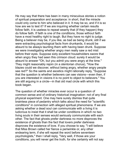He may say that there has been in many miraculous stories a notion of spiritual preparation and acceptance: in short, that the miracle could only come to him who believed in it. It may be so, and if it is so how are we to test it? If we are inquiring whether certain results follow faith, it is useless to repeat wearily that (if they happen) they do follow faith. If faith is one of the conditions, those without faith have a most healthy right to laugh. But they have no right to judge. Being a believer may be, if you like, as bad as being drunk; still if we were extracting psychological facts from drunkards, it would be absurd to be always taunting them with having been drunk. Suppose we were investigating whether angry men really saw a red mist before their eyes. Suppose sixty excellent householders swore that when angry they had seen this crimson cloud: surely it would be absurd to answer "Oh, but you admit you were angry at the time." They might reasonably rejoin (in a stentorian chorus), "How the blazes could we discover, without being angry, whether angry people see red?" So the saints and ascetics might rationally reply, "Suppose" that the question is whether believers can see visions—even then, if you are interested in visions it is no point to object to believers." You are still arguing in a circle—in that old mad circle with which this book began.

The question of whether miracles ever occur is a question of common sense and of ordinary historical imagination: not of any final physical experiment. One may here surely dismiss that quite brainless piece of pedantry which talks about the need for "scientific conditions" in connection with alleged spiritual phenomena. If we are asking whether a dead soul can communicate with a living it is ludicrous to insist that it shall be under conditions in which no two living souls in their senses would seriously communicate with each other. The fact that ghosts prefer darkness no more disproves the existence of ghosts than the fact that lovers prefer darkness disproves the existence of love. If you choose to say, "I will believe that Miss Brown called her fiance a periwinkle or, any other endearing term, if she will repeat the word before seventeen psychologists," then I shall reply, "Very well, if those are your conditions, you will never get the truth, for she certainly will not say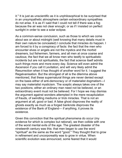it." It is just as unscientific as it is unphilosophical to be surprised that in an unsympathetic atmosphere certain extraordinary sympathies do not arise. It is as if I said that I could not tell if there was a fog because the air was not clear enough; or as if I insisted on perfect sunlight in order to see a solar eclipse.

As a common-sense conclusion, such as those to which we come about sex or about midnight (well knowing that many details must in their own nature be concealed) I conclude that miracles do happen. I am forced to it by a conspiracy of facts: the fact that the men who encounter elves or angels are not the mystics and the morbid dreamers, but fishermen, farmers, and all men at once coarse and cautious; the fact that we all know men who testify to spiritualistic incidents but are not spiritualists, the fact that science itself admits such things more and more every day. Science will even admit the Ascension if you call it Levitation, and will very likely admit the Resurrection when it has thought of another word for it. I suggest the Regalvanisation. But the strongest of all is the dilemma above mentioned, that these supernatural things are never denied except on the basis either of anti-democracy or of materialist dogmatismmay say materialist mysticism. The sceptic always takes one of the two positions; either an ordinary man need not be believed, or an extraordinary event must not be believed. For I hope we may dismiss the argument against wonders attempted in the mere recapitulation of frauds, of swindling mediums or trick miracles. That is not an argument at all, good or bad. A false ghost disproves the reality of ghosts exactly as much as a forged banknote disproves the existence of the Bank of England— if anything, it proves its existence.

Given this conviction that the spiritual phenomena do occur (my evidence for which is complex but rational), we then collide with one of the worst mental evils of the age. The greatest disaster of the nineteenth century was this: that men began to use the word "spiritual" as the same as the word "good." They thought that to grow in refinement and uncorporeality was to grow in virtue. When scientific evolution was announced, some feared that it would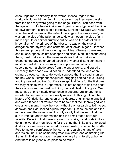encourage mere animality. It did worse: it encouraged mere spirituality. It taught men to think that so long as they were passing from the ape they were going to the angel. But you can pass from the ape and go to the devil. A man of genius, very typical of that time of bewilderment, expressed it perfectly. Benjamin Disraeli was right when he said he was on the side of the angels. He was indeed; he was on the side of the fallen angels. He was not on the side of any mere appetite or animal brutality; but he was on the side of all the imperialism of the princes of the abyss; he was on the side of arrogance and mystery, and contempt of all obvious good. Between this sunken pride and the towering humilities of heaven there are, one must suppose, spirits of shapes and sizes. Man, in encountering them, must make much the same mistakes that he makes in encountering any other varied types in any other distant continent. It must be hard at first to know who is supreme and who is subordinate. If a shade arose from the under world, and stared at Piccadilly, that shade would not quite understand the idea of an ordinary closed carriage. He would suppose that the coachman on the box was a triumphant conqueror, dragging behind him a kicking and imprisoned captive. So, if we see spiritual facts for the first time, we may mistake who is uppermost. It is not enough to find the gods; they are obvious; we must find God, the real chief of the gods. We must have a long historic experience in supernatural phenomena in order to discover which are really natural. In this light I find the history of Christianity, and even of its Hebrew origins, quite practical and clear. It does not trouble me to be told that the Hebrew god was one among many. I know he was, wthout any research to tell me so. Jehovah and Baal looked equally mportant, just as the sun and the moon looked the same size. It is only slowly that we learn that the sun is immeasurably our master, and the small moon only our satellite. Believing that there is a world of spirits, I shall walk in it as I do in the world of men, looking for the thing that I like and think good. Just as I should seek in a desert for clean water, or toil at the North Pole to make a comfortable fire, so I shall search the land of void and vision until I find something fresh like water, and comforting like fire; until I find some place in eternity, where I am literally at home. And there is only one such place to be found.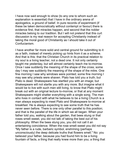I have now said enough to show (to any one to whom such an explanation is essential) that I have in the ordinary arena of apologetics, a ground of belief. In pure records of experiment (if these be taken democratically without contempt or favour) there is evidence first, that miracles happen, and second that the nobler miracles belong to our tradition. But I will not pretend that this curt discussion is my real reason for accepting Christianity instead of taking the moral good of Christianity as I should take it out of Confucianism.

I have another far more solid and central ground for submitting to it as a faith, instead of merely picking up hints from it as a scheme. And that is this: that the Christian Church in its practical relation to my soul is a living teacher, not a dead one. It not only certainly taught me yesterday, but will almost certainly teach me to-morrow. Once I saw suddenly the meaning of the shape of the cross; some day I may see suddenly the meaning of the shape of the mitre. One fine morning I saw why windows were pointed; some fine morning I may see why priests were shaven. Plato has told you a truth; but Plato is dead. Shakespeare has startled you with an image; but Shakespeare will not startle you with any more. But imagine what it would be to live with such men still living, to know that Plato might break out with an original lecture to-morrow, or that at any moment Shakespeare might shatter everything with a single song. The man who lives in contact with what he believes to be a living Church is a man always expecting to meet Plato and Shakespeare to-morrow at breakfast. He is always expecting to see some truth that he has never seen before. There is one only other parallel to this position; and that is the parallel of the life in which we all began. When your father told you, walking about the garden, that bees stung or that roses smelt sweet, you did not talk of taking the best out of his philosophy. When the bees stung you, you did not call it an entertaining coincidence. When the rose smelt sweet you did not say "My father is a rude, barbaric symbol, enshrining (perhaps) unconsciously) the deep delicate truths that flowers smell." No: you believed your father, because you had found him to be a living fountain of facts, a thing that really knew more than you; a thing that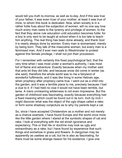would tell you truth to-morrow, as well as to-day. And if this was true of your father, it was even truer of your mother; at least it was true of mine, to whom this book is dedicated. Now, when society is in a rather futile fuss about the subjection of women, will no one say how much every man owes to the tyranny and privilege of women, to the fact that they alone rule education until education becomes futile: for a boy is only sent to be taught at school when it is too late to teach him anything. The real thing has been done already, and thank God it is nearly always done by women. Every man is womanised, merely by being born. They talk of the masculine woman; but every man is a feminised man. And if ever men walk to Westminster to protest against this female privilege, I shall not join their procession.

For I remember with certainty this fixed psychological fact; that the very time when I was most under a woman's authority, I was most full of flame and adventure. Exactly because when my mother said that ants bit they did bite, and because snow did come in winter (as she said); therefore the whole world was to me a fairyland of wonderful fulfilments, and it was like living in some Hebraic age, when prophecy after prophecy came true. I went out as a child into the garden, and it was a terrible place to me, precisely because I had a clue to it: if I had held no clue it would not have been terrible, but tame. A mere unmeaning wilderness is not even impressive. But the garden of childhood was fascinating, exactly because everything had a fixed meaning which could be found out in its turn. Inch by inch I might discover what was the object of the ugly shape called a rake; or form some shadowy conjecture as to why my parents kept a cat.

So, since I have accepted Christendom as a mother and not merely as a chance example, I have found Europe and the world once more like the little garden where I stared at the symbolic shapes of cat and rake; I look at everything with the old elvish ignorance and expectancy. This or that rite or doctrine may look as ugly and extraordinary as a rake; but I have found by experience that such things end somehow in grass and flowers. A clergyman may be apparently as useless as a cat, but he is also as fascinating, for there must be some strange reason for his existence. I give one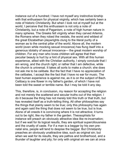instance out of a hundred; I have not myself any instinctive kinship with that enthusiasm for physical virginity, which has certainly been a note of historic Christianity. But when I look not at myself but at the world, I perceive that this enthusiasm is not only a note of Christianity, but a note of Paganism, a note of high human nature in many spheres. The Greeks felt virginity when they carved Artemis, the Romans when they robed the vestals, the worst and wldest of the great Elizabethan playwrights clung to the literal purity of a woman as to the central pillar of the world. Above all, the modern world (even while mocking sexual innocence) has flung itself into a generous idolatry of sexual innocence— the great modern worship of children. For any man who loves children will agree that their peculiar beauty is hurt by a hint of physical sex. With all this human experience, allied with the Christian authority, I simply conclude that I am wrong, and the church right; or rather that I am defective, while the church is universal. It takes all sorts to make a church; she does not ask me to be celibate. But the fact that I have no appreciation of the celibates, I accept like the fact that I have no ear for music. The best human experience is against me, as it is on the subject of Bach. Celibacy is one flower in my father's garden, of which I have not been told the sweet or terrible name. But I may be told it any day.

This, therefore, is, in conclusion, my reason for accepting the religion and not merely the scattered and secular truths out of the religion. I do it because the thing has not merely told this truth or that truth, but has revealed itself as a truth-telling thing. All other philosophies say the things that plainly seem to be true; only this philosophy has again and again said the thing that does not seem to be true, but is true. Alone of all creeds it is convincing where it is not attractive; it turns out to be right, like my father in the garden. Theosophists for instance will preach an obviously attractive idea like re-incarnation; but if we wait for its logical results, they are spiritual superciliousness and the cruelty of caste. For if a man is a beggar by his own prenatal sins, people will tend to despise the beggar. But Christianity preaches an obviously unattractive idea, such as original sin; but when we wait for its results, they are pathos and brotherhood, and a thunder of laughter and pity; for only with original sin we can at once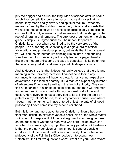pity the beggar and distrust the king. Men of science offer us health, an obvious benefit; it is only afterwards that we discover that by health, they mean bodily slavery and spiritual tedium. Orthodoxy makes us jump by the sudden brink of hell; it is only afterwards that we realise that jumping was an athletic exercise highly beneficial to our health. It is only afterwards that we realise that this danger is the root of all drama and romance. The strongest argument for the divine grace is simply its ungraciousness. The unpopular parts of Christianity turn out when examined to be the very props of the people. The outer ring of Christianity is a rigid guard of ethical abnegations and professional priests; but inside that inhuman guard you will find the old human life dancing like children, and drinking wine like men; for Christianity is the only frame for pagan freedom. But in the modern philosophy the case is opposite; it is its outer ring that is obviously artistic and emancipated; its despair is within.

And its despair is this, that it does not really believe that there is any meaning in the universe; therefore it cannot hope to find any romance; its romances will have no plots. A man cannot expect any adventures in the land of anarchy. But a man can expect any number of adventures if he goes travelling in the land of authority. One can find no meanings in a jungle of scepticism; but the man will find more and more meanings who walks through a forest of doctrine and design. Here everything has a story tied to its tail, like the tools or pictures in my father's house; for it is my father's house. I end where I began—at the right end. I have entered at last the gate of all good philosophy. I have come into my second childhood.

But this larger and more adventurous Christian universe has one final mark difficult to express; yet as a conclusion of the whole matter I will attempt to express it. All the real argument about religion turns on the question of whether a man who was born upside down can tell when he comes right way up. The primary paradox of Christianity is that the ordinary condition of man is not his sane or sensible condition; that the normal itself is an abnormality. That is the inmost philosophy of the Fall. In Sir Oliver Lodge's interesting new Catechism, the first two questions were: "What are you?" and "What,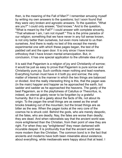then, is the meaning of the Fall of Man?" I remember amusing myself by writing my own answers to the questions; but I soon found that they were very broken and agnostic answers. To the question, "What are you?" I could only answer, "God knows." And to the question, "What is meant by the Fall?" I could answer with complete sincerity, "That whatever I am, I am not myself." This is the prime paradox of our religion; something that we have never in any full sense known, is not only better than ourselves, but even more natural to us than ourselves. And there is really no test of this except the merely experimental one with which these pages began, the test of the padded cell and the open door. It is only since I have known orthodoxy that I have known mental emancipation. But, in conclusion, it has one special application to the ultimate idea of joy.

It is said that Paganism is a religion of joy and Christianity of sorrow; it would be just as easy to prove that Paganism is pure sorrow and Christianity pure joy. Such conflicts mean nothing and lead nowhere. Everything human must have in it both joy and sorrow; the only matter of interest is the manner in which the two things are balanced or divided. And the really interesting thing is this, that the pagan was (in the main) happier and happier as he approached the earth, but sadder and sadder as he approached the heavens. The gaiety of the best Paganism, as in the playfulness of Catullus or Theocritus, is, indeed, an eternal gaiety never to be forgotten by a grateful humanity. But it is all a gaiety about the facts of life, not about its origin. To the pagan the small things are as sweet as the small brooks breaking out of the mountain; but the broad things are as bitter as the sea. When the pagan looks at the very core of the cosmos he is struck cold. Behind the gods, who are merely despotic, sit the fates, who are deadly. Nay, the fates are worse than deadly; they are dead. And when rationalists say that the ancient world was more enlightened than the Christian, from their point of view they are right. For when they say "enlightened" they mean darkened with incurable despair. It is profoundly true that the ancient world was more modern than the Christian. The common bond is in the fact that ancients and moderns have both been miserable about existence, about everything, while mediaevals were happy about that at least. I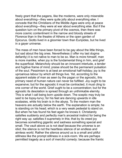freely grant that the pagans, like the moderns, were only miserable about everything—they were quite jolly about everything else. I concede that the Christians of the Middle Ages were only at peace about everything—they were at war about everything else. But if the question turn on the primary pivot of the cosmos, then there was more cosmic contentment in the narrow and bloody streets of Florence than in the theatre of Athens or the open garden of Epicurus. Giotto lived in a gloomier town than Euripides, but he lived in a gayer universe.

The mass of men have been forced to be gay about the little things, but sad about the big ones. Nevertheless (I offer my last dogma defiantly) it is not native to man to be so. Man is more himself, man is more manlike, when joy is the fundamental thing in him, and grief the superficial. Melancholy should be an innocent interlude, a tender and fugitive frame of mind; praise should be the permanent pulsation of the soul. Pessimism is at best an emotional half-holiday; joy is the uproarious labour by which all things live. Yet, according to the apparent estate of man as seen by the pagan or the agnostic, this primary need of human nature can never be fulfilled. Joy ought to be expansive; but for the agnostic it must be contracted, it must cling to one corner of the world. Grief ought to be a concentration; but for the agnostic its desolation is spread through an unthinkable eternity. This is what I call being born upside down. The sceptic may truly be said to be topsy-turvy; for his feet are dancing upwards in idle ecstasies, while his brain is in the abyss. To the modern man the heavens are actually below the earth. The explanation is simple; he is standing on his head; which is a very weak pedestal to stand on. But when he has found his feet again he knows it. Christianity satisfies suddenly and perfectly man's ancestral instinct for being the right way up; satisfies it supremely in this; that by its creed joy becomes something gigantic and sadness something special and small. The vault above us is not deaf because the universe is an idiot; the silence is not the heartless silence of an endless and aimless world. Rather the silence around us is a small and pitiful stillness like the prompt stillness in a sick-room. We are perhaps permitted tragedy as a sort of merciful comedy: because the frantic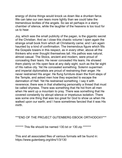energy of divine things would knock us down like a drunken farce. We can take our own tears more lightly than we could take the tremendous levities of the angels. So we sit perhaps in a starry chamber of silence, while the laughter of the heavens is too loud for us to hear.

Joy, which was the small publicity of the pagan, is the gigantic secret of the Christian. And as I close this chaotic volume I open again the strange small book from which all Christianity came; and I am again haunted by a kind of confirmation. The tremendous figure which fills the Gospels towers in this respect, as in every other, above all the thinkers who ever thought themselves tall. His pathos was natural, almost casual. The Stoics, ancient and modern, were proud of concealing their tears. He never concealed His tears: He showed them plainly on His open face at any daily sight, such as the far sight of His native city. Yet He concealed something. Solemn supermen and imperial diplomatists are proud of restraining their anger. He never restrained His anger. He flung furniture down the front steps of the Temple, and asked men how they expected to escape the damnation of Hell. Yet He restrained something. I say it with reverence; there was in that shattering personality a thread that must be called shyness. There was something that He hid from all men when He went up a mountain to pray. There was something that He covered constantly by abrupt silence or impetuous isolation. There was some one thing that was too great for God to show us when He walked upon our earth; and I have sometimes fancied that it was His mirth.

## \*\*\*END OF THE PROJECT GUTENBERG EBOOK ORTHODOXY\*\*\*

\*\*\*\*\*\*\*\* This file should be named 130.txt or 130.zip \*\*\*\*\*\*\*

This and all associated files of various formats will be found in: https://www.gutenberg.org/dirs/1/3/130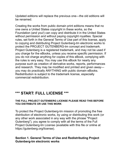Updated editions will replace the previous one—the old editions will be renamed.

Creating the works from public domain print editions means that no one owns a United States copyright in these works, so the Foundation (and you!) can copy and distribute it in the United States without permission and without paying copyright royalties. Special rules, set forth in the General Terms of Use part of this license, apply to copying and distributing Project Gutenberg-tm electronic works to protect the PROJECT GUTENBERG-tm concept and trademark. Project Gutenberg is a registered trademark, and may not be used if you charge for the eBooks, unless you receive specific permission. If you do not charge anything for copies of this eBook, complying with the rules is very easy. You may use this eBook for nearly any purpose such as creation of derivative works, reports, performances and research. They may be modified and printed and given awayyou may do practically ANYTHING with public domain eBooks. Redistribution is subject to the trademark license, especially commercial redistribution.

# **\*\*\* START: FULL LICENSE \*\*\***

#### **THE FULL PROJECT GUTENBERG LICENSE PLEASE READ THIS BEFORE YOU DISTRIBUTE OR USE THIS WORK**

To protect the Project Gutenberg-tm mission of promoting the free distribution of electronic works, by using or distributing this work (or any other work associated in any way with the phrase "Project" Gutenberg"), you agree to comply wth all the terms of the Full Project Gutenberg-tm License (available with this file or online at https://gutenberg.org/license).

## **Section 1. General Terms of Use and Redistributing Project Gutenberg-tm electronic works**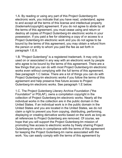1.A. By reading or using any part of this Project Gutenberg-tm electronic work, you indicate that you have read, understand, agree to and accept all the terms of this license and intellectual property (trademark/copyrght) agreement. If you do not agree to abde by all the terms of this agreement, you must cease using and return or destroy all copies of Project Gutenberg-tm electronic works in your possession. If you paid a fee for obtaining a copy of or access to a Project Gutenberg-tm electronic work and you do not agree to be bound by the terms of this agreement, you may obtain a refund from the person or entity to whom you paid the fee as set forth in paragraph 1.E.8.

1.B. "Project Gutenberg" is a registered trademark. It may only be used on or associated in any way with an electronic work by people who agree to be bound by the terms of this agreement. There are a few things that you can do with most Project Gutenberg-tm electronic works even without complying with the full terms of this agreement. See paragraph 1.C below. There are a lot of things you can do with Project Gutenberg-tm electronic works if you follow the terms of this agreement and help preserve free future access to Project Gutenberg-tm electronic works. See paragraph 1.E below.

1.C. The Project Gutenberg Literary Archive Foundation ("the Foundation" or PGLAF), owns a compilation copyright in the collection of Project Gutenberg-tm electronic works. Nearly all the individual works in the collection are in the public domain in the United States. If an individual work is in the public domain in the United States and you are located in the United States, we do not claim a right to prevent you from copying, distributing, performing, displaying or creating derivative works based on the work as long as all references to Project Gutenberg are removed. Of course, we hope that you will support the Project Gutenberg-tm mission of promoting free access to electronic works by freely sharing Project Gutenberg-tm works in compliance with the terms of this agreement for keeping the Project Gutenberg-tm name associated with the work. You can easily comply with the terms of this agreement by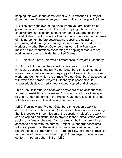keeping this work in the same format with its attached full Project Gutenberg-tm License when you share it without charge with others.

1.D. The copyrght laws of the place where you are located also govern what you can do with this work. Copyright laws in most countries are in a constant state of change. If you are outside the United States, check the laws of your country in addition to the terms of this agreement before downloading, copying, displaying, performing, distributing or creating derivative works based on this work or any other Project Gutenberg-tm work. The Foundation makes no representations concerning the copyright status of any work in any country outside the United States.

1.E. Unless you have removed all references to Project Gutenberg:

1.E.1. The following sentence, with active links to, or other immediate access to, the full Project Gutenberg-tm License must appear prominently whenever any copy of a Project Gutenberg-tm work (any work on which the phrase "Project Gutenberg" appears, or with which the phrase "Project Gutenberg" is associated) is accessed, displayed, performed, viewed, copied or distributed:

This eBook is for the use of anyone anywhere at no cost and with almost no restrictions whatsoever. You may copy it, give it away or re-use it under the terms of the Project Gutenberg License included with this eBook or online at www.gutenberg.org

1.E.2. If an individual Project Gutenberg-tm electronic work is derived from the public domain (does not contain a notice indicating that it is posted with permission of the copyright holder), the work can be copied and distributed to anyone in the United States without paying any fees or charges. If you are redistributing or providing access to a work with the phrase "Project Gutenberg" associated with or appearing on the work, you must comply either with the requirements of paragraphs 1.E.1 through 1.E.7 or obtain permission for the use of the work and the Project Gutenberg-tm trademark as set forth in paragraphs 1.E.8 or 1.E.9.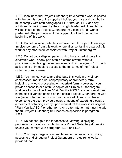1.E.3. If an individual Project Gutenberg-tm electronic work is posted with the permission of the copyright holder, your use and distribution must comply wth both paragraphs 1.E.1 through 1.E.7 and any additional terms imposed by the copyright holder. Additional terms will be linked to the Project Gutenberg-tm License for all works posted with the permission of the copyright holder found at the beginning of this work.

1.E.4. Do not unlink or detach or remove the full Project Gutenbergtm License terms from this work, or any files containing a part of this work or any other work associated with Project Gutenberg-tm.

1.E.5. Do not copy, display, perform, distribute or redistribute this electronic work, or any part of this electronic work, without prominently displaying the sentence set forth in paragraph 1.E.1 with active links or immediate access to the full terms of the Project Gutenberg-tm License.

1.E.6. You may convert to and distribute this work in any binary, compressed, marked up, nonproprietary or proprietary form, including any word processing or hypertext form. However, if you provide access to or distribute copies of a Project Gutenberg-tm work in a format other than "Plain Vanilla ASCII" or other format used in the official version posted on the official Project Gutenberg-tm web site (www.gutenberg.org), you must, at no additional cost, fee or expense to the user, provide a copy, a means of exporting a copy, or a means of obtaining a copy upon request, of the work in its original "Plain Vanilla ASCII" or other form. Any alternate format must include the full Project Gutenberg-tm License as specified in paragraph 1.E.1.

1.E.7. Do not charge a fee for access to, viewing, displaying, performing, copying or distributing any Project Gutenberg-tm works unless you comply wth paragraph 1.E.8 or 1.E.9.

1.E.8. You may charge a reasonable fee for copies of or providing access to or distributing Project Gutenberg-tm electronic works provided that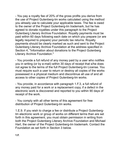- You pay a royalty fee of 20% of the gross profits you derive from the use of Project Gutenberg-tm works calculated using the method you already use to calculate your applicable taxes. The fee is owed to the owner of the Project Gutenberg-tm trademark, but he has agreed to donate royalties under this paragraph to the Project Gutenberg Literary Archive Foundation. Royalty payments must be paid within 60 days following each date on which you prepare (or are legally required to prepare) your periodic tax returns. Royalty payments should be clearly marked as such and sent to the Project Gutenberg Literary Archive Foundation at the address specified in Section 4, "Information about donations to the Project Gutenberg Literary Archive Foundation."

- You provide a full refund of any money paid by a user who notifies you in writing (or by e-mail) within 30 days of receipt that s/he does not agree to the terms of the full Project Gutenberg-tm License. You must require such a user to return or destroy all copies of the works possessed in a physical medium and discontinue all use of and all access to other copies of Project Gutenberg-tm works.

- You provide, in accordance with paragraph 1.F.3, a full refund of any money paid for a work or a replacement copy, if a defect in the electronic work is discovered and reported to you within 90 days of receipt of the work.

- You comply with all other terms of this agreement for free distribution of Project Gutenberg-tm works.

1.E.9. If you wish to charge a fee or distribute a Project Gutenbergtm electronic work or group of works on different terms than are set forth in this agreement, you must obtain permission in writing from both the Project Gutenberg Literary Archive Foundation and Michael Hart, the owner of the Project Gutenberg-tm trademark. Contact the Foundation as set forth in Section 3 below.

**1.F.**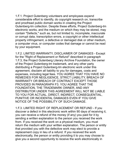1.F.1. Project Gutenberg volunteers and employees expend considerable effort to identify, do copyright research on, transcribe and proofread public domain works in creating the Project Gutenberg-tm collection. Despite these efforts, Project Gutenberg-tm electronic works, and the medium on which they may be stored, may contain "Defects," such as, but not limited to, incomplete, inaccurate or corrupt data, transcription errors, a copyright or other intellectual property infringement, a defective or damaged disk or other medium, a computer virus, or computer codes that damage or cannot be read by your equipment.

1.F.2. LIMITED WARRANTY, DISCLAIMER OF DAMAGES - Except for the "Right of Replacement or Refund" described in paragraph 1.F.3, the Project Gutenberg Literary Archive Foundation, the owner of the Project Gutenberg-tm trademark, and any other party distributing a Project Gutenberg-tm electronic work under this agreement, disclaim all liability to you for damages, costs and expenses, including legal fees. YOU AGREE THAT YOU HAVE NO REMEDIES FOR NEGLIGENCE, STRICT LIABILITY, BREACH OF WARRANTY OR BREACH OF CONTRACT EXCEPT THOSE PROVIDED IN PARAGRAPH F3. YOU AGREE THAT THE FOUNDATION, THE TRADEMARK OWNER, AND ANY DISTRIBUTOR UNDER THIS AGREEMENT WILL NOT BE LIABLE TO YOU FOR ACTUAL, DIRECT, INDIRECT, CONSEQUENTIAL, PUNITIVE OR INCIDENTAL DAMAGES EVEN IF YOU GIVE NOTICE OF THE POSSIBILITY OF SUCH DAMAGE.

1.F.3. LIMITED RIGHT OF REPLACEMENT OR REFUND - If you discover a defect in this electronic work within 90 days of receiving it, you can receive a refund of the money (if any) you paid for it by sending a written explanation to the person you received the work from. If you received the work on a physical medium, you must return the medium with your written explanation. The person or entity that provided you with the defective work may elect to provide a replacement copy in lieu of a refund. If you received the work electronically, the person or entity providing it to you may choose to give you a second opportunity to receive the work electronically in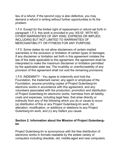lieu of a refund. If the second copy is also defective, you may demand a refund in writing without further opportunities to fix the problem.

1.F.4. Except for the limited right of replacement or refund set forth in paragraph 1.F.3, this work is provided to you 'AS-IS', WITH NO OTHER WARRANTIES OF ANY KIND, EXPRESS OR IMPLIED, INCLUDING BUT NOT LIMITED TO WARRANTIES OF MERCHANTIBILITY OR FITNESS FOR ANY PURPOSE.

1.F.5. Some states do not allow disclaimers of certain implied warranties or the exclusion or limitation of certain types of damages. If any disclaimer or limitation set forth in this agreement violates the law of the state applicable to this agreement, the agreement shall be interpreted to make the maximum disclaimer or limitation permitted by the applicable state law. The invalidity or unenforceability of any provision of this agreement shall not void the remaining provisions.

1.F.6. INDEMNITY - You agree to indemnify and hold the Foundation, the trademark owner, any agent or employee of the Foundation, anyone providing copies of Project Gutenberg-tm electronic works in accordance with this agreement, and any volunteers associated with the production, promotion and distribution of Project Gutenberg-tm electronic works, harmless from all liability, costs and expenses, including legal fees, that arise directly or indirectly from any of the following which you do or cause to occur:  $(a)$  distribution of this or any Project Gutenberg-tm work,  $(b)$ alteration, modification, or additions or deletions to any Project Gutenberg-tm work, and (c) any Defect you cause.

#### **Section 2. Information about the Mission of Project Gutenbergtm**

Project Gutenberg-tm is synonymous with the free distribution of electronic works in formats readable by the widest variety of computers including obsolete, old, middle-aged and new computers.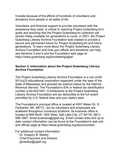It exists because of the efforts of hundreds of volunteers and donations from people in all walks of life.

Volunteers and financial support to provide volunteers with the assistance they need, is critical to reaching Project Gutenberg-tm's goals and ensuring that the Project Gutenberg-tm collection will remain freely available for generations to come. In 2001, the Project Gutenberg Literary Archive Foundation was created to provide a secure and permanent future for Project Gutenberg-tm and future generations. To learn more about the Project Gutenberg Literary Archive Foundation and how your efforts and donations can help, see Sections 3 and 4 and the Foundation web page at https://www.gutenberg.org/fundraising/pglaf.

## **Section 3. Information about the Project Gutenberg Literary Archive Foundation**

The Project Gutenberg Literary Archive Foundation is a non profit  $501(c)(3)$  educational corporation organized under the laws of the state of Mississippi and granted tax exempt status by the Internal Revenue Service. The Foundation's EIN or federal tax identification number is 64-6221541. Contributions to the Project Gutenberg Literary Archive Foundation are tax deductible to the full extent permtted by U.S. federal laws and your state's laws.

The Foundation's principal office is located at 4557 Melan Dr. S. Fairbanks, AK, 99712., but its volunteers and employees are scattered throughout numerous locations. Its business office is located at 809 North 1500 West, Salt Lake City, UT 84116, (801) 596-1887, email business@pglaf.org. Email contact links and up to date contact information can be found at the Foundation's web site and official page at https://www.gutenberg.org/about/contact

For additional contact information:

 Dr. Gregory B. Newby **Chief Executive and Director** gbnewby@pglaf.org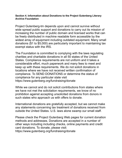#### **Secton 4. Informaton about Donatons to the Project Gutenberg Lterary Archive Foundation**

Project Gutenberg-tm depends upon and cannot survive without wide spread public support and donations to carry out its mission of increasing the number of public domain and licensed works that can be freely distributed in machine readable form accessible by the widest array of equipment including outdated equipment. Many small donations (\$1 to \$5,000) are particularly important to maintaining tax exempt status with the IRS.

The Foundation is committed to complying with the laws regulating charities and charitable donations in all 50 states of the United States. Compliance requirements are not uniform and it takes a consderable effort, much paperwork and many fees to meet and keep up with these requirements. We do not solicit donations in locations where we have not received written confirmation of compliance. To SEND DONATIONS or determine the status of compliance for any particular state visit https://www.gutenberg.org/fundraising/donate

While we cannot and do not solicit contributions from states where we have not met the solicitation requirements, we know of no prohibition against accepting unsolicited donations from donors in such states who approach us with offers to donate.

International donations are gratefully accepted, but we cannot make any statements concerning tax treatment of donations received from outside the United States. U.S. laws alone swamp our small staff.

Please check the Project Gutenberg Web pages for current donation methods and addresses. Donations are accepted in a number of other ways including including checks, online payments and credit card donations. To donate, please visit:

https://www.gutenberg.org/fundraising/donate